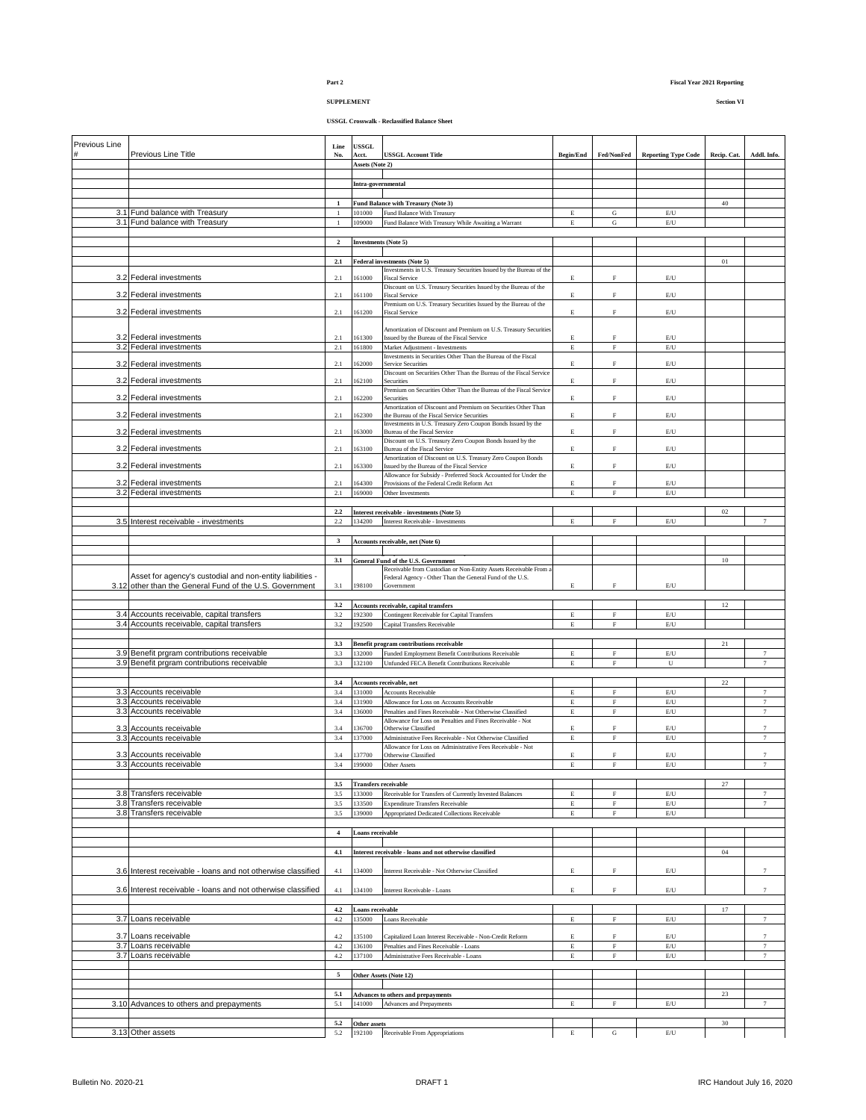# **SUPPLEMENT Section VI**

| Previous Line |                                                              | Line                         | <b>USSGL</b>                          |                                                                                                                              |                            |                            |                                                                                   |             |                                       |
|---------------|--------------------------------------------------------------|------------------------------|---------------------------------------|------------------------------------------------------------------------------------------------------------------------------|----------------------------|----------------------------|-----------------------------------------------------------------------------------|-------------|---------------------------------------|
|               | Previous Line Title                                          | No.                          | Acct.                                 | <b>USSGL Account Title</b>                                                                                                   | <b>Begin/End</b>           | Fed/NonFed                 | <b>Reporting Type Code</b>                                                        | Recip. Cat. | Addl. Info.                           |
|               |                                                              |                              | Assets (Note 2)                       |                                                                                                                              |                            |                            |                                                                                   |             |                                       |
|               |                                                              |                              | Intra-governmental                    |                                                                                                                              |                            |                            |                                                                                   |             |                                       |
|               |                                                              |                              |                                       |                                                                                                                              |                            |                            |                                                                                   |             |                                       |
|               | 3.1 Fund balance with Treasury                               | $\mathbf{1}$<br>$\mathbf{1}$ | 101000                                | Fund Balance with Treasury (Note 3)<br>Fund Balance With Treasury                                                            | Е                          | G                          | $\mathbb{E}/\mathbb{U}$                                                           | 40          |                                       |
|               | 3.1 Fund balance with Treasury                               | $\overline{1}$               | 109000                                | Fund Balance With Treasury While Awaiting a Warrant                                                                          | E                          | ${\bf G}$                  | $\mathrm{E}/\mathrm{U}$                                                           |             |                                       |
|               |                                                              | $\overline{\mathbf{c}}$      | <b>Investments</b> (Note 5)           |                                                                                                                              |                            |                            |                                                                                   |             |                                       |
|               |                                                              |                              |                                       |                                                                                                                              |                            |                            |                                                                                   |             |                                       |
|               |                                                              | $2.1$                        |                                       | Federal investments (Note 5)                                                                                                 |                            |                            |                                                                                   | 01          |                                       |
|               | 3.2 Federal investments                                      | 2.1                          | 161000                                | Investments in U.S. Treasury Securities Issued by the Bureau of the<br><b>Fiscal Service</b>                                 | E                          | F                          | $\mathrm{E}/\mathrm{U}$                                                           |             |                                       |
|               | 3.2 Federal investments                                      | 2.1                          | 161100                                | Discount on U.S. Treasury Securities Issued by the Bureau of the<br><b>Fiscal Service</b>                                    | E                          | $\mathbf F$                | $\mathrm{E}/\mathrm{U}$                                                           |             |                                       |
|               |                                                              |                              |                                       | Premium on U.S. Treasury Securities Issued by the Bureau of the                                                              |                            |                            |                                                                                   |             |                                       |
|               | 3.2 Federal investments                                      | 2.1                          | 161200                                | <b>Fiscal Service</b>                                                                                                        | $\mathbf E$                | $\mathbf{F}$               | $\mathrm{E}/\mathrm{U}$                                                           |             |                                       |
|               |                                                              |                              |                                       | Amortization of Discount and Premium on U.S. Treasury Securities                                                             |                            |                            |                                                                                   |             |                                       |
|               | 3.2 Federal investments<br>3.2 Federal investments           | 2.1<br>2.1                   | 161300<br>161800                      | Issued by the Bureau of the Fiscal Service<br>Market Adjustment - Investments                                                | $\mathbf E$<br>$\mathbf E$ | $\mathbf F$<br>$\mathbf F$ | $\mathrm{E}/\mathrm{U}$<br>$\mathrm{E}/\mathrm{U}$                                |             |                                       |
|               | 3.2 Federal investments                                      | 2.1                          | 62000                                 | Investments in Securities Other Than the Bureau of the Fiscal<br>Service Securities                                          | E                          | F                          | $\mathrm{E}/\mathrm{U}$                                                           |             |                                       |
|               |                                                              |                              |                                       | Discount on Securities Other Than the Bureau of the Fiscal Service                                                           |                            |                            |                                                                                   |             |                                       |
|               | 3.2 Federal investments                                      | 2.1                          | 162100                                | Securities<br>Premium on Securities Other Than the Bureau of the Fiscal Service                                              | E                          | F                          | $\mathrm{E}/\mathrm{U}$                                                           |             |                                       |
|               | 3.2 Federal investments                                      | 2.1                          | 162200                                | Securities                                                                                                                   | E                          | F                          | $\mathrm{E}/\mathrm{U}$                                                           |             |                                       |
|               | 3.2 Federal investments                                      | 2.1                          | 162300                                | Amortization of Discount and Premium on Securities Other Than<br>the Bureau of the Fiscal Service Securities                 | E                          | F                          | $\mathrm{E}/\mathrm{U}$                                                           |             |                                       |
|               | 3.2 Federal investments                                      | 2.1                          | 163000                                | Investments in U.S. Treasury Zero Coupon Bonds Issued by the<br>Bureau of the Fiscal Service                                 | E                          | F                          | $\mathrm{E}/\mathrm{U}$                                                           |             |                                       |
|               |                                                              |                              |                                       | Discount on U.S. Treasury Zero Coupon Bonds Issued by the                                                                    |                            |                            |                                                                                   |             |                                       |
|               | 3.2 Federal investments                                      | 2.1                          | 163100                                | Bureau of the Fiscal Service<br>Amortization of Discount on U.S. Treasury Zero Coupon Bonds                                  | E                          | F                          | $\mathrm{E}/\mathrm{U}$                                                           |             |                                       |
|               | 3.2 Federal investments                                      | 2.1                          | 163300                                | Issued by the Bureau of the Fiscal Service                                                                                   | E                          | F                          | $\mathrm{E}/\mathrm{U}$                                                           |             |                                       |
| 3.2           | Federal investments                                          | 2.1                          | 64300                                 | Allowance for Subsidy - Preferred Stock Accounted for Under the<br>Provisions of the Federal Credit Reform Act               | E                          | F                          | $\mathrm{E}/\mathrm{U}$                                                           |             |                                       |
|               | 3.2 Federal investments                                      | $2.1\,$                      | 169000                                | Other Investments                                                                                                            | $\mathbf E$                | ${\rm F}$                  | $\mathrm{E}/\mathrm{U}$                                                           |             |                                       |
|               |                                                              | $2.2\,$                      |                                       | Interest receivable - investments (Note 5)                                                                                   |                            |                            |                                                                                   | 02          |                                       |
|               | 3.5 Interest receivable - investments                        | $2.2^{\circ}$                | 134200                                | Interest Receivable - Investments                                                                                            | $\mathbf E$                | $\mathbf F$                | $\mathrm{E}/\mathrm{U}$                                                           |             |                                       |
|               |                                                              |                              |                                       |                                                                                                                              |                            |                            |                                                                                   |             |                                       |
|               |                                                              | $\mathbf{3}$                 |                                       | Accounts receivable, net (Note 6)                                                                                            |                            |                            |                                                                                   |             |                                       |
|               |                                                              | 3.1                          |                                       | <b>General Fund of the U.S. Government</b>                                                                                   |                            |                            |                                                                                   | 10          |                                       |
|               | Asset for agency's custodial and non-entity liabilities -    |                              |                                       | Receivable from Custodian or Non-Entity Assets Receivable From a<br>Federal Agency - Other Than the General Fund of the U.S. |                            |                            |                                                                                   |             |                                       |
|               | 3.12 other than the General Fund of the U.S. Government      | 3.1                          | 198100                                | Government                                                                                                                   | $\mathbf E$                | F                          | $\mathrm{E}/\mathrm{U}$                                                           |             |                                       |
|               |                                                              | 3.2                          |                                       | Accounts receivable, capital transfers                                                                                       |                            |                            |                                                                                   | 12          |                                       |
|               | 3.4 Accounts receivable, capital transfers                   | 3.2                          | 192300                                | Contingent Receivable for Capital Transfers                                                                                  | $\mathbf E$                | $\mathbf F$                | E/U                                                                               |             |                                       |
|               | 3.4 Accounts receivable, capital transfers                   | 3.2                          | 192500                                | <b>Capital Transfers Receivable</b>                                                                                          | $\mathbf E$                | $\mathbf F$                | $\mathrm{E}/\mathrm{U}$                                                           |             |                                       |
|               |                                                              | 3.3                          |                                       | <b>Benefit program contributions receivable</b>                                                                              |                            |                            |                                                                                   | 21          |                                       |
|               | 3.9 Benefit prgram contributions receivable                  | 3.3                          | 132000                                | Funded Employment Benefit Contributions Receivable                                                                           | $\mathbf E$                | $\rm F$                    | $\mathrm{E}/\mathrm{U}$                                                           |             | $\overline{7}$                        |
|               | 3.9 Benefit prgram contributions receivable                  | 3.3                          | 132100                                | Unfunded FECA Benefit Contributions Receivable                                                                               | E                          | $\mathbf F$                | U                                                                                 |             | $7\phantom{.0}$                       |
|               |                                                              | 3.4                          |                                       | Accounts receivable, net                                                                                                     |                            |                            |                                                                                   | 22          |                                       |
|               | 3.3 Accounts receivable<br>3.3 Accounts receivable           | 3.4<br>3.4                   | 131000<br>131900                      | Accounts Receivable<br>Allowance for Loss on Accounts Receivable                                                             | $\mathbf E$<br>$\mathbf E$ | $\mathbf F$<br>$\mathbf F$ | $\mathrm{E}/\mathrm{U}$<br>E/U                                                    |             | $\overline{7}$<br>$\scriptstyle\rm 7$ |
|               | 3.3 Accounts receivable                                      | 3.4                          | 136000                                | Penalties and Fines Receivable - Not Otherwise Classified                                                                    | $\mathbf E$                | $\rm F$                    | $\mathrm{E}/\mathrm{U}$                                                           |             | $\overline{7}$                        |
|               | Accounts receivable                                          |                              | 136700                                | Allowance for Loss on Penalties and Fines Receivable - Not                                                                   | $\mathbf E$                | F                          | $\mathrm{E}/\mathrm{U}$                                                           |             | $\overline{7}$                        |
| 3.3           | 3.3 Accounts receivable                                      | 3.4<br>3.4                   | 137000                                | Otherwise Classified<br>Administrative Fees Receivable - Not Otherwise Classified                                            | $\mathbf E$                | ${\rm F}$                  | $\mathrm{E}/\mathrm{U}$                                                           |             | $7\phantom{.}$                        |
|               | 3.3 Accounts receivable                                      | 3.4                          | 137700                                | Allowance for Loss on Administrative Fees Receivable - Not<br>Otherwise Classified                                           | E                          | F                          | $\mathrm{E}/\mathrm{U}$                                                           |             | $\boldsymbol{7}$                      |
|               | 3.3 Accounts receivable                                      | 3.4                          | 199000                                | Other Assets                                                                                                                 | E                          | F                          | E/U                                                                               |             |                                       |
|               |                                                              |                              |                                       |                                                                                                                              |                            |                            |                                                                                   |             |                                       |
|               | 3.8 Transfers receivable                                     | 3.5<br>3.5                   | <b>Transfers receivable</b><br>133000 | Receivable for Transfers of Currently Invested Balances                                                                      | Е                          | $\rm F$                    | $\mathbb{E}/\mathbb{U}$                                                           | $27\,$      | $\overline{7}$                        |
|               | 3.8 Transfers receivable                                     | 3.5                          | 133500                                | <b>Expenditure Transfers Receivable</b>                                                                                      | E                          | $\mathbf F$                | E/U                                                                               |             | $7\phantom{.}$                        |
|               | 3.8 Transfers receivable                                     | 3.5                          | 139000                                | Appropriated Dedicated Collections Receivable                                                                                | E                          | $\overline{F}$             | $\mathrm{E}/\mathrm{U}$                                                           |             |                                       |
|               |                                                              | $\overline{4}$               | <b>Loans receivable</b>               |                                                                                                                              |                            |                            |                                                                                   |             |                                       |
|               |                                                              |                              |                                       |                                                                                                                              |                            |                            |                                                                                   |             |                                       |
|               |                                                              | 4.1                          |                                       | Interest receivable - loans and not otherwise classified                                                                     |                            |                            |                                                                                   | 04          |                                       |
|               | 3.6 Interest receivable - loans and not otherwise classified | 4.1                          | 134000                                | Interest Receivable - Not Otherwise Classified                                                                               | E                          | F                          | E/U                                                                               |             | $\overline{7}$                        |
|               |                                                              |                              |                                       |                                                                                                                              |                            |                            |                                                                                   |             |                                       |
|               | 3.6 Interest receivable - loans and not otherwise classified | 4.1                          | 134100                                | Interest Receivable - Loans                                                                                                  | E                          | F                          | $\mathbb{E}/\mathbb{U}$                                                           |             | $\tau$                                |
|               |                                                              | 4.2                          | <b>Loans receivable</b>               |                                                                                                                              |                            |                            |                                                                                   | 17          |                                       |
|               | 3.7 Loans receivable                                         | 4.2                          | 135000                                | Loans Receivable                                                                                                             | $\mathbf E$                | ${\rm F}$                  | $\mathrm{E}/\mathrm{U}$                                                           |             | $\overline{7}$                        |
|               | 3.7 Loans receivable                                         | 4.2                          | 135100                                | Capitalized Loan Interest Receivable - Non-Credit Reform                                                                     | E                          | F                          | E/U                                                                               |             | $\boldsymbol{7}$                      |
|               | 3.7 Loans receivable                                         | 4.2<br>4.2                   | 136100<br>137100                      | Penalties and Fines Receivable - Loans                                                                                       | $\mathbf E$                | $\mathbf F$<br>${\rm F}$   | $\mathop{\hbox{\rm E}}\nolimits/\mathop{\hbox{\rm U}}$<br>$\mathrm{E}/\mathrm{U}$ |             | $\boldsymbol{7}$                      |
|               | 3.7 Loans receivable                                         |                              |                                       | Administrative Fees Receivable - Loans                                                                                       | $\mathbf E$                |                            |                                                                                   |             | $\overline{7}$                        |
|               |                                                              | 5                            |                                       | Other Assets (Note 12)                                                                                                       |                            |                            |                                                                                   |             |                                       |
|               |                                                              | $5.1\,$                      |                                       | <b>Advances to others and prepayments</b>                                                                                    |                            |                            |                                                                                   | 23          |                                       |
|               | 3.10 Advances to others and prepayments                      | 5.1                          | 141000                                | Advances and Prepayments                                                                                                     | $\mathbf E$                | $\mathbf F$                | $\mathrm{E}/\mathrm{U}$                                                           |             | $\tau$                                |
|               |                                                              |                              |                                       |                                                                                                                              |                            |                            |                                                                                   |             |                                       |
|               | 3.13 Other assets                                            | 5.2<br>5.2                   | Other assets                          | 192100 Receivable From Appropriations                                                                                        | E                          | G                          | E/U                                                                               | 30          |                                       |
|               |                                                              |                              |                                       |                                                                                                                              |                            |                            |                                                                                   |             |                                       |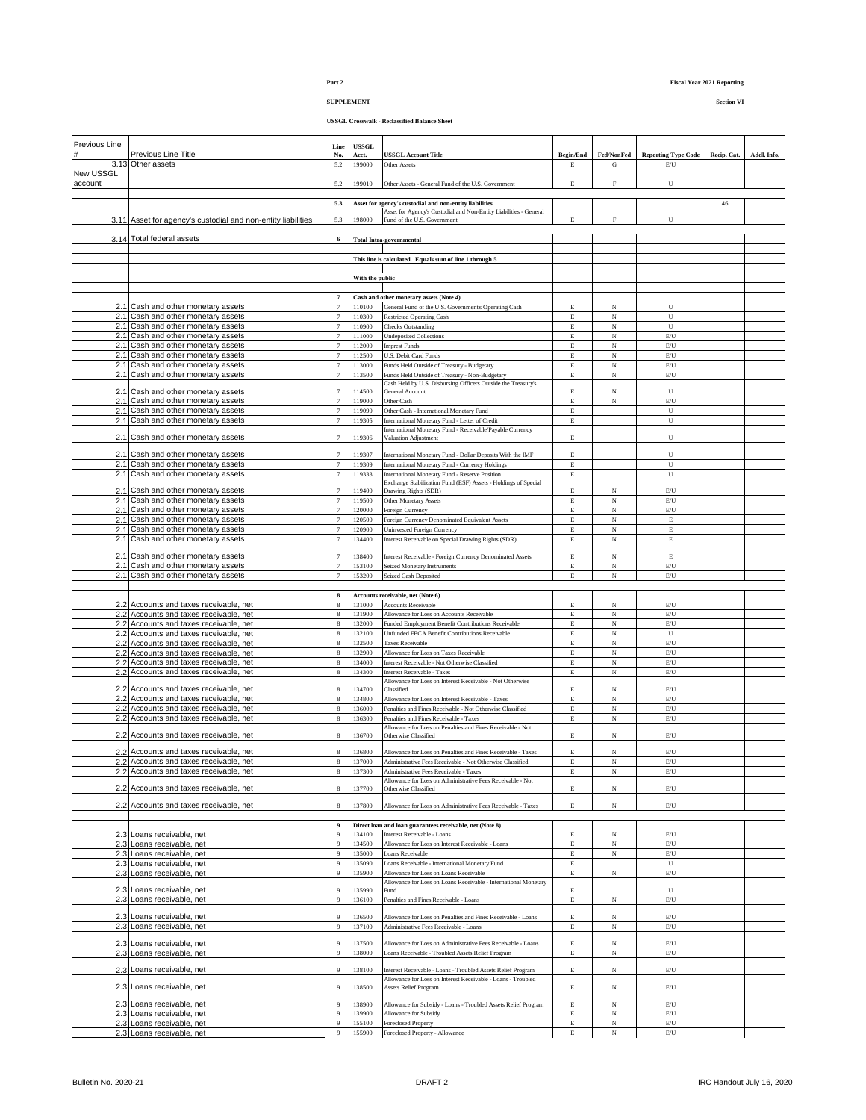## **SUPPLEMENT Section VI**

| Previous Line    | Previous Line Title                                                              | Line<br>No.                        | USSGL<br>Acct.   | <b>USSGL Account Title</b>                                                                                    | <b>Begin/End</b> | Fed/NonFed                   | <b>Reporting Type Code</b>                             | Recip. Cat. | Addl. Info. |
|------------------|----------------------------------------------------------------------------------|------------------------------------|------------------|---------------------------------------------------------------------------------------------------------------|------------------|------------------------------|--------------------------------------------------------|-------------|-------------|
| <b>New USSGL</b> | 3.13 Other assets                                                                | 5.2                                | 199000           | Other Assets                                                                                                  | E                | G                            | $\mathop{\hbox{\rm E}}\nolimits/{\bf U}$               |             |             |
| account          |                                                                                  | 5.2                                | 199010           | Other Assets - General Fund of the U.S. Government                                                            | E                | $\rm F$                      | U                                                      |             |             |
|                  |                                                                                  |                                    |                  |                                                                                                               |                  |                              |                                                        |             |             |
|                  |                                                                                  | 5.3                                |                  | Asset for agency's custodial and non-entity liabilities                                                       |                  |                              |                                                        | 46          |             |
|                  | 3.11 Asset for agency's custodial and non-entity liabilities                     | 5.3                                | 198000           | Asset for Agency's Custodial and Non-Entity Liabilities - General<br>Fund of the U.S. Government              | E                | $\rm F$                      | U                                                      |             |             |
|                  |                                                                                  |                                    |                  |                                                                                                               |                  |                              |                                                        |             |             |
|                  | 3.14 Total federal assets                                                        | 6                                  |                  | <b>Total Intra-governmental</b>                                                                               |                  |                              |                                                        |             |             |
|                  |                                                                                  |                                    |                  | This line is calculated. Equals sum of line 1 through 5                                                       |                  |                              |                                                        |             |             |
|                  |                                                                                  |                                    |                  |                                                                                                               |                  |                              |                                                        |             |             |
|                  |                                                                                  |                                    | With the public  |                                                                                                               |                  |                              |                                                        |             |             |
|                  |                                                                                  | $\overline{7}$                     |                  | Cash and other monetary assets (Note 4)                                                                       |                  |                              |                                                        |             |             |
|                  | 2.1 Cash and other monetary assets                                               | $\tau$                             | 110100           | General Fund of the U.S. Government's Operating Cash                                                          | $\mathbf E$      | N                            | U                                                      |             |             |
|                  | 2.1 Cash and other monetary assets<br>2.1 Cash and other monetary assets         | $\tau$<br>$\tau$                   | 110300<br>110900 | <b>Restricted Operating Cash</b><br><b>Checks Outstanding</b>                                                 | E<br>E           | N<br>$_{\rm N}$              | U<br>$\mathbf U$                                       |             |             |
|                  | 2.1 Cash and other monetary assets                                               | $\boldsymbol{7}$                   | 111000           | <b>Undeposited Collections</b>                                                                                | E                | N                            | $\mathrm{E}/\mathrm{U}$                                |             |             |
|                  | 2.1 Cash and other monetary assets                                               | $\tau$                             | 112000           | <b>Imprest Funds</b>                                                                                          | E                | N                            | $\mathrm{E}/\mathrm{U}$                                |             |             |
|                  | 2.1 Cash and other monetary assets                                               | $\tau$<br>$\tau$                   | 112500           | U.S. Debit Card Funds                                                                                         | $\mathbf E$<br>E | $_{\rm N}$<br>$\overline{N}$ | E/U<br>$\mathrm{E}/\mathrm{U}$                         |             |             |
|                  | 2.1 Cash and other monetary assets<br>2.1 Cash and other monetary assets         | $\boldsymbol{7}$                   | 113000<br>113500 | Funds Held Outside of Treasury - Budgetary<br>Funds Held Outside of Treasury - Non-Budgetary                  | $\mathbf E$      | $_{\rm N}$                   | $\mathop{\hbox{\rm E}}\nolimits/\mathop{\hbox{\rm U}}$ |             |             |
|                  |                                                                                  |                                    |                  | Cash Held by U.S. Disbursing Officers Outside the Treasury's                                                  |                  |                              |                                                        |             |             |
|                  | 2.1 Cash and other monetary assets<br>2.1 Cash and other monetary assets         | $\overline{7}$<br>$\boldsymbol{7}$ | 14500<br>119000  | General Account<br>Other Cash                                                                                 | E<br>$\mathbf E$ | N<br>$_{\rm N}$              | U<br>$\mathrm{E}/\mathrm{U}$                           |             |             |
|                  | 2.1 Cash and other monetary assets                                               | $\tau$                             | 119090           | Other Cash - International Monetary Fund                                                                      | $\mathbf E$      |                              | $\mathbf U$                                            |             |             |
|                  | 2.1 Cash and other monetary assets                                               | $\tau$                             | 119305           | International Monetary Fund - Letter of Credit                                                                | $\mathbf E$      |                              | U                                                      |             |             |
|                  | 2.1 Cash and other monetary assets                                               | $\overline{7}$                     | 119306           | International Monetary Fund - Receivable/Payable Currency<br>Valuation Adjustment                             | E                |                              | U                                                      |             |             |
|                  |                                                                                  |                                    |                  |                                                                                                               |                  |                              |                                                        |             |             |
|                  | 2.1 Cash and other monetary assets<br>2.1 Cash and other monetary assets         | $\boldsymbol{7}$                   | 119307<br>119309 | International Monetary Fund - Dollar Deposits With the IMF<br>International Monetary Fund - Currency Holdings | E<br>E           |                              | U<br>$\mathbf U$                                       |             |             |
|                  | 2.1 Cash and other monetary assets                                               | $7\phantom{.0}$                    | 119333           | International Monetary Fund - Reserve Position                                                                | E                |                              | U                                                      |             |             |
|                  | 2.1 Cash and other monetary assets                                               | $\tau$                             | 19400            | Exchange Stabilization Fund (ESF) Assets - Holdings of Special<br>Drawing Rights (SDR)                        | E                | N                            | $\mathbb{E}/\mathbb{U}$                                |             |             |
|                  | 2.1 Cash and other monetary assets                                               | $\overline{7}$                     | 119500           | Other Monetary Assets                                                                                         | $\mathbf E$      | $_{\rm N}$                   | $\mathrm{E}/\mathrm{U}$                                |             |             |
|                  | 2.1 Cash and other monetary assets                                               | $\tau$                             | 120000           | Foreign Currency                                                                                              | $\mathbf E$      | $_{\rm N}$                   | $\mathrm{E}/\mathrm{U}$                                |             |             |
|                  | 2.1 Cash and other monetary assets                                               | $\boldsymbol{7}$<br>$\tau$         | 120500           | Foreign Currency Denominated Equivalent Assets                                                                | E                | N                            | $\mathop{\hbox{\bf E}}$                                |             |             |
|                  | 2.1 Cash and other monetary assets<br>2.1 Cash and other monetary assets         | $\tau$                             | 120900<br>134400 | Uninvested Foreign Currency<br>Interest Receivable on Special Drawing Rights (SDR)                            | $\mathbf E$<br>E | N<br>N                       | $\mathop{\hbox{\bf E}}$<br>E                           |             |             |
|                  |                                                                                  |                                    |                  |                                                                                                               |                  |                              |                                                        |             |             |
|                  | 2.1 Cash and other monetary assets<br>2.1 Cash and other monetary assets         | $\tau$                             | 38400<br>153100  | Interest Receivable - Foreign Currency Denominated Assets<br>Seized Monetary Instruments                      | E<br>E           | N<br>N                       | E<br>$\mathrm{E}/\mathrm{U}$                           |             |             |
|                  | 2.1 Cash and other monetary assets                                               | $\tau$                             | 153200           | Seized Cash Deposited                                                                                         | E                | N                            | E/U                                                    |             |             |
|                  |                                                                                  |                                    |                  |                                                                                                               |                  |                              |                                                        |             |             |
|                  | 2.2 Accounts and taxes receivable, net                                           | $\bf8$<br>$\bf 8$                  | 131000           | Accounts receivable, net (Note 6)<br>Accounts Receivable                                                      | $\mathbf E$      | N                            | $\mathbb{E}/\mathbb{U}$                                |             |             |
|                  | 2.2 Accounts and taxes receivable, net                                           | $\bf8$                             | 131900           | Allowance for Loss on Accounts Receivable                                                                     | $\mathbf E$      | $_{\rm N}$                   | $\mathrm{E}/\mathrm{U}$                                |             |             |
|                  | 2.2 Accounts and taxes receivable, net                                           | $\bf8$                             | 132000           | Funded Employment Benefit Contributions Receivable                                                            | E                | $_{\rm N}$                   | $\mathrm{E}/\mathrm{U}$                                |             |             |
|                  | 2.2 Accounts and taxes receivable, net                                           | $\bf8$                             | 132100<br>132500 | Unfunded FECA Benefit Contributions Receivable                                                                | $\mathbf E$      | $_{\rm N}$<br>N              | $\mathbf U$<br>E/U                                     |             |             |
|                  | 2.2 Accounts and taxes receivable, net<br>2.2 Accounts and taxes receivable, net | $\,$ 8 $\,$<br>$\bf8$              | 132900           | <b>Taxes Receivable</b><br>Allowance for Loss on Taxes Receivable                                             | E<br>$\mathbf E$ | $_{\rm N}$                   | $\mathrm{E}/\mathrm{U}$                                |             |             |
|                  | 2.2 Accounts and taxes receivable, net                                           | $\bf8$                             | 134000           | Interest Receivable - Not Otherwise Classified                                                                | E                | $_{\rm N}$                   | $\mathrm{E}/\mathrm{U}$                                |             |             |
|                  | 2.2 Accounts and taxes receivable, net                                           | $\bf 8$                            | 134300           | Interest Receivable - Taxes                                                                                   | $\mathbf E$      | N                            | $\mathbb{E}/\mathbb{U}$                                |             |             |
|                  | 2.2 Accounts and taxes receivable, net                                           | 8                                  | 134700           | Allowance for Loss on Interest Receivable - Not Otherwise<br>Classified                                       | E                | N                            | E/U                                                    |             |             |
|                  | 2.2 Accounts and taxes receivable, net                                           | $\bf8$                             | 134800           | Allowance for Loss on Interest Receivable - Taxes                                                             | $\mathbf E$      | $_{\rm N}$                   | $\mathop{\hbox{\rm E}}\nolimits/\mathop{\hbox{\rm U}}$ |             |             |
|                  | Accounts and taxes receivable, net<br>2.2 Accounts and taxes receivable, net     | $\bf8$<br>$\bf8$                   | 136000<br>136300 | Penalties and Fines Receivable - Not Otherwise Classified<br>Penalties and Fines Receivable - Taxes           | E<br>$\mathbf E$ | $_{\rm N}$<br>$_{\rm N}$     | $\mathbb{E}/\mathbb{U}$<br>$\mathbb{E}/\mathbb{U}$     |             |             |
|                  |                                                                                  |                                    |                  | Allowance for Loss on Penalties and Fines Receivable - Not                                                    |                  |                              |                                                        |             |             |
|                  | 2.2 Accounts and taxes receivable, net                                           | $\bf8$                             | 136700           | Otherwise Classified                                                                                          | E                | N                            | $\mathop{\hbox{\rm E}}\nolimits$                       |             |             |
|                  | 2.2 Accounts and taxes receivable, net                                           | $\bf8$                             | 136800           | Allowance for Loss on Penalties and Fines Receivable - Taxes                                                  | E                | N                            | E/U                                                    |             |             |
|                  | 2.2 Accounts and taxes receivable, net                                           | $\bf 8$                            | 137000           | Administrative Fees Receivable - Not Otherwise Classified                                                     | E                | N                            | $\mathrm{E}/\mathrm{U}$                                |             |             |
|                  | 2.2 Accounts and taxes receivable, net                                           | 8                                  | 137300           | Administrative Fees Receivable - Taxes<br>Allowance for Loss on Administrative Fees Receivable - Not          | Е                | N                            | E/U                                                    |             |             |
|                  | 2.2 Accounts and taxes receivable, net                                           | 8                                  | 137700           | Otherwise Classified                                                                                          | E                | N                            | E/U                                                    |             |             |
|                  | 2.2 Accounts and taxes receivable, net                                           | $\bf8$                             | 137800           | Allowance for Loss on Administrative Fees Receivable - Taxes                                                  | E                | N                            | $\mathbb{E}/\mathbb{U}$                                |             |             |
|                  |                                                                                  |                                    |                  |                                                                                                               |                  |                              |                                                        |             |             |
|                  |                                                                                  | 9<br>9                             | 134100           | Direct loan and loan guarantees receivable, net (Note 8)                                                      | E                |                              |                                                        |             |             |
|                  | 2.3 Loans receivable, net<br>2.3 Loans receivable, net                           | 9                                  | 134500           | Interest Receivable - Loans<br>Allowance for Loss on Interest Receivable - Loans                              | E                | N<br>N                       | $\mathbb{E}/\mathbb{U}$<br>$\mathbb{E}/\mathbb{U}$     |             |             |
|                  | 2.3 Loans receivable, net                                                        | 9                                  | 135000           | Loans Receivable                                                                                              | $\mathbf E$      | $_{\rm N}$                   | $\mathbb{E}/\mathbb{U}$                                |             |             |
|                  | 2.3 Loans receivable, net                                                        | $\boldsymbol{9}$                   | 135090           | Loans Receivable - International Monetary Fund                                                                | Е                |                              | U                                                      |             |             |
|                  | 2.3 Loans receivable, net                                                        | $\overline{9}$                     | 135900           | Allowance for Loss on Loans Receivable<br>Allowance for Loss on Loans Receivable - International Monetary     | $\mathbf E$      | N                            | $\mathbb{E}/\mathbb{U}$                                |             |             |
|                  | 2.3 Loans receivable, net                                                        | $\mathbf{Q}$                       | 135990           | Fund                                                                                                          | E                |                              | U                                                      |             |             |
|                  | 2.3 Loans receivable, net                                                        | $\,9$                              | 136100           | Penalties and Fines Receivable - Loans                                                                        | E                | $_{\rm N}$                   | $\mathrm{E}/\mathrm{U}$                                |             |             |
|                  | 2.3 Loans receivable, net                                                        | 9                                  | 136500           | Allowance for Loss on Penalties and Fines Receivable - Loans                                                  | E                | N                            | E/U                                                    |             |             |
|                  | 2.3 Loans receivable, net                                                        | $\boldsymbol{9}$                   | 137100           | Administrative Fees Receivable - Loans                                                                        | $\mathbf E$      | N                            | $\mathrm{E}/\mathrm{U}$                                |             |             |
|                  | 2.3 Loans receivable, net                                                        | 9                                  | 137500           | Allowance for Loss on Administrative Fees Receivable - Loans                                                  | $\mathbf E$      | N                            | $\mathrm{E}/\mathrm{U}$                                |             |             |
|                  | 2.3 Loans receivable, net                                                        | 9                                  | 138000           | Loans Receivable - Troubled Assets Relief Program                                                             | $\mathbf E$      | N                            | $\mathbb{E}/\mathbb{U}$                                |             |             |
|                  | 2.3 Loans receivable, net                                                        | 9                                  | 138100           | Interest Receivable - Loans - Troubled Assets Relief Program                                                  | Е                | N                            | E/U                                                    |             |             |
|                  |                                                                                  |                                    |                  | Allowance for Loss on Interest Receivable - Loans - Troubled                                                  |                  |                              |                                                        |             |             |
|                  | 2.3 Loans receivable, net                                                        | 9                                  | 138500           | <b>Assets Relief Program</b>                                                                                  | E                | N                            | $\mathrm{E}/\mathrm{U}$                                |             |             |
|                  | 2.3 Loans receivable, net                                                        | 9                                  | 138900           | Allowance for Subsidy - Loans - Troubled Assets Relief Program                                                | E                | N                            | E/U                                                    |             |             |
|                  | 2.3 Loans receivable, net<br>2.3 Loans receivable, net                           | $\,9$<br>9                         | 139900<br>155100 | Allowance for Subsidy<br>Foreclosed Property                                                                  | E<br>E           | N<br>$_{\rm N}$              | $\mathrm{E}/\mathrm{U}$<br>$\mathbb{E}/\mathbb{U}$     |             |             |
|                  | 2.3 Loans receivable, net                                                        | $\boldsymbol{9}$                   | 155900           | Foreclosed Property - Allowance                                                                               | E                | $_{\rm N}$                   | $\mathrm{E}/\mathrm{U}$                                |             |             |
|                  |                                                                                  |                                    |                  |                                                                                                               |                  |                              |                                                        |             |             |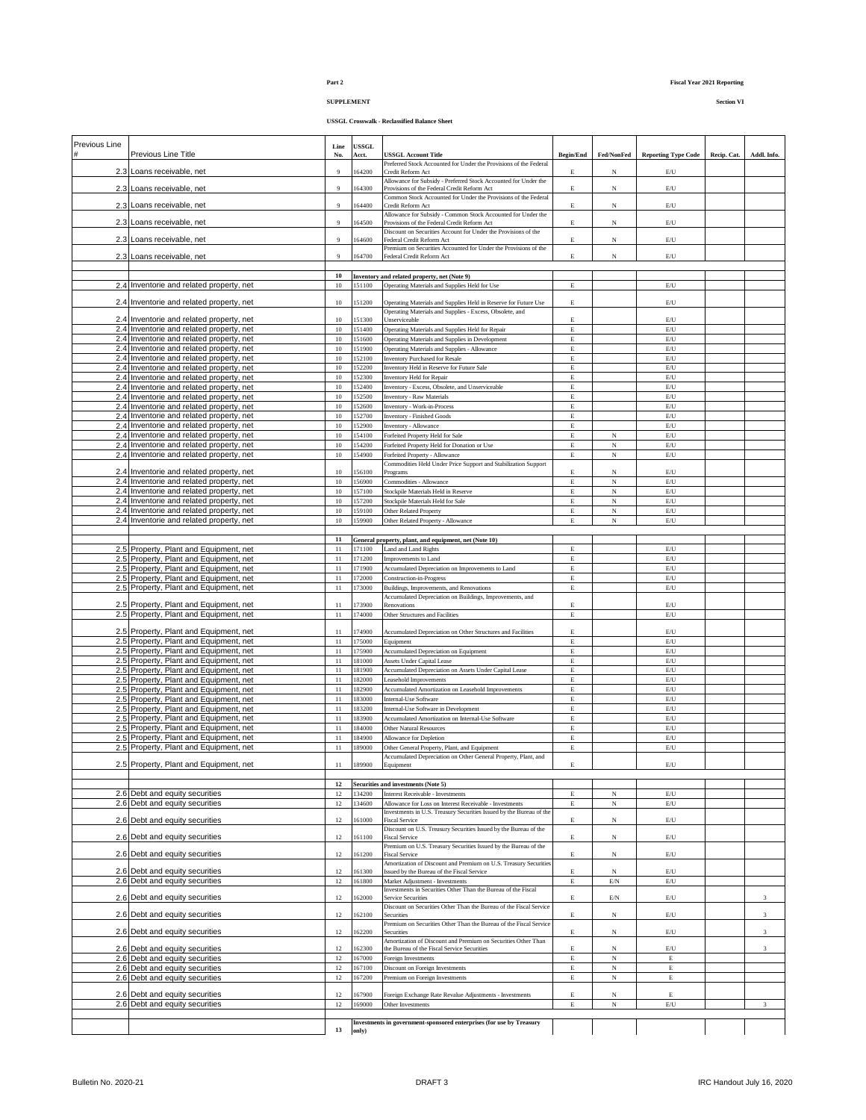# **SUPPLEMENT Section VI**

| Previous Line |                                                                                      |                       |                       |                                                                                                      |                  |                 |                                                                     |             |             |
|---------------|--------------------------------------------------------------------------------------|-----------------------|-----------------------|------------------------------------------------------------------------------------------------------|------------------|-----------------|---------------------------------------------------------------------|-------------|-------------|
|               | Previous Line Title                                                                  | Line<br>No.           | <b>USSGL</b><br>Acct. | USSGL Account Title                                                                                  | <b>Begin/End</b> | Fed/NonFed      | <b>Reporting Type Code</b>                                          | Recip. Cat. | Addl. Info. |
|               |                                                                                      |                       |                       | Preferred Stock Accounted for Under the Provisions of the Federal                                    |                  |                 |                                                                     |             |             |
|               | 2.3 Loans receivable, net                                                            | $\overline{9}$        | 164200                | Credit Reform Act<br>Allowance for Subsidy - Preferred Stock Accounted for Under the                 | E                | N               | E/U                                                                 |             |             |
|               | 2.3 Loans receivable, net                                                            | $\overline{9}$        | 164300                | Provisions of the Federal Credit Reform Act                                                          | E                | N               | $\mathbb{E}/\mathbb{U}$                                             |             |             |
|               |                                                                                      |                       |                       | Common Stock Accounted for Under the Provisions of the Federal                                       |                  |                 |                                                                     |             |             |
|               | 2.3 Loans receivable, net                                                            | 9                     | 164400                | Credit Reform Act<br>Allowance for Subsidy - Common Stock Accounted for Under the                    | E                | N               | E/U                                                                 |             |             |
|               | 2.3 Loans receivable, net                                                            | 9                     | 164500                | Provisions of the Federal Credit Reform Act                                                          | E                | N               | E/U                                                                 |             |             |
|               |                                                                                      |                       |                       | Discount on Securities Account for Under the Provisions of the                                       |                  |                 |                                                                     |             |             |
|               | 2.3 Loans receivable, net                                                            | $\overline{9}$        | 164600                | Federal Credit Reform Act<br>Premium on Securities Accounted for Under the Provisions of the         | E                | N               | E/U                                                                 |             |             |
|               | 2.3 Loans receivable, net                                                            | 9                     | 164700                | Federal Credit Reform Act                                                                            | E                | N               | $\mathbb{E}/\mathbb{U}$                                             |             |             |
|               |                                                                                      |                       |                       |                                                                                                      |                  |                 |                                                                     |             |             |
|               |                                                                                      | 10                    |                       | Inventory and related property, net (Note 9)                                                         |                  |                 |                                                                     |             |             |
|               | 2.4 Inventorie and related property, net                                             | 10                    | 151100                | Operating Materials and Supplies Held for Use                                                        | E                |                 | E/U                                                                 |             |             |
|               | 2.4 Inventorie and related property, net                                             | $10\,$                | 151200                | Operating Materials and Supplies Held in Reserve for Future Use                                      | E                |                 | E/U                                                                 |             |             |
|               |                                                                                      |                       |                       | Operating Materials and Supplies - Excess, Obsolete, and                                             |                  |                 |                                                                     |             |             |
|               | 2.4 Inventorie and related property, net                                             | 10                    | 151300                | Unserviceable<br>Operating Materials and Supplies Held for Repair                                    | E<br>E           |                 | E/U                                                                 |             |             |
|               | 2.4 Inventorie and related property, net<br>2.4 Inventorie and related property, net | $10\,$<br>$10\,$      | 151400<br>151600      | Operating Materials and Supplies in Development                                                      | E                |                 | $\mathrm{E}/\mathrm{U}$<br>$\mathop{\hbox{\rm E}}\nolimits/{\bf U}$ |             |             |
|               | 2.4 Inventorie and related property, net                                             | $10\,$                | 151900                | Operating Materials and Supplies - Allowance                                                         | E                |                 | $\mathbb{E}/\mathbb{U}$                                             |             |             |
|               | 2.4 Inventorie and related property, net                                             | 10                    | 152100                | <b>Inventory Purchased for Resale</b>                                                                | E                |                 | $\mathbb{E}/\mathbb{U}$                                             |             |             |
|               | 2.4 Inventorie and related property, net                                             | 10                    | 152200                | Inventory Held in Reserve for Future Sale                                                            | E                |                 | $\mathbb{E}/\mathbb{U}$                                             |             |             |
|               | 2.4 Inventorie and related property, net                                             | 10                    | 152300                | Inventory Held for Repair                                                                            | E                |                 | $\mathbb{E}/\mathbb{U}$                                             |             |             |
|               | 2.4 Inventorie and related property, net                                             | 10                    | 152400                | Inventory - Excess, Obsolete, and Unserviceable                                                      | E                |                 | E/U                                                                 |             |             |
|               | 2.4 Inventorie and related property, net                                             | 10                    | 152500                | <b>Inventory - Raw Materials</b>                                                                     | E                |                 | $\mathrm{E}/\mathrm{U}$                                             |             |             |
|               | 2.4 Inventorie and related property, net                                             | $10\,$                | 152600                | Inventory - Work-in-Process                                                                          | E                |                 | $\mathop{\hbox{\rm E}}\nolimits/{\bf U}$                            |             |             |
|               | 2.4 Inventorie and related property, net<br>2.4 Inventorie and related property, net | $10\,$<br>10          | 152700<br>152900      | <b>Inventory - Finished Goods</b><br>Inventory - Allowance                                           | E<br>E           |                 | $\mathbb{E}/\mathbb{U}$<br>$\mathbb{E}/\mathbb{U}$                  |             |             |
|               | 2.4 Inventorie and related property, net                                             | 10                    | 154100                | Forfeited Property Held for Sale                                                                     | E                | $_{\rm N}$      | $\mathbb{E}/\mathbb{U}$                                             |             |             |
|               | 2.4 Inventorie and related property, net                                             | 10                    | 154200                | Forfeited Property Held for Donation or Use                                                          | E                | N               | $\mathrm{E}/\mathrm{U}$                                             |             |             |
|               | 2.4 Inventorie and related property, net                                             | $10\,$                | 154900                | Forfeited Property - Allowance                                                                       | E                | N               | $\mathrm{E}/\mathrm{U}$                                             |             |             |
|               |                                                                                      |                       |                       | Commodities Held Under Price Support and Stabilization Support                                       |                  |                 |                                                                     |             |             |
|               | 2.4 Inventorie and related property, net                                             | 10                    | 156100                | Programs                                                                                             | E                | N               | E/U                                                                 |             |             |
|               | 2.4 Inventorie and related property, net                                             | 10                    | 156900                | Commodities - Allowance                                                                              | E                | $_{\rm N}$      | $\mathrm{E}/\mathrm{U}$                                             |             |             |
|               | 2.4 Inventorie and related property, net<br>2.4 Inventorie and related property, net | 10<br>10 <sup>°</sup> | 157100<br>157200      | Stockpile Materials Held in Reserve<br>Stockpile Materials Held for Sale                             | E                | $_{\rm N}$<br>N | $\mathop{\hbox{\rm E}}\nolimits/{\bf U}$<br>$\mathbb{E}/\mathbb{U}$ |             |             |
|               | 2.4 Inventorie and related property, net                                             | $10\,$                | 159100                | Other Related Property                                                                               | Е<br>E           | $_{\rm N}$      | $\mathbb{E}/\mathbb{U}$                                             |             |             |
|               | 2.4 Inventorie and related property, net                                             | 10                    | 159900                | Other Related Property - Allowance                                                                   | E                | N               | $\mathbb{E}/\mathbb{U}$                                             |             |             |
|               |                                                                                      |                       |                       |                                                                                                      |                  |                 |                                                                     |             |             |
|               |                                                                                      | 11                    |                       | General property, plant, and equipment, net (Note 10)                                                |                  |                 |                                                                     |             |             |
|               | 2.5 Property, Plant and Equipment, net                                               | 11                    | 171100                | Land and Land Rights                                                                                 | E                |                 | E/U                                                                 |             |             |
|               | 2.5 Property, Plant and Equipment, net                                               | $11\,$                | 171200                | Improvements to Land                                                                                 | E                |                 | $\mathop{\hbox{\rm E}}\nolimits/{\bf U}$                            |             |             |
|               | 2.5 Property, Plant and Equipment, net                                               | 11                    | 171900                | Accumulated Depreciation on Improvements to Land                                                     | E                |                 | $\mathbb{E}/\mathbb{U}$                                             |             |             |
|               | 2.5 Property, Plant and Equipment, net                                               | 11                    | 172000                | Construction-in-Progress                                                                             | E                |                 | $\mathop{\hbox{\rm E}}\nolimits/{\bf U}$                            |             |             |
|               | 2.5 Property, Plant and Equipment, net                                               | $11\,$                | 173000                | Buildings, Improvements, and Renovations<br>Accumulated Depreciation on Buildings, Improvements, and | E                |                 | $\mathbb{E}/\mathbb{U}$                                             |             |             |
|               | 2.5 Property, Plant and Equipment, net                                               | 11                    | 173900                | Renovations                                                                                          | Е                |                 | E/U                                                                 |             |             |
|               | 2.5 Property, Plant and Equipment, net                                               | $11\,$                | 174000                | Other Structures and Facilities                                                                      | E                |                 | $\mathrm{E}/\mathrm{U}$                                             |             |             |
|               |                                                                                      |                       |                       |                                                                                                      |                  |                 |                                                                     |             |             |
|               | 2.5 Property, Plant and Equipment, net                                               | 11                    | 174900                | Accumulated Depreciation on Other Structures and Facilities                                          | E                |                 | $\mathbb{E}/\mathbb{U}$                                             |             |             |
|               | 2.5 Property, Plant and Equipment, net<br>2.5 Property, Plant and Equipment, net     | 11<br>$11\,$          | 175000<br>175900      | Equipment<br>Accumulated Depreciation on Equipment                                                   | E<br>E           |                 | E/U<br>$\mathrm{E}/\mathrm{U}$                                      |             |             |
|               | 2.5 Property, Plant and Equipment, net                                               | 11                    | 181000                | Assets Under Capital Lease                                                                           | E                |                 | $\mathbb{E}/\mathbb{U}$                                             |             |             |
|               | 2.5 Property, Plant and Equipment, net                                               | 11                    | 181900                | Accumulated Depreciation on Assets Under Capital Lease                                               | Е                |                 | E/U                                                                 |             |             |
|               | 2.5 Property, Plant and Equipment, net                                               | $11\,$                | 182000                | Leasehold Improvements                                                                               | E                |                 | $\mathop{\hbox{\rm E}}\nolimits/{\bf U}$                            |             |             |
|               | 2.5 Property, Plant and Equipment, net                                               | $11\,$                | 182900                | Accumulated Amortization on Leasehold Improvements                                                   | E                |                 | $\mathrm{E}/\mathrm{U}$                                             |             |             |
|               | 2.5 Property, Plant and Equipment, net                                               | $11\,$                | 183000                | Internal-Use Software                                                                                | E                |                 | $\mathop{\hbox{\rm E}}\nolimits/{\bf U}$                            |             |             |
|               | 2.5 Property, Plant and Equipment, net                                               | $11\,$                | 183200                | Internal-Use Software in Development                                                                 | E                |                 | E/U                                                                 |             |             |
|               | 2.5 Property, Plant and Equipment, net                                               | $11\,$                | 183900                | Accumulated Amortization on Internal-Use Software                                                    | E                |                 | $\mathbb{E}/\mathbb{U}$                                             |             |             |
|               | 2.5 Property, Plant and Equipment, net<br>2.5 Property, Plant and Equipment, net     | 11<br>11              | 184000<br>184900      | Other Natural Resources                                                                              | E<br>E           |                 | E/U<br>$\mathbb{E}/\mathbb{U}$                                      |             |             |
|               | 2.5 Property, Plant and Equipment, net                                               | 11                    | 189000                | Allowance for Depletion<br>Other General Property, Plant, and Equipment                              | Е                |                 | E/U                                                                 |             |             |
|               |                                                                                      |                       |                       | Accumulated Depreciation on Other General Property, Plant, and                                       |                  |                 |                                                                     |             |             |
|               | 2.5 Property, Plant and Equipment, net                                               |                       | 189900                | Equipment                                                                                            | E                |                 | E/U                                                                 |             |             |
|               |                                                                                      |                       |                       |                                                                                                      |                  |                 |                                                                     |             |             |
|               |                                                                                      | $12\,$                |                       | Securities and investments (Note 5)                                                                  |                  |                 |                                                                     |             |             |
|               | 2.6 Debt and equity securities<br>2.6 Debt and equity securities                     | 12<br>$12\,$          | 134200<br>134600      | Interest Receivable - Investments<br>Allowance for Loss on Interest Receivable - Investments         | E<br>E           | N<br>N          | $\mathop{\hbox{\rm E}}\nolimits/{\bf U}$<br>$\mathbb{E}/\mathbb{U}$ |             |             |
|               |                                                                                      |                       |                       | Investments in U.S. Treasury Securities Issued by the Bureau of the                                  |                  |                 |                                                                     |             |             |
|               | 2.6 Debt and equity securities                                                       | 12                    | 161000                | <b>Fiscal Service</b>                                                                                | E                | N               | $\mathbb{E}/\mathbb{U}$                                             |             |             |
|               |                                                                                      |                       |                       | Discount on U.S. Treasury Securities Issued by the Bureau of the                                     |                  |                 |                                                                     |             |             |
|               | 2.6 Debt and equity securities                                                       | 12                    | 161100                | <b>Fiscal Service</b><br>Premium on U.S. Treasury Securities Issued by the Bureau of the             | E                | N               | $\mathop{\hbox{\rm E}}\nolimits/{\bf U}$                            |             |             |
|               | 2.6 Debt and equity securities                                                       | 12                    | 161200                | <b>Fiscal Service</b>                                                                                | E                | N               | $\mathop{\hbox{\rm E}}\nolimits/{\bf U}$                            |             |             |
|               |                                                                                      |                       |                       | Amortization of Discount and Premium on U.S. Treasury Securities                                     |                  |                 |                                                                     |             |             |
|               | 2.6 Debt and equity securities                                                       | 12                    | 161300                | Issued by the Bureau of the Fiscal Service                                                           | E                | $_{\rm N}$      | $\mathop{\hbox{\rm E}}\nolimits/{\bf U}$                            |             |             |
|               | 2.6 Debt and equity securities                                                       | 12                    | 161800                | Market Adjustment - Investments<br>Investments in Securities Other Than the Bureau of the Fiscal     | E                | E/N             | $\mathbb{E}/\mathbb{U}$                                             |             |             |
|               | 2.6 Debt and equity securities                                                       | 12                    | 162000                | Service Securities                                                                                   | E                | $\mathrm{E/N}$  | $\mathbb{E}/\mathbb{U}$                                             |             | 3           |
|               |                                                                                      |                       |                       | Discount on Securities Other Than the Bureau of the Fiscal Service                                   |                  |                 |                                                                     |             |             |
|               | 2.6 Debt and equity securities                                                       | 12                    | 162100                | Securities<br>Premium on Securities Other Than the Bureau of the Fiscal Service                      | E                | N               | $\mathbb{E}/\mathbb{U}$                                             |             | 3           |
|               | 2.6 Debt and equity securities                                                       | 12                    | 162200                | Securities                                                                                           | E                | N               | $\mathbb{E}/\mathbb{U}$                                             |             | 3           |
|               |                                                                                      |                       |                       | Amortization of Discount and Premium on Securities Other Than                                        |                  |                 |                                                                     |             |             |
|               | 2.6 Debt and equity securities                                                       | 12                    | 162300                | the Bureau of the Fiscal Service Securities                                                          | E                | N               | $\mathrm{E}/\mathrm{U}$                                             |             | 3           |
|               | 2.6 Debt and equity securities                                                       | 12                    | 167000                | Foreign Investments                                                                                  | E                | N               | E                                                                   |             |             |
|               | 2.6 Debt and equity securities<br>2.6 Debt and equity securities                     | 12<br>12              | 167100<br>167200      | Discount on Foreign Investments<br>Premium on Foreign Investments                                    | E<br>E           | N<br>N          | E<br>E                                                              |             |             |
|               |                                                                                      |                       |                       |                                                                                                      |                  |                 |                                                                     |             |             |
|               | 2.6 Debt and equity securities                                                       | 12                    | 167900                | Foreign Exchange Rate Revalue Adjustments - Investments                                              | E                | N               | E                                                                   |             |             |
|               | 2.6 Debt and equity securities                                                       | 12                    | 169000                | Other Investments                                                                                    | E                | $_{\rm N}$      | $\mathop{\hbox{\rm E}}\nolimits/\mathop{\hbox{\rm U}}$              |             | 3           |
|               |                                                                                      |                       |                       |                                                                                                      |                  |                 |                                                                     |             |             |
|               |                                                                                      | 13                    | only)                 | Investments in government-sponsored enterprises (for use by Treasury                                 |                  |                 |                                                                     |             |             |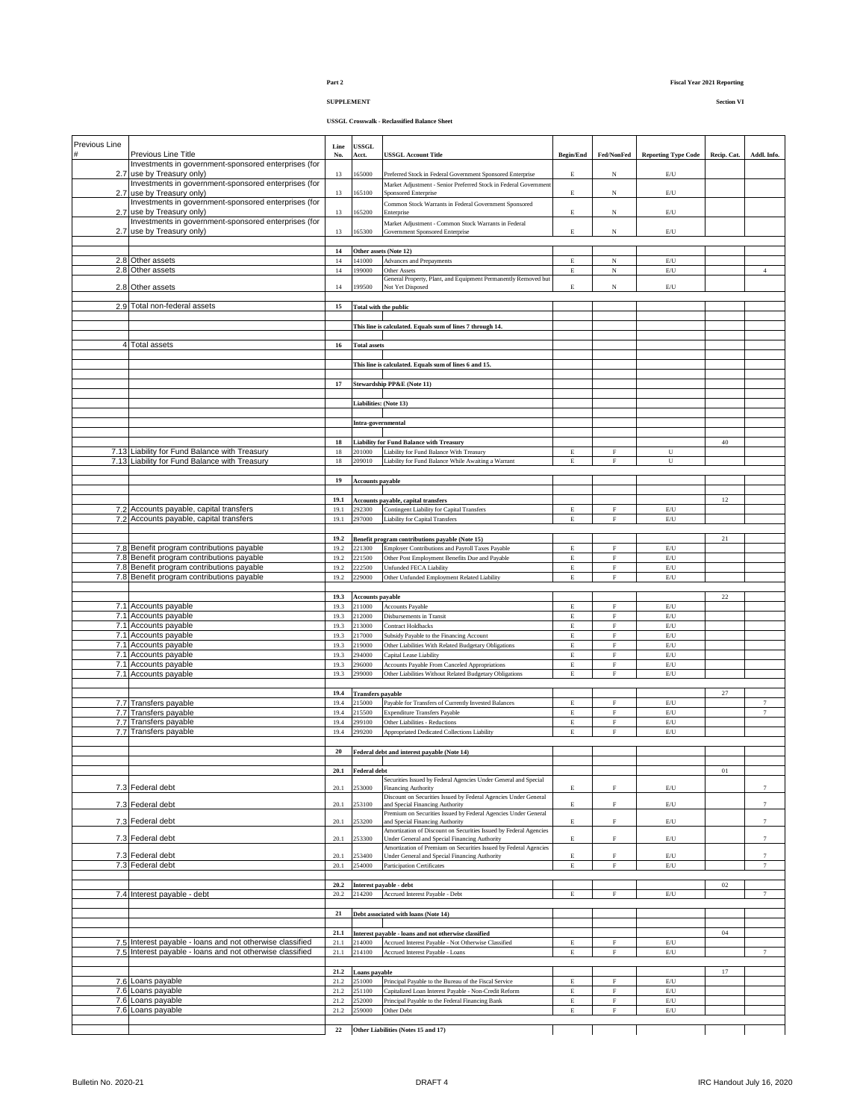## **SUPPLEMENT Section VI**

| Previous Line |                                                                                        | Line             | <b>USSGL</b>                       |                                                                                                                   |                            |                            |                                                        |             |                 |
|---------------|----------------------------------------------------------------------------------------|------------------|------------------------------------|-------------------------------------------------------------------------------------------------------------------|----------------------------|----------------------------|--------------------------------------------------------|-------------|-----------------|
|               | Previous Line Title                                                                    | No.              | Acct.                              | <b>USSGL Account Title</b>                                                                                        | Begin/End                  | Fed/NonFed                 | <b>Reporting Type Code</b>                             | Recip. Cat. | Addl. Info.     |
|               | Investments in government-sponsored enterprises (for<br>2.7 use by Treasury only)      | 13               | 165000                             | Preferred Stock in Federal Government Sponsored Enterprise                                                        | E                          | N                          | $\mathrm{E}/\mathrm{U}$                                |             |                 |
|               | Investments in government-sponsored enterprises (for                                   |                  |                                    | Market Adjustment - Senior Preferred Stock in Federal Government                                                  |                            |                            |                                                        |             |                 |
| 2.7           | use by Treasury only)                                                                  | 13               | 165100                             | Sponsored Enterprise                                                                                              | $\mathbf E$                | N                          | $\mathbb{E}/\mathbb{U}$                                |             |                 |
|               | Investments in government-sponsored enterprises (for                                   |                  |                                    | Common Stock Warrants in Federal Government Sponsored                                                             |                            |                            |                                                        |             |                 |
| 2.7           | use by Treasury only)<br>Investments in government-sponsored enterprises (for          | 13               | 165200                             | Enterprise                                                                                                        | E                          | N                          | $\mathrm{E}/\mathrm{U}$                                |             |                 |
|               | 2.7 use by Treasury only)                                                              | 13               | 165300                             | Market Adjustment - Common Stock Warrants in Federal<br>Government Sponsored Enterprise                           | $\mathbf E$                | N                          | $\mathbb{E}/\mathbb{U}$                                |             |                 |
|               |                                                                                        |                  |                                    |                                                                                                                   |                            |                            |                                                        |             |                 |
|               |                                                                                        | 14               |                                    | Other assets (Note 12)                                                                                            |                            |                            |                                                        |             |                 |
|               | 2.8 Other assets                                                                       | 14               | 141000                             | Advances and Prepayments                                                                                          | $\mathbf E$                | N                          | $\mathrm{E}/\mathrm{U}$                                |             |                 |
|               | 2.8 Other assets                                                                       | 14               | 199000                             | <b>Other Assets</b>                                                                                               | $\mathbf E$                | N                          | $\mathrm{E}/\mathrm{U}$                                |             | $\overline{4}$  |
|               | 2.8 Other assets                                                                       | 14               | 99500                              | General Property, Plant, and Equipment Permanently Removed but<br>Not Yet Disposed                                | E                          | N                          | $\mathbb{E}/\mathbb{U}$                                |             |                 |
|               |                                                                                        |                  |                                    |                                                                                                                   |                            |                            |                                                        |             |                 |
|               | 2.9 Total non-federal assets                                                           | 15               |                                    | <b>Total with the public</b>                                                                                      |                            |                            |                                                        |             |                 |
|               |                                                                                        |                  |                                    |                                                                                                                   |                            |                            |                                                        |             |                 |
|               |                                                                                        |                  |                                    | This line is calculated. Equals sum of lines 7 through 14.                                                        |                            |                            |                                                        |             |                 |
|               | 4 Total assets                                                                         | $16\phantom{.0}$ | <b>Total assets</b>                |                                                                                                                   |                            |                            |                                                        |             |                 |
|               |                                                                                        |                  |                                    |                                                                                                                   |                            |                            |                                                        |             |                 |
|               |                                                                                        |                  |                                    | This line is calculated. Equals sum of lines 6 and 15.                                                            |                            |                            |                                                        |             |                 |
|               |                                                                                        |                  |                                    |                                                                                                                   |                            |                            |                                                        |             |                 |
|               |                                                                                        | 17               |                                    | <b>Stewardship PP&amp;E</b> (Note 11)                                                                             |                            |                            |                                                        |             |                 |
|               |                                                                                        |                  |                                    |                                                                                                                   |                            |                            |                                                        |             |                 |
|               |                                                                                        |                  | Liabilities: (Note 13)             |                                                                                                                   |                            |                            |                                                        |             |                 |
|               |                                                                                        |                  | Intra-governmental                 |                                                                                                                   |                            |                            |                                                        |             |                 |
|               |                                                                                        |                  |                                    |                                                                                                                   |                            |                            |                                                        |             |                 |
|               |                                                                                        | 18               |                                    | <b>Liability for Fund Balance with Treasury</b>                                                                   |                            |                            |                                                        | 40          |                 |
|               | 7.13 Liability for Fund Balance with Treasury                                          | $18\,$           | 201000                             | Liability for Fund Balance With Treasury                                                                          | $\mathbf E$                | $\rm F$                    | U                                                      |             |                 |
|               | 7.13 Liability for Fund Balance with Treasury                                          | 18               | 209010                             | Liability for Fund Balance While Awaiting a Warrant                                                               | $\mathbf E$                | $\mathbf F$                | U                                                      |             |                 |
|               |                                                                                        | 19               | <b>Accounts payable</b>            |                                                                                                                   |                            |                            |                                                        |             |                 |
|               |                                                                                        |                  |                                    |                                                                                                                   |                            |                            |                                                        |             |                 |
|               |                                                                                        | 19.1             |                                    | Accounts payable, capital transfers                                                                               |                            |                            |                                                        | 12          |                 |
| 7.2           | Accounts payable, capital transfers                                                    | 19.1             | 92300                              | Contingent Liability for Capital Transfers                                                                        | $\mathbf E$                | F                          | E/U                                                    |             |                 |
|               | 7.2 Accounts payable, capital transfers                                                | 19.1             | 297000                             | Liability for Capital Transfers                                                                                   | $\mathbf E$                | $\mathbf F$                | $\mathrm{E}/\mathrm{U}$                                |             |                 |
|               |                                                                                        |                  |                                    |                                                                                                                   |                            |                            |                                                        |             |                 |
|               |                                                                                        | 19.2             |                                    | Benefit program contributions payable (Note 15)                                                                   |                            |                            |                                                        | 21          |                 |
|               | 7.8 Benefit program contributions payable<br>7.8 Benefit program contributions payable | 19.2<br>19.2     | 221300<br>221500                   | Employer Contributions and Payroll Taxes Payable<br>Other Post Employment Benefits Due and Payable                | $\mathbf E$<br>$\mathbf E$ | $\mathbf F$<br>$\mathbf F$ | $\mathrm{E}/\mathrm{U}$<br>$\mathrm{E}/\mathrm{U}$     |             |                 |
|               | 7.8 Benefit program contributions payable                                              | 19.2             | 22500                              | Unfunded FECA Liability                                                                                           | $\mathbf E$                | $\mathbf F$                | E/U                                                    |             |                 |
|               | 7.8 Benefit program contributions payable                                              | 19.2             | 29000                              | Other Unfunded Employment Related Liability                                                                       | E                          | $\overline{F}$             | E/U                                                    |             |                 |
|               |                                                                                        |                  |                                    |                                                                                                                   |                            |                            |                                                        |             |                 |
|               |                                                                                        | 19.3             | <b>Accounts payable</b>            |                                                                                                                   |                            |                            |                                                        | 22          |                 |
|               | 7.1 Accounts payable                                                                   | 19.3             | 211000                             | Accounts Payable                                                                                                  | $\mathbf E$                | $\mathbf F$                | E/U                                                    |             |                 |
|               | 7.1 Accounts payable                                                                   | 19.3<br>19.3     | 212000<br>213000                   | Disbursements in Transit<br><b>Contract Holdbacks</b>                                                             | E<br>E                     | $\mathbf F$<br>$\mathbf F$ | $\mathrm{E}/\mathrm{U}$<br>$\mathrm{E}/\mathrm{U}$     |             |                 |
|               | 7.1 Accounts payable<br>7.1 Accounts payable                                           | 19.3             | 217000                             | Subsidy Payable to the Financing Account                                                                          | $\mathbf E$                | $\mathbf F$                | $\mathrm{E}/\mathrm{U}$                                |             |                 |
|               | 7.1 Accounts payable                                                                   | 19.3             | 219000                             | Other Liabilities With Related Budgetary Obligations                                                              | $\mathbf E$                | $\mathbf F$                | $\mathrm{E}/\mathrm{U}$                                |             |                 |
|               | 7.1 Accounts payable                                                                   | 19.3             | 94000                              | Capital Lease Liability                                                                                           | $\mathbf E$                | $\mathbf F$                | $\mathrm{E}/\mathrm{U}$                                |             |                 |
|               | 7.1 Accounts payable                                                                   | 19.3             | 96000                              | Accounts Payable From Canceled Appropriations                                                                     | $\mathbf E$                | $\mathbf F$                | $\mathrm{E}/\mathrm{U}$                                |             |                 |
|               | 7.1 Accounts payable                                                                   | 19.3             | 299000                             | Other Liabilities Without Related Budgetary Obligations                                                           | $\mathbf E$                | $\mathbf F$                | $\mathrm{E}/\mathrm{U}$                                |             |                 |
|               |                                                                                        |                  |                                    |                                                                                                                   |                            |                            |                                                        |             |                 |
|               | 7.7 Transfers payable                                                                  | 19.4<br>19.4     | <b>Transfers payable</b><br>215000 | Payable for Transfers of Currently Invested Balances                                                              | Е                          | $\mathbf F$                | $\mathrm{E}/\mathrm{U}$                                | $27\,$      | $7\phantom{.0}$ |
|               | 7.7 Transfers payable                                                                  | 19.4             | 215500                             | <b>Expenditure Transfers Payable</b>                                                                              | $\mathop{\hbox{\bf E}}$    | $\overline{F}$             | $\mathrm{E}/\mathrm{U}$                                |             | $\tau$          |
|               | 7.7 Transfers payable                                                                  | 19.4             | 299100                             | Other Liabilities - Reductions                                                                                    | $\mathbf E$                | $\mathbf F$                | $\mathrm{E}/\mathrm{U}$                                |             |                 |
|               | 7.7 Transfers payable                                                                  | 19.4             | 299200                             | Appropriated Dedicated Collections Liability                                                                      | $\mathbf E$                | $\mathbf F$                | $\mathrm{E}/\mathrm{U}$                                |             |                 |
|               |                                                                                        |                  |                                    |                                                                                                                   |                            |                            |                                                        |             |                 |
|               |                                                                                        | 20               |                                    | Federal debt and interest payable (Note 14)                                                                       |                            |                            |                                                        |             |                 |
|               |                                                                                        |                  |                                    |                                                                                                                   |                            |                            |                                                        |             |                 |
|               |                                                                                        | 20.1             | <b>Federal debt</b>                | Securities Issued by Federal Agencies Under General and Special                                                   |                            |                            |                                                        | $_{01}$     |                 |
|               | 7.3 Federal debt                                                                       | 20.1             | 253000                             | Financing Authority                                                                                               | E                          | F                          | E/U                                                    |             | $7\phantom{.0}$ |
|               |                                                                                        |                  |                                    | Discount on Securities Issued by Federal Agencies Under General                                                   |                            |                            |                                                        |             |                 |
|               | 7.3 Federal debt                                                                       | 20.1             | 53100                              | and Special Financing Authority<br>Premium on Securities Issued by Federal Agencies Under General                 | Е                          | F                          | E/U                                                    |             | $7\phantom{.0}$ |
|               | 7.3 Federal debt                                                                       | 20.1             | 53200                              | and Special Financing Authority                                                                                   | Е                          | F                          | E/U                                                    |             | $7\phantom{.0}$ |
|               |                                                                                        |                  |                                    | Amortization of Discount on Securities Issued by Federal Agencies                                                 |                            |                            |                                                        |             |                 |
|               | 7.3 Federal debt                                                                       | 20.1             | 53300                              | Under General and Special Financing Authority<br>Amortization of Premium on Securities Issued by Federal Agencies | Е                          | F                          | E/U                                                    |             | $\tau$          |
|               | 7.3 Federal debt                                                                       | 20.1             | 53400                              | Under General and Special Financing Authority                                                                     | E                          | F                          | $\mathbb{E}/\mathbb{U}$                                |             | $\tau$          |
|               | 7.3 Federal debt                                                                       | 20.1             | 254000                             | Participation Certificates                                                                                        | E                          | $\mathbf{E}$               | $\mathrm{E}/\mathrm{U}$                                |             | $\overline{7}$  |
|               |                                                                                        |                  |                                    |                                                                                                                   |                            |                            |                                                        |             |                 |
|               |                                                                                        |                  |                                    | 20.2 Interest payable - debt                                                                                      |                            |                            |                                                        | $02\,$      |                 |
|               | 7.4 Interest payable - debt                                                            | 20.2             | 214200                             | Accrued Interest Payable - Debt                                                                                   | E                          | $\mathbf F$                | $\mathrm{E}/\mathrm{U}$                                |             | $\tau$          |
|               |                                                                                        | $\bf 21$         |                                    | Debt associated with loans (Note 14)                                                                              |                            |                            |                                                        |             |                 |
|               |                                                                                        |                  |                                    |                                                                                                                   |                            |                            |                                                        |             |                 |
|               |                                                                                        | 21.1             |                                    | Interest payable - loans and not otherwise classified                                                             |                            |                            |                                                        | 04          |                 |
|               | 7.5 Interest payable - loans and not otherwise classified                              | 21.1             | 214000                             | Accrued Interest Payable - Not Otherwise Classified                                                               | E                          | $\mathbf F$                | $\mathrm{E}/\mathrm{U}$                                |             |                 |
|               | 7.5 Interest payable - loans and not otherwise classified                              | 21.1             | 214100                             | Accrued Interest Payable - Loans                                                                                  | $\mathbf E$                | $\mathbf F$                | $\mathrm{E}/\mathrm{U}$                                |             | $\tau$          |
|               |                                                                                        | 21.2             |                                    |                                                                                                                   |                            |                            |                                                        | 17          |                 |
|               | 7.6 Loans payable                                                                      | 21.2             | Loans payable<br>251000            | Principal Payable to the Bureau of the Fiscal Service                                                             | $\mathbf E$                | $\mathbf F$                | $\mathop{\hbox{\rm E}}\nolimits/\mathop{\hbox{\rm U}}$ |             |                 |
|               | 7.6 Loans payable                                                                      | 21.2             | 251100                             | Capitalized Loan Interest Payable - Non-Credit Reform                                                             | $\mathbf E$                | ${\rm F}$                  | $\mathrm{E}/\mathrm{U}$                                |             |                 |
|               | 7.6 Loans payable                                                                      | 21.2             | 252000                             | Principal Payable to the Federal Financing Bank                                                                   | E                          | $\mathbf{F}$               | $\mathbb{E}/\mathbb{U}$                                |             |                 |
|               | 7.6 Loans payable                                                                      | 21.2             | 259000                             | Other Debt                                                                                                        | $\mathbf E$                | $\mathbf F$                | $\mathbb{E}/\mathbb{U}$                                |             |                 |
|               |                                                                                        |                  |                                    |                                                                                                                   |                            |                            |                                                        |             |                 |
|               |                                                                                        | $22\,$           |                                    | Other Liabilities (Notes 15 and 17)                                                                               |                            |                            |                                                        |             |                 |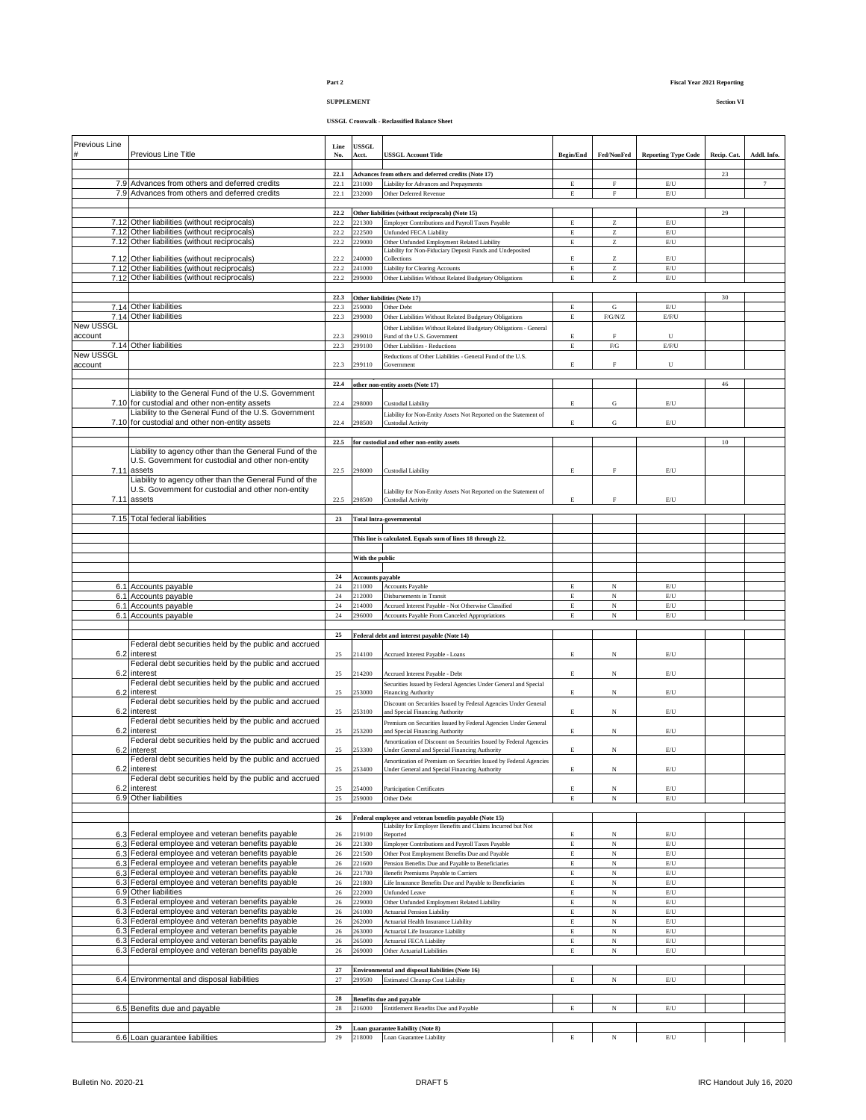# **SUPPLEMENT Section VI**

| Previous Line        | Previous Line Title                                                                                    | Line<br>No.  | <b>USSGL</b><br>Acct.   | <b>USSGL Account Title</b>                                                                                         | <b>Begin/End</b>           | Fed/NonFed                                            | <b>Reporting Type Code</b>                                                        | Recip. Cat. | Addl. Info.     |
|----------------------|--------------------------------------------------------------------------------------------------------|--------------|-------------------------|--------------------------------------------------------------------------------------------------------------------|----------------------------|-------------------------------------------------------|-----------------------------------------------------------------------------------|-------------|-----------------|
|                      |                                                                                                        | 22.1         |                         | Advances from others and deferred credits (Note 17)                                                                |                            |                                                       |                                                                                   | 23          |                 |
|                      | 7.9 Advances from others and deferred credits<br>7.9 Advances from others and deferred credits         | 22.1<br>22.1 | 231000<br>232000        | Liability for Advances and Prepayments<br>Other Deferred Revenue                                                   | $\mathbf E$<br>$\mathbf E$ | $_{\rm F}$<br>$\mathbf F$                             | $\mathbb{E}/\mathbb{U}$<br>$\mathop{\hbox{\rm E}}\nolimits/\mathop{\hbox{\rm U}}$ |             | $7\phantom{.0}$ |
|                      |                                                                                                        |              |                         |                                                                                                                    |                            |                                                       |                                                                                   |             |                 |
|                      |                                                                                                        | 22.2         |                         | Other liabilities (without reciprocals) (Note 15)                                                                  |                            |                                                       |                                                                                   | 29          |                 |
|                      | 7.12 Other liabilities (without reciprocals)                                                           | 22.2         | 221300                  | Employer Contributions and Payroll Taxes Payable                                                                   | E                          | Z                                                     | $\mathop{\hbox{\rm E}}\nolimits/{\bf U}$                                          |             |                 |
|                      | 7.12 Other liabilities (without reciprocals)                                                           | 22.2         | 222500                  | Unfunded FECA Liability                                                                                            | $\mathbf E$                | Z                                                     | $\mathop{\hbox{\rm E}}\nolimits/\mathop{\hbox{\rm U}}$                            |             |                 |
|                      | 7.12 Other liabilities (without reciprocals)                                                           | 22.2         | 229000                  | Other Unfunded Employment Related Liability                                                                        | $\mathbf E$                | $\rm{Z}$                                              | $\mathop{\hbox{\rm E}}\nolimits/\mathop{\hbox{\rm U}}$                            |             |                 |
|                      | 7.12 Other liabilities (without reciprocals)                                                           | 22.2         | 240000                  | Liability for Non-Fiduciary Deposit Funds and Undeposited<br>Collections                                           | $\mathbf E$                | Z                                                     | $\mathop{\hbox{\rm E}}\nolimits/\mathop{\hbox{\rm U}}$                            |             |                 |
|                      | 7.12 Other liabilities (without reciprocals)                                                           | 22.2         | 241000                  | Liability for Clearing Accounts                                                                                    | $\mathbf E$                | $\rm{Z}$                                              | $\mathop{\hbox{\rm E}}\nolimits/\mathop{\hbox{\rm U}}$                            |             |                 |
|                      | 7.12 Other liabilities (without reciprocals)                                                           | 22.2         | 299000                  | Other Liabilities Without Related Budgetary Obligations                                                            | E                          | $\mathbf{Z}% ^{T}=\mathbf{Z}^{T}\times\mathbf{Z}^{T}$ | $\mathrm{E}/\mathrm{U}$                                                           |             |                 |
|                      |                                                                                                        |              |                         |                                                                                                                    |                            |                                                       |                                                                                   |             |                 |
|                      |                                                                                                        | 22.3         |                         | Other liabilities (Note 17)                                                                                        |                            |                                                       |                                                                                   | 30          |                 |
|                      | 7.14 Other liabilities                                                                                 | 22.3         | 259000                  | Other Debt                                                                                                         | E                          | G                                                     | $\mathop{\hbox{\rm E}}\nolimits/{\bf U}$                                          |             |                 |
|                      | 7.14 Other liabilities                                                                                 | 22.3         | 299000                  | Other Liabilities Without Related Budgetary Obligations                                                            | $\mathbf E$                | F/G/N/Z                                               | E/F/U                                                                             |             |                 |
| New USSGL<br>account |                                                                                                        | 22.3         | 299010                  | Other Liabilities Without Related Budgetary Obligations - General<br>Fund of the U.S. Government                   | E                          | F                                                     | $\mathbf{U}$                                                                      |             |                 |
|                      | 7.14 Other liabilities                                                                                 | 22.3         | 299100                  | Other Liabilities - Reductions                                                                                     | E                          | ${\rm F/G}$                                           | E/F/U                                                                             |             |                 |
| New USSGL            |                                                                                                        |              |                         | Reductions of Other Liabilities - General Fund of the U.S.                                                         |                            |                                                       |                                                                                   |             |                 |
| account              |                                                                                                        | 22.3         | 299110                  | Government                                                                                                         | E                          | $\rm F$                                               | U                                                                                 |             |                 |
|                      |                                                                                                        |              |                         |                                                                                                                    |                            |                                                       |                                                                                   |             |                 |
|                      |                                                                                                        | 22.4         |                         | other non-entity assets (Note 17)                                                                                  |                            |                                                       |                                                                                   | 46          |                 |
|                      | Liability to the General Fund of the U.S. Government                                                   |              |                         |                                                                                                                    |                            |                                                       |                                                                                   |             |                 |
|                      | 7.10 for custodial and other non-entity assets                                                         | 22.4         | 298000                  | Custodial Liability                                                                                                | E                          | G                                                     | $\mathop{\hbox{\rm E}}\nolimits/{\bf U}$                                          |             |                 |
|                      | Liability to the General Fund of the U.S. Government<br>7.10 for custodial and other non-entity assets | 22.4         | 298500                  | Liability for Non-Entity Assets Not Reported on the Statement of<br>Custodial Activity                             | $\mathbf E$                | ${\bf G}$                                             | $\mathbb{E}/\mathbb{U}$                                                           |             |                 |
|                      |                                                                                                        |              |                         |                                                                                                                    |                            |                                                       |                                                                                   |             |                 |
|                      |                                                                                                        | 22.5         |                         | for custodial and other non-entity assets                                                                          |                            |                                                       |                                                                                   | 10          |                 |
|                      | Liability to agency other than the General Fund of the                                                 |              |                         |                                                                                                                    |                            |                                                       |                                                                                   |             |                 |
|                      | U.S. Government for custodial and other non-entity                                                     |              |                         |                                                                                                                    |                            |                                                       |                                                                                   |             |                 |
| 7.11                 | assets                                                                                                 | 22.5         | 298000                  | <b>Custodial Liability</b>                                                                                         | E                          | $\rm F$                                               | $\mathrm{E}/\mathrm{U}$                                                           |             |                 |
|                      | Liability to agency other than the General Fund of the                                                 |              |                         |                                                                                                                    |                            |                                                       |                                                                                   |             |                 |
|                      | U.S. Government for custodial and other non-entity                                                     |              |                         | Liability for Non-Entity Assets Not Reported on the Statement of                                                   |                            |                                                       |                                                                                   |             |                 |
|                      | 7.11 assets                                                                                            | 22.5         | 298500                  | <b>Custodial Activity</b>                                                                                          | $\mathbf E$                | $\rm F$                                               | $\mathrm{E}/\mathrm{U}$                                                           |             |                 |
| 7.15                 | <b>Total federal liabilities</b>                                                                       | 23           |                         |                                                                                                                    |                            |                                                       |                                                                                   |             |                 |
|                      |                                                                                                        |              |                         | <b>Total Intra-governmental</b>                                                                                    |                            |                                                       |                                                                                   |             |                 |
|                      |                                                                                                        |              |                         | This line is calculated. Equals sum of lines 18 through 22.                                                        |                            |                                                       |                                                                                   |             |                 |
|                      |                                                                                                        |              |                         |                                                                                                                    |                            |                                                       |                                                                                   |             |                 |
|                      |                                                                                                        |              | With the public         |                                                                                                                    |                            |                                                       |                                                                                   |             |                 |
|                      |                                                                                                        |              |                         |                                                                                                                    |                            |                                                       |                                                                                   |             |                 |
|                      |                                                                                                        | 24           | <b>Accounts payable</b> |                                                                                                                    |                            |                                                       |                                                                                   |             |                 |
|                      | 6.1 Accounts payable                                                                                   | $\sqrt{24}$  | 211000                  | Accounts Payable                                                                                                   | $\mathbf E$                | N                                                     | $\mathbb{E}/\mathbb{U}$                                                           |             |                 |
|                      | 6.1 Accounts payable                                                                                   | $24\,$       | 212000                  | Disbursements in Transit                                                                                           | $\mathbf E$                | $_{\rm N}$                                            | $\mathop{\hbox{\rm E}}\nolimits/\mathop{\hbox{\rm U}}$                            |             |                 |
|                      | 6.1 Accounts payable<br>6.1 Accounts payable                                                           | 24           | 214000<br>296000        | Accrued Interest Payable - Not Otherwise Classified                                                                | $\mathbf E$<br>$\mathbf E$ | N<br>N                                                | $\mathrm{E}/\mathrm{U}$<br>$\mathrm{E}/\mathrm{U}$                                |             |                 |
|                      |                                                                                                        |              |                         | Accounts Payable From Canceled Appropriations                                                                      |                            |                                                       |                                                                                   |             |                 |
|                      |                                                                                                        | $\sqrt{24}$  |                         |                                                                                                                    |                            |                                                       |                                                                                   |             |                 |
|                      |                                                                                                        |              |                         |                                                                                                                    |                            |                                                       |                                                                                   |             |                 |
|                      | Federal debt securities held by the public and accrued                                                 | $\bf 25$     |                         | Federal debt and interest payable (Note 14)                                                                        |                            |                                                       |                                                                                   |             |                 |
| 6.2                  | interest                                                                                               | 25           | 214100                  | Accrued Interest Payable - Loans                                                                                   | E                          | N                                                     | $\mathbb{E}/\mathbb{U}$                                                           |             |                 |
|                      | Federal debt securities held by the public and accrued                                                 |              |                         |                                                                                                                    |                            |                                                       |                                                                                   |             |                 |
| 6.2                  | interest                                                                                               | 25           | 214200                  | Accrued Interest Payable - Debt                                                                                    | E                          | $_{\rm N}$                                            | $\mathbb{E}/\mathbb{U}$                                                           |             |                 |
|                      | Federal debt securities held by the public and accrued                                                 |              |                         | Securities Issued by Federal Agencies Under General and Special                                                    |                            |                                                       |                                                                                   |             |                 |
| 6.2                  | interest                                                                                               | 25           | 253000                  | Financing Authority                                                                                                | E                          | N                                                     | $\mathbb{E}/\mathbb{U}$                                                           |             |                 |
|                      | Federal debt securities held by the public and accrued                                                 |              |                         | Discount on Securities Issued by Federal Agencies Under General                                                    |                            |                                                       |                                                                                   |             |                 |
| 6.2                  | interest                                                                                               | 25           | 253100                  | and Special Financing Authority                                                                                    | E                          | N                                                     | $\mathbb{E}/\mathbb{U}$                                                           |             |                 |
| 6.2                  | Federal debt securities held by the public and accrued<br>interest                                     | 25           | 253200                  | Premium on Securities Issued by Federal Agencies Under General<br>and Special Financing Authority                  | Е                          | N                                                     | $\mathbb{E}/\mathbb{U}$                                                           |             |                 |
|                      | Federal debt securities held by the public and accrued                                                 |              |                         |                                                                                                                    |                            |                                                       |                                                                                   |             |                 |
| 6.2                  | interest                                                                                               | 25           | 253300                  | Amortization of Discount on Securities Issued by Federal Agencies<br>Under General and Special Financing Authority | E                          | N                                                     | $\mathbb{E}/\mathbb{U}$                                                           |             |                 |
|                      | Federal debt securities held by the public and accrued                                                 |              |                         | Amortization of Premium on Securities Issued by Federal Agencies                                                   |                            |                                                       |                                                                                   |             |                 |
|                      | 6.2 interest                                                                                           | 25           | 253400                  | Under General and Special Financing Authority                                                                      |                            |                                                       | E/U                                                                               |             |                 |
|                      | Federal debt securities held by the public and accrued                                                 |              |                         |                                                                                                                    |                            |                                                       |                                                                                   |             |                 |
| 6.2                  | interest                                                                                               | 25           | 254000                  | <b>Participation Certificates</b>                                                                                  | Е                          | N                                                     | E/U                                                                               |             |                 |
|                      | 6.9 Other liabilities                                                                                  | $25\,$       | 259000                  | Other Debt                                                                                                         | $\mathop{\hbox{\bf E}}$    | $_{\rm N}$                                            | $\mathrm{E}/\mathrm{U}$                                                           |             |                 |
|                      |                                                                                                        | ${\bf 26}$   |                         | Federal employee and veteran benefits payable (Note 15)                                                            |                            |                                                       |                                                                                   |             |                 |
|                      |                                                                                                        |              |                         | Liability for Employer Benefits and Claims Incurred but Not                                                        |                            |                                                       |                                                                                   |             |                 |
|                      | 6.3 Federal employee and veteran benefits payable                                                      | 26           | 219100                  | Reported                                                                                                           | E                          | N                                                     | $\mathbb{E}/\mathbb{U}$                                                           |             |                 |
|                      | 6.3 Federal employee and veteran benefits payable                                                      | 26           | 221300                  | Employer Contributions and Payroll Taxes Payable                                                                   | E                          | $_{\rm N}$                                            | $\mathbb{E}/\mathbb{U}$                                                           |             |                 |
|                      | 6.3 Federal employee and veteran benefits payable                                                      | $26\,$       | 221500                  | Other Post Employment Benefits Due and Payable                                                                     | Е                          | $_{\rm N}$                                            | $\mathop{\hbox{\rm E}}\nolimits/\mathop{\hbox{\rm U}}$                            |             |                 |
|                      | 6.3 Federal employee and veteran benefits payable                                                      | 26           | 221600                  | Pension Benefits Due and Payable to Beneficiaries                                                                  | $\mathbf E$                | $_{\rm N}$                                            | $\mathop{\hbox{\rm E}}\nolimits/{\bf U}$                                          |             |                 |
|                      | 6.3 Federal employee and veteran benefits payable                                                      | 26           | 221700                  | Benefit Premiums Payable to Carriers                                                                               | E                          | $\overline{\rm N}$                                    | $\mathrm{E}/\mathrm{U}$                                                           |             |                 |
|                      | 6.3 Federal employee and veteran benefits payable<br>6.9 Other liabilities                             | $26\,$<br>26 | 221800<br>222000        | Life Insurance Benefits Due and Payable to Beneficiaries<br><b>Unfunded Leave</b>                                  | E<br>E                     | N<br>N                                                | $\mathop{\hbox{\rm E}}\nolimits/\mathop{\hbox{\rm U}}$<br>$\mathbb{E}/\mathbb{U}$ |             |                 |
|                      | 6.3 Federal employee and veteran benefits payable                                                      | 26           | 229000                  | Other Unfunded Employment Related Liability                                                                        | E                          | N                                                     | $\mathbb{E}/\mathbb{U}$                                                           |             |                 |
|                      | 6.3 Federal employee and veteran benefits payable                                                      | 26           | 261000                  | <b>Actuarial Pension Liability</b>                                                                                 | $\mathbf E$                | N                                                     | $\mathbb{E}/\mathbb{U}$                                                           |             |                 |
|                      | 6.3 Federal employee and veteran benefits payable                                                      | $26\,$       | 262000                  | Actuarial Health Insurance Liability                                                                               | Е                          | N                                                     | $\mathrm{E}/\mathrm{U}$                                                           |             |                 |
|                      | 6.3 Federal employee and veteran benefits payable                                                      | $26\,$       | 263000                  | Actuarial Life Insurance Liability                                                                                 | $\mathbf E$                | N                                                     | $\mathbb{E}/\mathbb{U}$                                                           |             |                 |
|                      | 6.3 Federal employee and veteran benefits payable                                                      | 26           | 265000                  | Actuarial FECA Liability                                                                                           | E                          | N                                                     | $\mathrm{E}/\mathrm{U}$                                                           |             |                 |
|                      | 6.3 Federal employee and veteran benefits payable                                                      | 26           | 269000                  | Other Actuarial Liabilities                                                                                        | E                          | $_{\rm N}$                                            | $\mathop{\hbox{\rm E}}\nolimits/\mathop{\hbox{\rm U}}$                            |             |                 |
|                      |                                                                                                        |              |                         |                                                                                                                    |                            |                                                       |                                                                                   |             |                 |
|                      |                                                                                                        | $\bf 27$     |                         | Environmental and disposal liabilities (Note 16)                                                                   |                            |                                                       |                                                                                   |             |                 |
|                      | 6.4 Environmental and disposal liabilities                                                             | 27           |                         | 299500 Estimated Cleanup Cost Liability                                                                            | E                          | N                                                     | $\mathbb{E}/\mathbb{U}$                                                           |             |                 |
|                      |                                                                                                        |              |                         |                                                                                                                    |                            |                                                       |                                                                                   |             |                 |
|                      |                                                                                                        | 28           | 216000                  | <b>Benefits due and payable</b>                                                                                    | E                          |                                                       | $\mathop{\hbox{\rm E}}\nolimits/{\bf U}$                                          |             |                 |
|                      | 6.5 Benefits due and payable                                                                           | $\sqrt{28}$  |                         | Entitlement Benefits Due and Payable                                                                               |                            | N                                                     |                                                                                   |             |                 |
|                      |                                                                                                        | 29           |                         | Loan guarantee liability (Note 8)                                                                                  |                            |                                                       |                                                                                   |             |                 |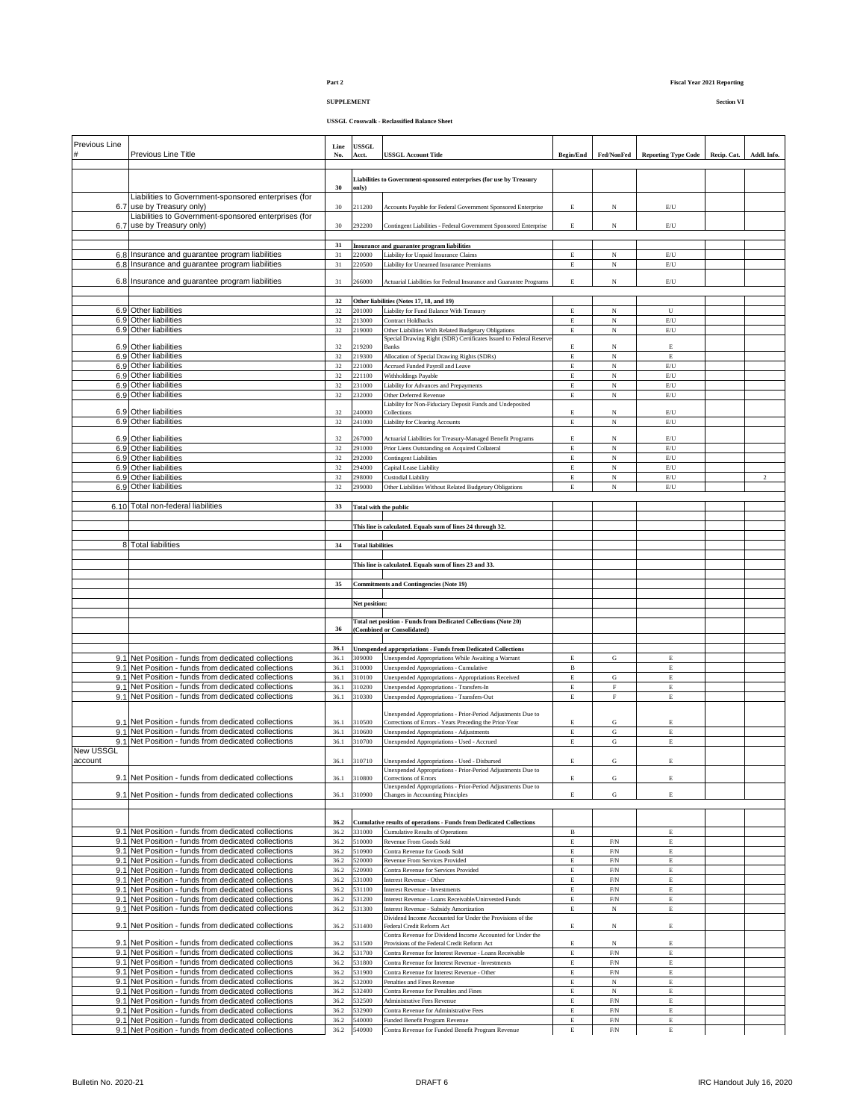## **SUPPLEMENT Section VI**

| Previous Line |                                                                                                            | Line         | <b>USSGL</b>                 |                                                                                               |                  |                            |                                          |             |                |
|---------------|------------------------------------------------------------------------------------------------------------|--------------|------------------------------|-----------------------------------------------------------------------------------------------|------------------|----------------------------|------------------------------------------|-------------|----------------|
|               | Previous Line Title                                                                                        | No.          | Acct.                        | <b>USSGL Account Title</b>                                                                    | <b>Begin/End</b> | Fed/NonFed                 | <b>Reporting Type Code</b>               | Recip. Cat. | Addl. Info.    |
|               |                                                                                                            |              |                              |                                                                                               |                  |                            |                                          |             |                |
|               |                                                                                                            |              |                              | Liabilities to Government-sponsored enterprises (for use by Treasury                          |                  |                            |                                          |             |                |
|               |                                                                                                            | 30           | only)                        |                                                                                               |                  |                            |                                          |             |                |
|               | Liabilities to Government-sponsored enterprises (for                                                       |              |                              |                                                                                               |                  |                            |                                          |             |                |
|               | 6.7 use by Treasury only)                                                                                  | 30           | 211200                       | Accounts Payable for Federal Government Sponsored Enterprise                                  | $\mathbf E$      | N                          | $\mathbb{E}/\mathbb{U}$                  |             |                |
|               | Liabilities to Government-sponsored enterprises (for                                                       |              |                              |                                                                                               |                  |                            |                                          |             |                |
|               | 6.7 use by Treasury only)                                                                                  | 30           | 292200                       | Contingent Liabilities - Federal Government Sponsored Enterprise                              | E                | N                          | $\mathop{\hbox{\rm E}}\nolimits/{\bf U}$ |             |                |
|               |                                                                                                            |              |                              |                                                                                               |                  |                            |                                          |             |                |
|               |                                                                                                            | 31           |                              | Insurance and guarantee program liabilities                                                   |                  |                            |                                          |             |                |
|               | 6.8 Insurance and guarantee program liabilities                                                            | 31           | 220000                       | Liability for Unpaid Insurance Claims                                                         | E                | N                          | E/U                                      |             |                |
|               | 6.8 Insurance and guarantee program liabilities                                                            | 31           | 220500                       | Liability for Unearned Insurance Premiums                                                     | $\mathbf E$      | N                          | $\mathbb{E}/\mathbb{U}$                  |             |                |
|               |                                                                                                            |              |                              |                                                                                               |                  |                            |                                          |             |                |
|               | 6.8 Insurance and guarantee program liabilities                                                            | 31           | 266000                       | Actuarial Liabilities for Federal Insurance and Guarantee Programs                            | E                | N                          | E/U                                      |             |                |
|               |                                                                                                            |              |                              |                                                                                               |                  |                            |                                          |             |                |
|               |                                                                                                            | 32           |                              | Other liabilities (Notes 17, 18, and 19)                                                      |                  |                            |                                          |             |                |
|               | 6.9 Other liabilities                                                                                      | 32           | 201000                       | Liability for Fund Balance With Treasury                                                      | $\mathbf E$      | N                          | U                                        |             |                |
|               | 6.9 Other liabilities                                                                                      | 32           | 213000                       | <b>Contract Holdbacks</b>                                                                     | E                | $_{\rm N}$                 | E/U                                      |             |                |
|               | 6.9 Other liabilities                                                                                      | 32           | 219000                       | Other Liabilities With Related Budgetary Obligations                                          | E                | $\overline{N}$             | $\mathrm{E}/\mathrm{U}$                  |             |                |
|               |                                                                                                            |              |                              | Special Drawing Right (SDR) Certificates Issued to Federal Reserve                            |                  |                            |                                          |             |                |
|               | 6.9 Other liabilities                                                                                      | 32           | 219200                       | <b>Banks</b>                                                                                  | E                | N                          | E                                        |             |                |
|               | 6.9 Other liabilities                                                                                      | 32           | 219300                       | Allocation of Special Drawing Rights (SDRs)                                                   | $\mathbf E$      | $_{\rm N}$                 | $\mathbf E$                              |             |                |
|               | 6.9 Other liabilities                                                                                      | 32           | 221000                       | Accrued Funded Payroll and Leave                                                              | Е                | N                          | $\mathrm{E}/\mathrm{U}$                  |             |                |
|               | 6.9 Other liabilities                                                                                      | $32\,$       | 221100                       | Withholdings Payable                                                                          | $\mathbf E$      | $_{\rm N}$                 | $\mathop{\hbox{\rm E}}\nolimits/{\bf U}$ |             |                |
|               | 6.9 Other liabilities                                                                                      | 32           | 231000                       | Liability for Advances and Prepayments                                                        | E                | $_{\rm N}$                 | $\mathrm{E}/\mathrm{U}$                  |             |                |
|               | 6.9 Other liabilities                                                                                      | 32           | 232000                       | Other Deferred Revenue                                                                        | $\mathbf E$      | N                          | $\mathrm{E}/\mathrm{U}$                  |             |                |
|               |                                                                                                            |              |                              | Liability for Non-Fiduciary Deposit Funds and Undeposited                                     |                  |                            |                                          |             |                |
|               | 6.9 Other liabilities                                                                                      | 32           | 240000                       | Collections                                                                                   | E                | N                          | $\mathrm{E}/\mathrm{U}$                  |             |                |
|               | 6.9 Other liabilities                                                                                      | 32           | 241000                       | Liability for Clearing Accounts                                                               | E                | N                          | $\mathrm{E}/\mathrm{U}$                  |             |                |
|               |                                                                                                            |              |                              |                                                                                               |                  |                            |                                          |             |                |
|               | 6.9 Other liabilities                                                                                      | 32           | 267000                       | Actuarial Liabilities for Treasury-Managed Benefit Programs                                   | E                | N                          | E/U                                      |             |                |
|               | 6.9 Other liabilities                                                                                      | 32           | 291000                       | Prior Liens Outstanding on Acquired Collateral                                                | $\mathbf E$      | $_{\rm N}$                 | $\mathrm{E}/\mathrm{U}$                  |             |                |
|               | 6.9 Other liabilities                                                                                      | 32           | 292000                       | <b>Contingent Liabilities</b>                                                                 | E                | $_{\rm N}$                 | E/U                                      |             |                |
|               | 6.9 Other liabilities                                                                                      | 32           | 294000                       | Capital Lease Liability                                                                       | E                | $_{\rm N}$                 | $\mathrm{E}/\mathrm{U}$                  |             |                |
|               | 6.9 Other liabilities                                                                                      | 32           | 298000                       | <b>Custodial Liability</b>                                                                    | $\mathbf E$      | N                          | $\mathop{\hbox{\rm E}}\nolimits/{\bf U}$ |             | $\overline{2}$ |
|               | 6.9 Other liabilities                                                                                      | 32           | 299000                       | Other Liabilities Without Related Budgetary Obligations                                       | E                | N                          | $\mathrm{E}/\mathrm{U}$                  |             |                |
|               |                                                                                                            |              |                              |                                                                                               |                  |                            |                                          |             |                |
|               | 6.10 Total non-federal liabilities                                                                         | 33           | <b>Total with the public</b> |                                                                                               |                  |                            |                                          |             |                |
|               |                                                                                                            |              |                              |                                                                                               |                  |                            |                                          |             |                |
|               |                                                                                                            |              |                              | This line is calculated. Equals sum of lines 24 through 32.                                   |                  |                            |                                          |             |                |
|               |                                                                                                            |              |                              |                                                                                               |                  |                            |                                          |             |                |
|               | 8 Total liabilities                                                                                        | 34           | <b>Total liabilities</b>     |                                                                                               |                  |                            |                                          |             |                |
|               |                                                                                                            |              |                              |                                                                                               |                  |                            |                                          |             |                |
|               |                                                                                                            |              |                              | This line is calculated. Equals sum of lines 23 and 33.                                       |                  |                            |                                          |             |                |
|               |                                                                                                            |              |                              |                                                                                               |                  |                            |                                          |             |                |
|               |                                                                                                            | 35           |                              | <b>Commitments and Contingencies (Note 19)</b>                                                |                  |                            |                                          |             |                |
|               |                                                                                                            |              |                              |                                                                                               |                  |                            |                                          |             |                |
|               |                                                                                                            |              |                              |                                                                                               |                  |                            |                                          |             |                |
|               |                                                                                                            |              |                              |                                                                                               |                  |                            |                                          |             |                |
|               |                                                                                                            |              | Net position:                |                                                                                               |                  |                            |                                          |             |                |
|               |                                                                                                            |              |                              |                                                                                               |                  |                            |                                          |             |                |
|               |                                                                                                            | 36           |                              | Total net position - Funds from Dedicated Collections (Note 20)<br>(Combined or Consolidated) |                  |                            |                                          |             |                |
|               |                                                                                                            |              |                              |                                                                                               |                  |                            |                                          |             |                |
|               |                                                                                                            | 36.1         |                              |                                                                                               |                  |                            |                                          |             |                |
|               |                                                                                                            |              | 309000                       | <b>Unexpended appropriations - Funds from Dedicated Collections</b>                           | E                | G                          | $\mathbf E$                              |             |                |
|               | 9.1 Net Position - funds from dedicated collections<br>9.1 Net Position - funds from dedicated collections | 36.1<br>36.1 | 310000                       | Unexpended Appropriations While Awaiting a Warrant<br>Unexpended Appropriations - Cumulative  | $_{\rm B}$       |                            | $\mathbf E$                              |             |                |
|               |                                                                                                            |              |                              |                                                                                               | $\mathbf E$      |                            | $\mathbf E$                              |             |                |
|               | 9.1 Net Position - funds from dedicated collections                                                        | 36.1         | 310100                       | Unexpended Appropriations - Appropriations Received                                           |                  | ${\bf G}$                  |                                          |             |                |
|               | 9.1 Net Position - funds from dedicated collections                                                        | 36.1         | 310200                       | Unexpended Appropriations - Transfers-In                                                      | $\mathbf E$      | $\mathbf F$<br>F           | $\mathbf E$                              |             |                |
|               | 9.1 Net Position - funds from dedicated collections                                                        | 36.1         | 310300                       | Unexpended Appropriations - Transfers-Out                                                     | $\mathbf E$      |                            | $\mathop{\hbox{\bf E}}$                  |             |                |
|               |                                                                                                            |              |                              | Unexpended Appropriations - Prior-Period Adjustments Due to                                   |                  |                            |                                          |             |                |
|               | 9.1 Net Position - funds from dedicated collections                                                        | 36.1         | 310500                       | Corrections of Errors - Years Preceding the Prior-Year                                        | E                | G                          | E                                        |             |                |
|               | 9.1 Net Position - funds from dedicated collections                                                        | 36.1         | 310600                       | Unexpended Appropriations - Adjustments                                                       | $\mathbf E$      | G                          | $\mathbf E$                              |             |                |
|               | 9.1 Net Position - funds from dedicated collections                                                        | 36.1         | 310700                       | Unexpended Appropriations - Used - Accrued                                                    | E                | ${\bf G}$                  | Е                                        |             |                |
| New USSGL     |                                                                                                            |              |                              |                                                                                               |                  |                            |                                          |             |                |
| account       |                                                                                                            | 36.1         | 310710                       | Unexpended Appropriations - Used - Disbursed                                                  | E                | G                          | Е                                        |             |                |
|               |                                                                                                            |              |                              | Unexpended Appropriations - Prior-Period Adjustments Due to                                   |                  |                            |                                          |             |                |
|               | 9.1 Net Position - funds from dedicated collections                                                        | 36.1         | 310800                       | Corrections of Errors                                                                         | E                | G                          | Е                                        |             |                |
|               |                                                                                                            |              |                              | Unexpended Appropriations - Prior-Period Adjustments Due to                                   |                  |                            |                                          |             |                |
|               | 9.1 Net Position - funds from dedicated collections                                                        | 36.1         | 310900                       | Changes in Accounting Principles                                                              | E                | G                          | Е                                        |             |                |
|               |                                                                                                            |              |                              |                                                                                               |                  |                            |                                          |             |                |
|               |                                                                                                            |              |                              |                                                                                               |                  |                            |                                          |             |                |
|               |                                                                                                            | 36.2         |                              | Cumulative results of operations - Funds from Dedicated Collections                           |                  |                            |                                          |             |                |
|               | 9.1 Net Position - funds from dedicated collections                                                        | 36.2         | 331000                       | <b>Cumulative Results of Operations</b>                                                       | $\, {\bf B}$     |                            | E                                        |             |                |
|               | 9.1 Net Position - funds from dedicated collections                                                        | 36.2         | 510000                       | Revenue From Goods Sold                                                                       | $\mathbf E$      | F/N                        | $\mathbf E$                              |             |                |
|               | 9.1 Net Position - funds from dedicated collections                                                        | 36.2         | 510900                       | Contra Revenue for Goods Sold                                                                 | $\mathbf E$      | ${\rm F/N}$                | $\mathbf E$                              |             |                |
|               | 9.1 Net Position - funds from dedicated collections                                                        | 36.2         | 520000                       | Revenue From Services Provided                                                                | E                | ${\rm F/N}$                | $\mathbf E$                              |             |                |
|               | 9.1 Net Position - funds from dedicated collections                                                        | 36.2         | 520900                       | Contra Revenue for Services Provided                                                          | Е                | F/N                        | $\mathop{\hbox{\bf E}}$                  |             |                |
|               | 9.1 Net Position - funds from dedicated collections                                                        | 36.2         | 531000                       | Interest Revenue - Other                                                                      | E                | ${\rm F/N}$                | Е                                        |             |                |
|               | 9.1 Net Position - funds from dedicated collections                                                        | 36.2         | 531100                       | Interest Revenue - Investments                                                                | E                | ${\rm F/N}$                | $\mathbf E$                              |             |                |
|               | 9.1 Net Position - funds from dedicated collections                                                        | 36.2         | 531200                       | Interest Revenue - Loans Receivable/Uninvested Funds                                          | E                | ${\rm F/N}$                | $\mathbf E$                              |             |                |
|               | 9.1 Net Position - funds from dedicated collections                                                        | 36.2         | 531300                       | Interest Revenue - Subsidy Amortization                                                       | Е                | $_{\rm N}$                 | $\mathbf E$                              |             |                |
|               |                                                                                                            |              |                              | Dividend Income Accounted for Under the Provisions of the                                     |                  |                            |                                          |             |                |
|               | 9.1 Net Position - funds from dedicated collections                                                        | 36.2         | 531400                       | Federal Credit Reform Act                                                                     | Е                | N                          | Е                                        |             |                |
|               |                                                                                                            |              |                              | Contra Revenue for Dividend Income Accounted for Under the                                    |                  |                            |                                          |             |                |
|               | 9.1 Net Position - funds from dedicated collections                                                        | 36.2         | 531500                       | Provisions of the Federal Credit Reform Act                                                   | E                | N                          | Е                                        |             |                |
|               | 9.1 Net Position - funds from dedicated collections                                                        | 36.2         | 531700                       | Contra Revenue for Interest Revenue - Loans Receivable                                        | E                | ${\rm F/N}$                | E                                        |             |                |
|               | 9.1 Net Position - funds from dedicated collections                                                        | 36.2         | 531800                       | Contra Revenue for Interest Revenue - Investments                                             | E                | ${\rm F/N}$                | Е                                        |             |                |
|               | 9.1 Net Position - funds from dedicated collections                                                        | 36.2         | 531900                       | Contra Revenue for Interest Revenue - Other                                                   | E                | ${\rm F/N}$                | $\mathbf E$                              |             |                |
|               | 9.1 Net Position - funds from dedicated collections                                                        | 36.2         | 532000                       | Penalties and Fines Revenue                                                                   | Е                | N                          | Е                                        |             |                |
|               | 9.1 Net Position - funds from dedicated collections                                                        | 36.2         | 532400                       | Contra Revenue for Penalties and Fines                                                        | E                | N                          | Е                                        |             |                |
|               | 9.1 Net Position - funds from dedicated collections                                                        | 36.2         | 532500                       | Administrative Fees Revenue                                                                   | E                | ${\rm F/N}$                | $\mathop{\hbox{\bf E}}$                  |             |                |
|               | 9.1 Net Position - funds from dedicated collections                                                        | 36.2         | 532900                       | Contra Revenue for Administrative Fees                                                        | Е                | F/N                        | Е                                        |             |                |
|               | 9.1 Net Position - funds from dedicated collections<br>9.1 Net Position - funds from dedicated collections | 36.2<br>36.2 | 540000<br>540900             | Funded Benefit Program Revenue<br>Contra Revenue for Funded Benefit Program Revenue           | E<br>E           | ${\rm F/N}$<br>${\rm F/N}$ | Е<br>Е                                   |             |                |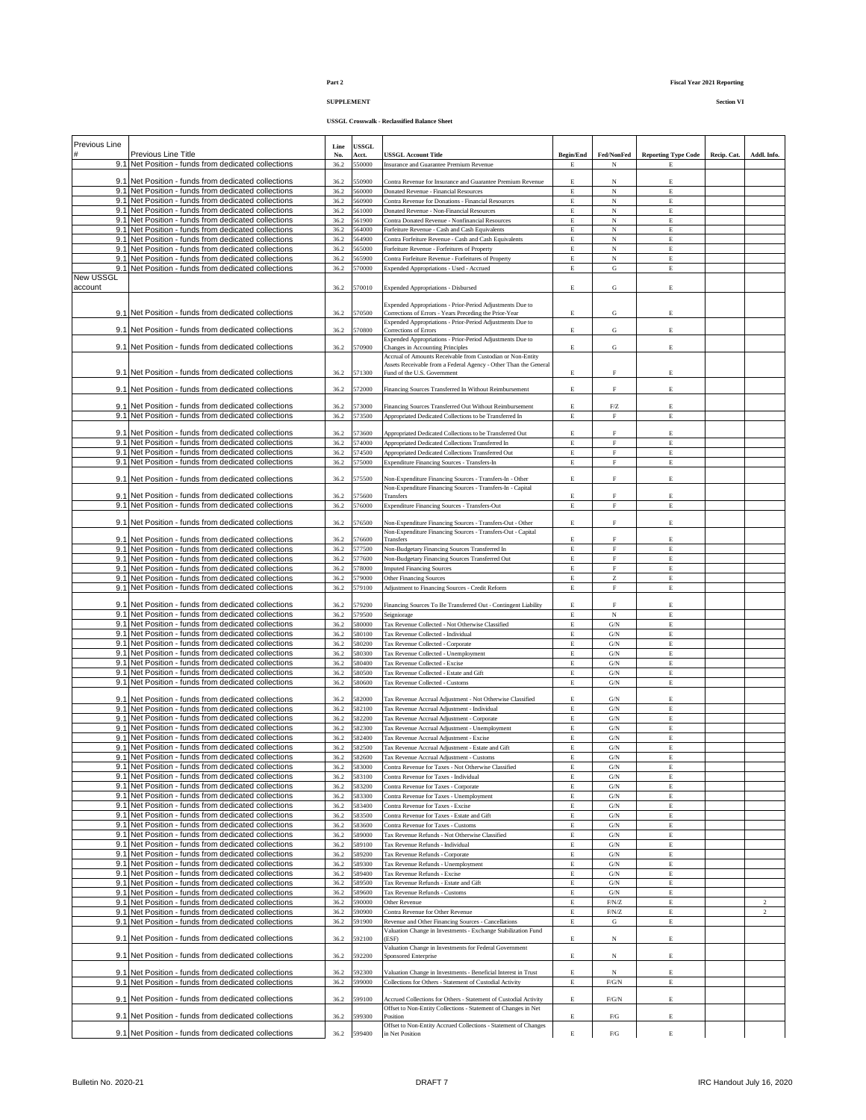**SUPPLEMENT Section VI**

| Previous Line |                                                                                                            | Line | USSGL       |                                                                                                 |                  |                   |                            |             |                |
|---------------|------------------------------------------------------------------------------------------------------------|------|-------------|-------------------------------------------------------------------------------------------------|------------------|-------------------|----------------------------|-------------|----------------|
|               | Previous Line Title                                                                                        | No.  | Acct.       | <b>USSGL Account Title</b>                                                                      | <b>Begin/End</b> | Fed/NonFed        | <b>Reporting Type Code</b> | Recip. Cat. | Addl. Info.    |
|               | 9.1 Net Position - funds from dedicated collections                                                        | 36.2 | 550000      | Insurance and Guarantee Premium Revenue                                                         | E                | N                 | E                          |             |                |
|               |                                                                                                            |      |             |                                                                                                 |                  |                   |                            |             |                |
|               | 9.1 Net Position - funds from dedicated collections                                                        | 36.2 | 550900      | Contra Revenue for Insurance and Guarantee Premium Revenue                                      | E                | N                 | E                          |             |                |
|               | 9.1 Net Position - funds from dedicated collections                                                        | 36.2 | 560000      | Donated Revenue - Financial Resources                                                           | E                | $_{\rm N}$        | E                          |             |                |
|               | 9.1 Net Position - funds from dedicated collections                                                        | 36.2 | 560900      | Contra Revenue for Donations - Financial Resources                                              | $\mathbf E$      | $_{\rm N}$        | E                          |             |                |
|               | 9.1 Net Position - funds from dedicated collections                                                        | 36.2 | 561000      | Donated Revenue - Non-Financial Resources                                                       | $\mathbf E$      | $_{\rm N}$        | $\mathbf E$                |             |                |
|               | 9.1 Net Position - funds from dedicated collections                                                        | 36.2 | 561900      | Contra Donated Revenue - Nonfinancial Resources                                                 | $\mathbf E$      | $_{\rm N}$        | $\mathop{\hbox{\bf E}}$    |             |                |
|               | 9.1 Net Position - funds from dedicated collections                                                        | 36.2 | 564000      | Forfeiture Revenue - Cash and Cash Equivalents                                                  | E                | $_{\rm N}$        | E                          |             |                |
|               | 9.1 Net Position - funds from dedicated collections                                                        | 36.2 | 564900      | Contra Forfeiture Revenue - Cash and Cash Equivalents                                           | $\mathbf E$      | $_{\rm N}$        | E                          |             |                |
|               | 9.1 Net Position - funds from dedicated collections                                                        | 36.2 | 565000      | Forfeiture Revenue - Forfeitures of Property                                                    | $\mathbf E$      | $_{\rm N}$        | E                          |             |                |
|               | 9.1 Net Position - funds from dedicated collections                                                        | 36.2 | 65900       | Contra Forfeiture Revenue - Forfeitures of Property                                             | E                | $_{\rm N}$        | $\mathbf E$                |             |                |
|               | 9.1 Net Position - funds from dedicated collections                                                        | 36.2 | 570000      | Expended Appropriations - Used - Accrued                                                        | E                | ${\bf G}$         | $\mathbf E$                |             |                |
| New USSGL     |                                                                                                            |      |             |                                                                                                 |                  |                   |                            |             |                |
| account       |                                                                                                            | 36.2 | 570010      | <b>Expended Appropriations - Disbursed</b>                                                      | $\mathbf E$      | G                 | E                          |             |                |
|               |                                                                                                            |      |             |                                                                                                 |                  |                   |                            |             |                |
|               |                                                                                                            |      |             | Expended Appropriations - Prior-Period Adjustments Due to                                       |                  |                   |                            |             |                |
|               | 9.1 Net Position - funds from dedicated collections                                                        | 36.2 | 570500      | Corrections of Errors - Years Preceding the Prior-Year                                          | E                | G                 | E                          |             |                |
|               |                                                                                                            |      |             | Expended Appropriations - Prior-Period Adjustments Due to                                       |                  |                   |                            |             |                |
|               | 9.1 Net Position - funds from dedicated collections                                                        | 36.2 | 570800      | Corrections of Errors                                                                           | E                | G                 | E                          |             |                |
|               |                                                                                                            |      |             | Expended Appropriations - Prior-Period Adjustments Due to                                       |                  |                   |                            |             |                |
|               | 9.1 Net Position - funds from dedicated collections                                                        | 36.2 | 570900      | Changes in Accounting Principles                                                                | $\mathbf E$      | G                 | E                          |             |                |
|               |                                                                                                            |      |             | Accrual of Amounts Receivable from Custodian or Non-Entity                                      |                  |                   |                            |             |                |
|               | 9.1 Net Position - funds from dedicated collections                                                        | 36.2 | 571300      | Assets Receivable from a Federal Agency - Other Than the General<br>Fund of the U.S. Government | $\mathbf E$      | $\mathbf F$       | E                          |             |                |
|               |                                                                                                            |      |             |                                                                                                 |                  |                   |                            |             |                |
|               | 9.1 Net Position - funds from dedicated collections                                                        | 36.2 | 572000      | Financing Sources Transferred In Without Reimbursement                                          | $\mathbf E$      | F                 | E                          |             |                |
|               |                                                                                                            |      |             |                                                                                                 |                  |                   |                            |             |                |
|               | 9.1 Net Position - funds from dedicated collections                                                        | 36.2 | 573000      | Financing Sources Transferred Out Without Reimbursement                                         | E                | ${\rm F}/{\rm Z}$ | E                          |             |                |
|               | 9.1 Net Position - funds from dedicated collections                                                        | 36.2 | 573500      | Appropriated Dedicated Collections to be Transferred In                                         | E                | $\mathbf F$       | E                          |             |                |
|               |                                                                                                            |      |             |                                                                                                 |                  |                   |                            |             |                |
|               | 9.1 Net Position - funds from dedicated collections                                                        | 36.2 | 573600      | Appropriated Dedicated Collections to be Transferred Out                                        | E                | F                 | E                          |             |                |
|               | 9.1 Net Position - funds from dedicated collections                                                        | 36.2 | 574000      | Appropriated Dedicated Collections Transferred In                                               | $\mathbf E$      | F                 | $\mathbf E$                |             |                |
|               | 9.1 Net Position - funds from dedicated collections                                                        | 36.2 | 574500      | Appropriated Dedicated Collections Transferred Out                                              | $\mathbf E$      | $\mathbf F$       | E                          |             |                |
|               | 9.1 Net Position - funds from dedicated collections                                                        | 36.2 | 575000      | Expenditure Financing Sources - Transfers-In                                                    | $\mathbf E$      | $\mathbf{F}$      | $\mathbf E$                |             |                |
|               |                                                                                                            |      |             |                                                                                                 |                  |                   |                            |             |                |
|               | 9.1 Net Position - funds from dedicated collections                                                        | 36.2 | 575500      | Non-Expenditure Financing Sources - Transfers-In - Other                                        | E                | F                 | E                          |             |                |
|               |                                                                                                            |      |             | Non-Expenditure Financing Sources - Transfers-In - Capital                                      |                  |                   |                            |             |                |
|               | 9.1 Net Position - funds from dedicated collections                                                        | 36.2 | 575600      | Transfers                                                                                       | E                | F                 | E                          |             |                |
|               | 9.1 Net Position - funds from dedicated collections                                                        | 36.2 | 576000      | Expenditure Financing Sources - Transfers-Out                                                   | E                | $\mathbf F$       | E                          |             |                |
|               | 9.1 Net Position - funds from dedicated collections                                                        | 36.2 | 576500      |                                                                                                 | E                | F                 | E                          |             |                |
|               |                                                                                                            |      |             | Non-Expenditure Financing Sources - Transfers-Out - Other                                       |                  |                   |                            |             |                |
|               | 9.1 Net Position - funds from dedicated collections                                                        | 36.2 | 576600      | Non-Expenditure Financing Sources - Transfers-Out - Capital<br>Transfers                        | E                | F                 | E                          |             |                |
|               | 9.1 Net Position - funds from dedicated collections                                                        | 36.2 | 577500      | Non-Budgetary Financing Sources Transferred In                                                  | Е                | $\mathbf F$       | Е                          |             |                |
|               | 9.1 Net Position - funds from dedicated collections                                                        | 36.2 | 577600      | Non-Budgetary Financing Sources Transferred Out                                                 | E                | F                 | $\mathbf E$                |             |                |
|               | 9.1 Net Position - funds from dedicated collections                                                        | 36.2 | 578000      | <b>Imputed Financing Sources</b>                                                                | E                | $\mathbf F$       | $\mathbf E$                |             |                |
|               | 9.1 Net Position - funds from dedicated collections                                                        |      | 579000      |                                                                                                 | Е                |                   |                            |             |                |
|               |                                                                                                            | 36.2 |             | Other Financing Sources                                                                         |                  | Z                 | E                          |             |                |
|               | 9.1 Net Position - funds from dedicated collections                                                        | 36.2 | 579100      | Adjustment to Financing Sources - Credit Reform                                                 | $\mathbf E$      | $\mathbf F$       | $\mathbf E$                |             |                |
|               | 9.1 Net Position - funds from dedicated collections                                                        | 36.2 | 579200      | Financing Sources To Be Transferred Out - Contingent Liability                                  | E                | F                 | E                          |             |                |
|               | 9.1 Net Position - funds from dedicated collections                                                        | 36.2 | 579500      | Seigniorage                                                                                     | $\mathbf E$      | $_{\rm N}$        | $\mathbf E$                |             |                |
|               | 9.1 Net Position - funds from dedicated collections                                                        | 36.2 | 580000      | Tax Revenue Collected - Not Otherwise Classified                                                | E                | G/N               | E                          |             |                |
|               | 9.1 Net Position - funds from dedicated collections                                                        |      | 580100      |                                                                                                 |                  | $\mathrm{G/N}$    |                            |             |                |
|               |                                                                                                            | 36.2 |             | Tax Revenue Collected - Individual                                                              | $\mathbf E$      |                   | Е                          |             |                |
|               | 9.1 Net Position - funds from dedicated collections                                                        | 36.2 | 580200      | Tax Revenue Collected - Corporate                                                               | $\mathbf E$      | G/N               | E                          |             |                |
|               | 9.1 Net Position - funds from dedicated collections                                                        | 36.2 | 580300      | Tax Revenue Collected - Unemployment                                                            | E                | G/N               | E                          |             |                |
|               | 9.1 Net Position - funds from dedicated collections                                                        | 36.2 | 580400      | Tax Revenue Collected - Excise                                                                  | E                | $\mathrm{G/N}$    | $\mathbf E$                |             |                |
|               | 9.1 Net Position - funds from dedicated collections                                                        | 36.2 | 580500      | Tax Revenue Collected - Estate and Gift                                                         | $\mathbf E$      | G/N               | E                          |             |                |
|               | 9.1 Net Position - funds from dedicated collections                                                        | 36.2 | 580600      | Tax Revenue Collected - Customs                                                                 | E                | G/N               | $\mathbf E$                |             |                |
|               |                                                                                                            |      |             |                                                                                                 |                  |                   |                            |             |                |
|               | 9.1 Net Position - funds from dedicated collections                                                        | 36.2 | 582000      | Tax Revenue Accrual Adjustment - Not Otherwise Classified                                       | E                | G/N               | E                          |             |                |
|               | 9.1 Net Position - funds from dedicated collections<br>9.1 Net Position - funds from dedicated collections | 36.2 | 582100      | Tax Revenue Accrual Adjustment - Individual                                                     | E                | G/N               | E                          |             |                |
|               |                                                                                                            | 36.2 | 582200      | Tax Revenue Accrual Adjustment - Corporate                                                      | $\mathbf E$      | $\mathrm{G/N}$    | $\mathbf E$                |             |                |
|               | 9.1 Net Position - funds from dedicated collections                                                        | 36.2 | 582300      | Tax Revenue Accrual Adjustment - Unemployment                                                   | $\mathbf E$      | G/N               | E                          |             |                |
|               | 9.1 Net Position - funds from dedicated collections                                                        | 36.2 | 582400      | <b>Tax Revenue Accrual Adjustment - Excise</b>                                                  | E                | G/N               | E                          |             |                |
|               | 9.1 Net Position - funds from dedicated collections                                                        | 36.2 | 582500      | Tax Revenue Accrual Adjustment - Estate and Gift                                                | E                | G/N               | E                          |             |                |
|               | 9.1 Net Position - funds from dedicated collections                                                        | 36.2 | 582600      | Tax Revenue Accrual Adjustment - Customs                                                        | E                | G/N               | E                          |             |                |
|               | 9.1 Net Position - funds from dedicated collections                                                        | 36.2 | 583000      | Contra Revenue for Taxes - Not Otherwise Classified                                             | Е                | $\mathrm{G/N}$    | Е                          |             |                |
|               | 9.1 Net Position - funds from dedicated collections                                                        | 36.2 | 583100      | Contra Revenue for Taxes - Individual                                                           | E                | G/N               | E                          |             |                |
|               | 9.1 Net Position - funds from dedicated collections                                                        | 36.2 | 583200      | Contra Revenue for Taxes - Corporate                                                            | Е                | $\mathrm{G/N}$    | Е                          |             |                |
|               | 9.1 Net Position - funds from dedicated collections                                                        | 36.2 | 583300      | Contra Revenue for Taxes - Unemployment                                                         | $\mathbf E$      | G/N               | E                          |             |                |
|               | 9.1 Net Position - funds from dedicated collections                                                        | 36.2 | 583400      | Contra Revenue for Taxes - Excise                                                               | $\mathbf E$      | $\mathrm{G/N}$    | $\mathbf E$                |             |                |
|               | 9.1 Net Position - funds from dedicated collections                                                        | 36.2 | 583500      | Contra Revenue for Taxes - Estate and Gift                                                      | $\mathbf E$      | G/N               | $\mathbf E$                |             |                |
|               | 9.1 Net Position - funds from dedicated collections                                                        | 36.2 | 583600      | Contra Revenue for Taxes - Customs                                                              | Е                | $\mathrm{G/N}$    | Е                          |             |                |
|               | 9.1 Net Position - funds from dedicated collections                                                        | 36.2 | 589000      | Tax Revenue Refunds - Not Otherwise Classified                                                  | $\mathbf E$      | $\mathrm{G/N}$    | $\mathop{\hbox{\bf E}}$    |             |                |
|               | 9.1 Net Position - funds from dedicated collections                                                        | 36.2 | 589100      | Tax Revenue Refunds - Individual                                                                | Е                | $\mathrm{G/N}$    | $\mathbf E$                |             |                |
|               | 9.1 Net Position - funds from dedicated collections                                                        | 36.2 | 589200      | Tax Revenue Refunds - Corporate                                                                 | E                | $\mathrm{G/N}$    | E                          |             |                |
|               | 9.1 Net Position - funds from dedicated collections                                                        | 36.2 | 589300      | Tax Revenue Refunds - Unemployment                                                              | Е                | $\mathrm{G/N}$    | Е                          |             |                |
|               | 9.1 Net Position - funds from dedicated collections                                                        | 36.2 | 589400      | Tax Revenue Refunds - Excise                                                                    | $\mathbf E$      | $\mathrm{G/N}$    | $\mathop{\hbox{\bf E}}$    |             |                |
|               | 9.1 Net Position - funds from dedicated collections                                                        | 36.2 | 589500      | Tax Revenue Refunds - Estate and Gift                                                           | $\mathbf E$      | G/N               | $\mathbf E$                |             |                |
|               | 9.1 Net Position - funds from dedicated collections                                                        | 36.2 | 589600      | Tax Revenue Refunds - Customs                                                                   | $\mathbf E$      | $\mathrm{G/N}$    | $\mathbf E$                |             |                |
|               | 9.1 Net Position - funds from dedicated collections                                                        | 36.2 | 590000      | Other Revenue                                                                                   | $\mathbf E$      | F/N/Z             | E                          |             | $\overline{2}$ |
|               | 9.1 Net Position - funds from dedicated collections                                                        | 36.2 | 590900      | Contra Revenue for Other Revenue                                                                | E                | F/N/Z             | $\mathop{\hbox{\bf E}}$    |             | $\overline{2}$ |
|               | 9.1 Net Position - funds from dedicated collections                                                        | 36.2 | 591900      | Revenue and Other Financing Sources - Cancellations                                             | E                | ${\bf G}$         | $\mathop{\hbox{\bf E}}$    |             |                |
|               |                                                                                                            |      |             | Valuation Change in Investments - Exchange Stabilization Fund                                   |                  |                   |                            |             |                |
|               | 9.1 Net Position - funds from dedicated collections                                                        | 36.2 | 592100      | (ESF)                                                                                           | $\mathbf E$      | N                 | $\mathbf E$                |             |                |
|               |                                                                                                            |      |             | Valuation Change in Investments for Federal Government                                          |                  |                   |                            |             |                |
|               | 9.1 Net Position - funds from dedicated collections                                                        | 36.2 | 592200      | Sponsored Enterprise                                                                            | $\mathbf E$      | N                 | E                          |             |                |
|               |                                                                                                            |      |             |                                                                                                 |                  |                   |                            |             |                |
|               | 9.1 Net Position - funds from dedicated collections                                                        | 36.2 | 592300      | Valuation Change in Investments - Beneficial Interest in Trust                                  | $\mathbf E$      | $_{\rm N}$        | E                          |             |                |
|               | 9.1 Net Position - funds from dedicated collections                                                        | 36.2 | 599000      | Collections for Others - Statement of Custodial Activity                                        | $\mathbf E$      | $F/G/N$           | E                          |             |                |
|               |                                                                                                            |      |             |                                                                                                 |                  |                   |                            |             |                |
|               | 9.1 Net Position - funds from dedicated collections                                                        | 36.2 | 599100      | Accrued Collections for Others - Statement of Custodial Activity                                | Е                | $F/G/N$           | Е                          |             |                |
|               | 9.1 Net Position - funds from dedicated collections                                                        | 36.2 | 599300      | Offset to Non-Entity Collections - Statement of Changes in Net<br>Position                      | Е                | F/G               | E                          |             |                |
|               |                                                                                                            |      |             | Offset to Non-Entity Accrued Collections - Statement of Changes                                 |                  |                   |                            |             |                |
|               | 9.1 Net Position - funds from dedicated collections                                                        |      | 36.2 599400 | in Net Position                                                                                 | $\mathbf E$      | ${\rm F/G}$       | Е                          |             |                |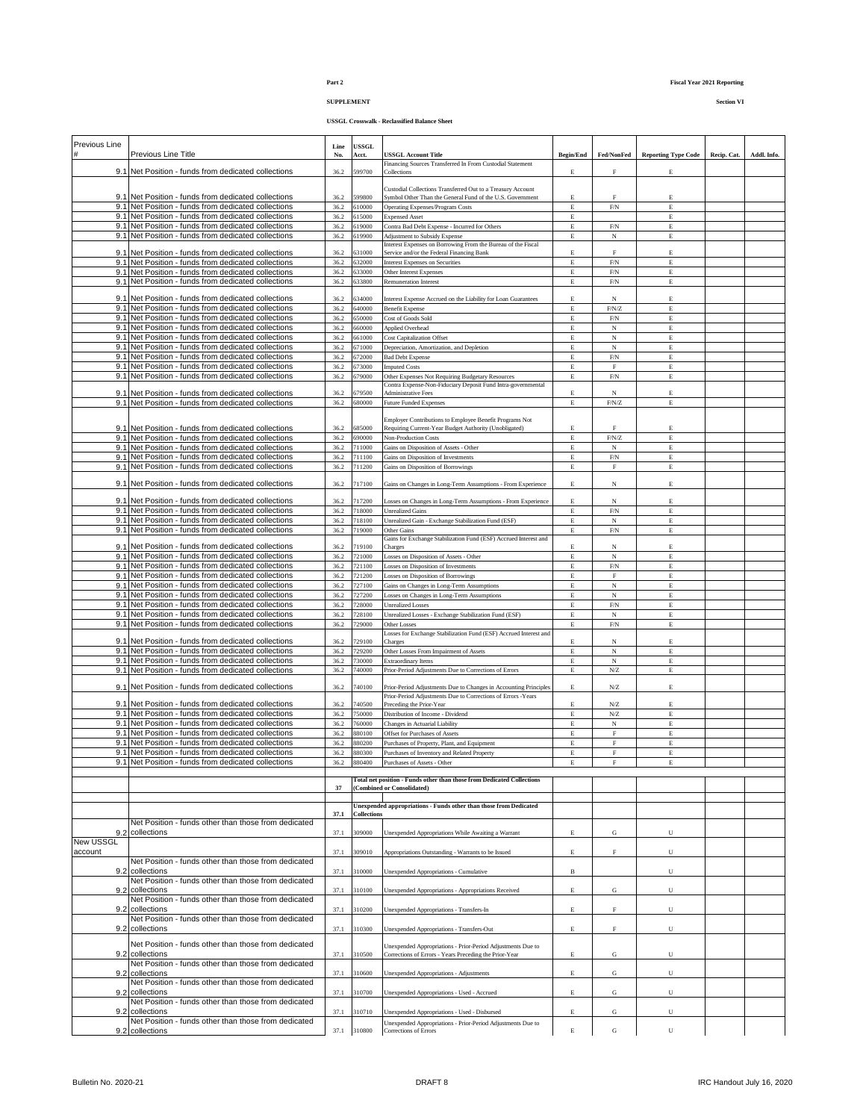## **SUPPLEMENT Section VI**

| Previous Line    |                                                                                                            | Line         | USSGL              |                                                                                                                       |                  |                            |                            |             |             |
|------------------|------------------------------------------------------------------------------------------------------------|--------------|--------------------|-----------------------------------------------------------------------------------------------------------------------|------------------|----------------------------|----------------------------|-------------|-------------|
|                  | Previous Line Title                                                                                        | No.          | Acct.              | <b>USSGL Account Title</b><br>Financing Sources Transferred In From Custodial Statement                               | <b>Begin/End</b> | Fed/NonFed                 | <b>Reporting Type Code</b> | Recip. Cat. | Addl. Info. |
|                  | 9.1 Net Position - funds from dedicated collections                                                        | 36.2         | 599700             | Collections                                                                                                           | E                | F                          | E                          |             |             |
|                  |                                                                                                            |              |                    | Custodial Collections Transferred Out to a Treasury Account                                                           |                  |                            |                            |             |             |
|                  | 9.1 Net Position - funds from dedicated collections<br>9.1 Net Position - funds from dedicated collections | 36.2<br>36.2 | 599800<br>510000   | Symbol Other Than the General Fund of the U.S. Government<br>Operating Expenses/Program Costs                         | Е<br>E           | $\rm F$<br>${\rm F/N}$     | E<br>E                     |             |             |
|                  | 9.1 Net Position - funds from dedicated collections                                                        | 36.2         | 515000             | <b>Expensed Asset</b>                                                                                                 | $\mathbf E$      |                            | E                          |             |             |
|                  | 9.1 Net Position - funds from dedicated collections                                                        | 36.2         | 519000             | Contra Bad Debt Expense - Incurred for Others                                                                         | Е                | ${\rm F/N}$                | E                          |             |             |
|                  | 9.1 Net Position - funds from dedicated collections                                                        | 36.2         | 619900             | Adjustment to Subsidy Expense<br>Interest Expenses on Borrowing From the Bureau of the Fiscal                         | Е                | $_{\rm N}$                 | Е                          |             |             |
| 9.1              | Net Position - funds from dedicated collections                                                            | 36.2         | \$31000            | Service and/or the Federal Financing Bank                                                                             | Е                | $\mathbf F$                | E                          |             |             |
|                  | 9.1 Net Position - funds from dedicated collections                                                        | 36.2         | 532000             | <b>Interest Expenses on Securities</b>                                                                                | $\mathbf E$      | $\mbox{F/N}$               | $\mathbf E$                |             |             |
| 9.1              | Net Position - funds from dedicated collections<br>9.1 Net Position - funds from dedicated collections     | 36.2<br>36.2 | 533000<br>633800   | Other Interest Expenses<br>Remuneration Interest                                                                      | $\mathbf E$<br>E | ${\rm F/N}$<br>${\rm F/N}$ | E<br>E                     |             |             |
|                  |                                                                                                            |              |                    |                                                                                                                       |                  |                            |                            |             |             |
|                  | 9.1 Net Position - funds from dedicated collections<br>9.1 Net Position - funds from dedicated collections | 36.2<br>36.2 | 534000<br>640000   | Interest Expense Accrued on the Liability for Loan Guarantees<br><b>Benefit Expense</b>                               | E<br>$\mathbf E$ | $_{\rm N}$<br>$\rm F/N/Z$  | E<br>E                     |             |             |
|                  | 9.1 Net Position - funds from dedicated collections                                                        | 36.2         | 550000             | Cost of Goods Sold                                                                                                    | $\mathbf E$      | ${\rm F/N}$                | E                          |             |             |
|                  | 9.1 Net Position - funds from dedicated collections                                                        | 36.2         | 660000             | Applied Overhead                                                                                                      | Е                | $_{\rm N}$                 | E                          |             |             |
|                  | 9.1 Net Position - funds from dedicated collections<br>9.1 Net Position - funds from dedicated collections | 36.2<br>36.2 | 661000<br>571000   | <b>Cost Capitalization Offset</b><br>Depreciation, Amortization, and Depletion                                        | Е<br>Е           | N<br>$_{\rm N}$            | E<br>E                     |             |             |
|                  | 9.1 Net Position - funds from dedicated collections                                                        | 36.2         | 572000             | <b>Bad Debt Expense</b>                                                                                               | E                | ${\rm F/N}$                | E                          |             |             |
|                  | 9.1 Net Position - funds from dedicated collections                                                        | 36.2         | 573000             | <b>Imputed Costs</b>                                                                                                  | $\mathbf E$      | $\mathbf F$                | E                          |             |             |
|                  | 9.1 Net Position - funds from dedicated collections                                                        | 36.2         | 679000             | Other Expenses Not Requiring Budgetary Resources<br>Contra Expense-Non-Fiduciary Deposit Fund Intra-governmental      | $\mathbf E$      | ${\rm F/N}$                | E                          |             |             |
|                  | 9.1 Net Position - funds from dedicated collections                                                        | 36.2         | 579500             | Administrative Fees                                                                                                   | E                | $_{\rm N}$                 | E                          |             |             |
|                  | 9.1 Net Position - funds from dedicated collections                                                        | 36.2         | 580000             | <b>Future Funded Expenses</b>                                                                                         | $\mathbf E$      | $\text{F/N/Z}$             | E                          |             |             |
|                  |                                                                                                            |              |                    | Employer Contributions to Employee Benefit Programs Not                                                               |                  |                            |                            |             |             |
|                  | 9.1 Net Position - funds from dedicated collections                                                        | 36.2<br>36.2 | 685000<br>690000   | Requiring Current-Year Budget Authority (Unobligated)<br><b>Non-Production Costs</b>                                  | E<br>$\mathbf E$ | F<br>$\rm F/N/Z$           | E<br>E                     |             |             |
| 9.1              | Net Position - funds from dedicated collections<br>9.1 Net Position - funds from dedicated collections     | 36.2         | 711000             | Gains on Disposition of Assets - Other                                                                                | $\mathbf E$      | $_{\rm N}$                 | E                          |             |             |
|                  | 9.1 Net Position - funds from dedicated collections                                                        | 36.2         | 711100             | Gains on Disposition of Investments                                                                                   | Е                | ${\rm F/N}$                | E                          |             |             |
|                  | 9.1 Net Position - funds from dedicated collections                                                        | 36.2         | 711200             | Gains on Disposition of Borrowings                                                                                    | E                | $\mathbf F$                | E                          |             |             |
|                  | 9.1 Net Position - funds from dedicated collections                                                        | 36.2         | 717100             | Gains on Changes in Long-Term Assumptions - From Experience                                                           | Е                | $_{\rm N}$                 | E                          |             |             |
| 9.1              | Net Position - funds from dedicated collections                                                            | 36.2         | 717200             |                                                                                                                       | E                | $_{\rm N}$                 | E                          |             |             |
|                  | 9.1 Net Position - funds from dedicated collections                                                        | 36.2         | 718000             | Losses on Changes in Long-Term Assumptions - From Experience<br><b>Unrealized Gains</b>                               | E                | ${\rm F/N}$                | E                          |             |             |
|                  | 9.1 Net Position - funds from dedicated collections                                                        | 36.2         | 718100             | Unrealized Gain - Exchange Stabilization Fund (ESF)                                                                   | $\mathbf E$      | $_{\rm N}$                 | E                          |             |             |
|                  | 9.1 Net Position - funds from dedicated collections                                                        | 36.2         | 719000             | Other Gains<br>Gains for Exchange Stabilization Fund (ESF) Accrued Interest and                                       | Е                | ${\rm F/N}$                | E                          |             |             |
|                  | 9.1 Net Position - funds from dedicated collections                                                        | 36.2         | 719100             | Charges                                                                                                               | E                | $_{\rm N}$                 | E                          |             |             |
|                  | 9.1 Net Position - funds from dedicated collections                                                        | 36.2         | 721000             | Losses on Disposition of Assets - Other                                                                               | $\mathbf E$      | $_{\rm N}$                 | E                          |             |             |
|                  | 9.1 Net Position - funds from dedicated collections<br>9.1 Net Position - funds from dedicated collections | 36.2<br>36.2 | 721100<br>721200   | Losses on Disposition of Investments<br>Losses on Disposition of Borrowings                                           | $\mathbf E$<br>E | ${\rm F/N}$<br>$\mathbf F$ | E<br>E                     |             |             |
|                  | 9.1 Net Position - funds from dedicated collections                                                        | 36.2         | 727100             | Gains on Changes in Long-Term Assumptions                                                                             | Е                | $_{\rm N}$                 | E                          |             |             |
| 9.1              | Net Position - funds from dedicated collections                                                            | 36.2         | 727200             | Losses on Changes in Long-Term Assumptions                                                                            | Е                | $_{\rm N}$                 | E                          |             |             |
|                  | 9.1 Net Position - funds from dedicated collections<br>9.1 Net Position - funds from dedicated collections | 36.2<br>36.2 | 728000<br>728100   | <b>Unrealized Losses</b><br>Unrealized Losses - Exchange Stabilization Fund (ESF)                                     | Е<br>E           | ${\rm F/N}$<br>$_{\rm N}$  | E<br>E                     |             |             |
|                  | 9.1 Net Position - funds from dedicated collections                                                        | 36.2         | 729000             | Other Losses                                                                                                          | $\mathbf E$      | ${\rm F/N}$                | E                          |             |             |
|                  |                                                                                                            |              |                    | Losses for Exchange Stabilization Fund (ESF) Accrued Interest and                                                     |                  |                            |                            |             |             |
|                  | 9.1 Net Position - funds from dedicated collections<br>9.1 Net Position - funds from dedicated collections | 36.2<br>36.2 | 729100<br>729200   | Charges<br>Other Losses From Impairment of Assets                                                                     | Е<br>E           | N<br>$_{\rm N}$            | E<br>E                     |             |             |
|                  | 9.1 Net Position - funds from dedicated collections                                                        | 36.2         | 730000             | <b>Extraordinary Items</b>                                                                                            | Е                | $_{\rm N}$                 | E                          |             |             |
|                  | 9.1 Net Position - funds from dedicated collections                                                        | 36.2         | 740000             | Prior-Period Adjustments Due to Corrections of Errors                                                                 | $\mathbf E$      | ${\rm N}$                  | E                          |             |             |
|                  | 9.1 Net Position - funds from dedicated collections                                                        | 36.2         | 740100             | Prior-Period Adjustments Due to Changes in Accounting Principles                                                      | Е                | ${\rm N}$                  | E                          |             |             |
|                  |                                                                                                            |              |                    | Prior-Period Adjustments Due to Corrections of Errors -Years                                                          |                  |                            |                            |             |             |
| 9.1              | Net Position - funds from dedicated collections<br>9.1 Net Position - funds from dedicated collections     | 36.2<br>36.2 | 740500<br>750000   | Preceding the Prior-Year<br>Distribution of Income - Dividend                                                         | Е<br>$\mathbf E$ | ${\rm N}$<br>${\rm N}$     | E<br>E                     |             |             |
|                  | 9.1 Net Position - funds from dedicated collections                                                        | 36.2         | 760000             | Changes in Actuarial Liability                                                                                        | Е                | N                          | E                          |             |             |
|                  | 9.1 Net Position - funds from dedicated collections                                                        | 36.2         | 880100             | Offset for Purchases of Assets                                                                                        | E                | $\mathbf F$                | E                          |             |             |
|                  | 9.1 Net Position - funds from dedicated collections<br>9.1 Net Position - funds from dedicated collections | 36.2<br>36.2 | 380200<br>880300   | Purchases of Property, Plant, and Equipment<br>Purchases of Inventory and Related Property                            | E<br>E           | $\mathbf F$<br>F           | E<br>E                     |             |             |
|                  | 9.1 Net Position - funds from dedicated collections                                                        | 36.2         | 880400             | Purchases of Assets - Other                                                                                           | E                | F                          |                            |             |             |
|                  |                                                                                                            |              |                    | Total net position - Funds other than those from Dedicated Collections                                                |                  |                            |                            |             |             |
|                  |                                                                                                            | 37           |                    | (Combined or Consolidated)                                                                                            |                  |                            |                            |             |             |
|                  |                                                                                                            |              |                    | Unexpended appropriations - Funds other than those from Dedicated                                                     |                  |                            |                            |             |             |
|                  |                                                                                                            | 37.1         | <b>Collections</b> |                                                                                                                       |                  |                            |                            |             |             |
|                  | Net Position - funds other than those from dedicated<br>collections                                        |              |                    |                                                                                                                       |                  |                            |                            |             |             |
| 9.2<br>New USSGL |                                                                                                            | 37.1         | 309000             | Unexpended Appropriations While Awaiting a Warrant                                                                    | E                | G                          | U                          |             |             |
| account          |                                                                                                            | 37.1         | 309010             | Appropriations Outstanding - Warrants to be Issued                                                                    | E                | F                          | U                          |             |             |
|                  | Net Position - funds other than those from dedicated                                                       |              |                    |                                                                                                                       |                  |                            |                            |             |             |
| 9.2              | collections<br>Net Position - funds other than those from dedicated                                        | 37.1         | 310000             | Unexpended Appropriations - Cumulative                                                                                | $_{\rm B}$       |                            | U                          |             |             |
| 9.2              | collections                                                                                                | 37.1         | 310100             | Unexpended Appropriations - Appropriations Received                                                                   | Е                | G                          | U                          |             |             |
|                  | Net Position - funds other than those from dedicated                                                       |              |                    |                                                                                                                       |                  |                            |                            |             |             |
| 9.2              | collections<br>Net Position - funds other than those from dedicated                                        | 37.1         | 310200             | Unexpended Appropriations - Transfers-In                                                                              | E                | $\mathbf F$                | U                          |             |             |
|                  | 9.2 collections                                                                                            | 37.1         | 310300             | Unexpended Appropriations - Transfers-Out                                                                             | E                | F                          | U                          |             |             |
|                  | Net Position - funds other than those from dedicated                                                       |              |                    |                                                                                                                       |                  |                            |                            |             |             |
|                  | 9.2 collections                                                                                            | 37.1         | 310500             | Unexpended Appropriations - Prior-Period Adjustments Due to<br>Corrections of Errors - Years Preceding the Prior-Year | E                | G                          | U                          |             |             |
|                  | Net Position - funds other than those from dedicated                                                       |              |                    |                                                                                                                       |                  |                            |                            |             |             |
| 9.2              | collections<br>Net Position - funds other than those from dedicated                                        | 37.1         | 310600             | Unexpended Appropriations - Adjustments                                                                               | E                | ${\bf G}$                  | U                          |             |             |
|                  | 9.2 collections                                                                                            | 37.1         | 310700             | Unexpended Appropriations - Used - Accrued                                                                            | Е                | G                          | U                          |             |             |
|                  | Net Position - funds other than those from dedicated                                                       |              |                    |                                                                                                                       |                  |                            |                            |             |             |
| 9.2              | collections<br>Net Position - funds other than those from dedicated                                        | 37.1         | 310710             | Unexpended Appropriations - Used - Disbursed<br>Unexpended Appropriations - Prior-Period Adjustments Due to           | $\mathbf E$      | ${\bf G}$                  | U                          |             |             |
|                  | 9.2 collections                                                                                            | 37.1         | 310800             | Corrections of Errors                                                                                                 | $\mathbf E$      | ${\bf G}$                  | ${\bf U}$                  |             |             |
|                  |                                                                                                            |              |                    |                                                                                                                       |                  |                            |                            |             |             |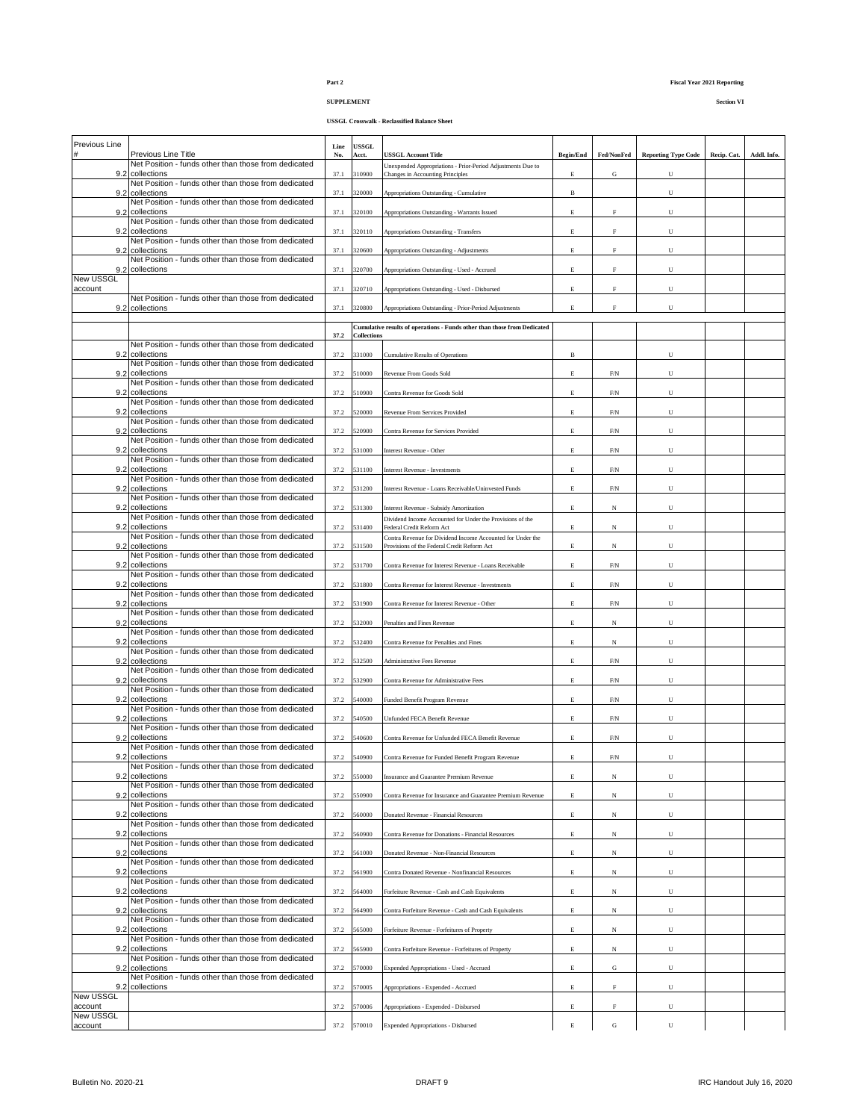# **SUPPLEMENT Section VI**

| Previous Line        |                                                                             | Line | USSGL              |                                                                                           |                  |              |                            |             |             |
|----------------------|-----------------------------------------------------------------------------|------|--------------------|-------------------------------------------------------------------------------------------|------------------|--------------|----------------------------|-------------|-------------|
|                      | Previous Line Title<br>Net Position - funds other than those from dedicated | No.  | Acct.              | <b>USSGL Account Title</b><br>Unexpended Appropriations - Prior-Period Adjustments Due to | <b>Begin/End</b> | Fed/NonFed   | <b>Reporting Type Code</b> | Recip. Cat. | Addl. Info. |
|                      | 9.2 collections<br>Net Position - funds other than those from dedicated     | 37.1 | 310900             | Changes in Accounting Principles                                                          | $\mathbf E$      | ${\bf G}$    | U                          |             |             |
| 9.2                  | collections                                                                 | 37.1 | 320000             | Appropriations Outstanding - Cumulative                                                   | $\, {\bf B}$     |              | U                          |             |             |
|                      | Net Position - funds other than those from dedicated<br>9.2 collections     | 37.1 | 320100             | Appropriations Outstanding - Warrants Issued                                              | $\mathbf E$      | $\mathbf F$  | U                          |             |             |
|                      | Net Position - funds other than those from dedicated<br>9.2 collections     | 37.1 | 320110             | Appropriations Outstanding - Transfers                                                    | $\mathbf E$      | $\rm F$      | U                          |             |             |
|                      | Net Position - funds other than those from dedicated                        |      |                    |                                                                                           |                  |              |                            |             |             |
|                      | 9.2 collections<br>Net Position - funds other than those from dedicated     | 37.1 | 320600             | Appropriations Outstanding - Adjustments                                                  | $\mathbf E$      | $\rm F$      | U                          |             |             |
| <b>New USSGL</b>     | 9.2 collections                                                             | 37.1 | 320700             | Appropriations Outstanding - Used - Accrued                                               | $\mathbf E$      | $\mathbf F$  | U                          |             |             |
| account              |                                                                             | 37.1 | 320710             | Appropriations Outstanding - Used - Disbursed                                             | $\mathbf E$      | F            | U                          |             |             |
|                      | Net Position - funds other than those from dedicated<br>9.2 collections     | 37.1 | 320800             | Appropriations Outstanding - Prior-Period Adjustments                                     | $\mathbf E$      | $\mathbf F$  | U                          |             |             |
|                      |                                                                             |      |                    | Cumulative results of operations - Funds other than those from Dedicated                  |                  |              |                            |             |             |
|                      | Net Position - funds other than those from dedicated                        | 37.2 | <b>Collections</b> |                                                                                           |                  |              |                            |             |             |
|                      | 9.2 collections<br>Net Position - funds other than those from dedicated     | 37.2 | 331000             | <b>Cumulative Results of Operations</b>                                                   | $\, {\bf B}$     |              | U                          |             |             |
|                      | 9.2 collections                                                             | 37.2 | 510000             | Revenue From Goods Sold                                                                   | $\mathbf E$      | ${\rm F/N}$  | U                          |             |             |
|                      | Net Position - funds other than those from dedicated<br>9.2 collections     | 37.2 | 510900             | Contra Revenue for Goods Sold                                                             | $\mathbf E$      | ${\rm F/N}$  | U                          |             |             |
|                      | Net Position - funds other than those from dedicated<br>9.2 collections     | 37.2 | 520000             | Revenue From Services Provided                                                            | $\mathbf E$      | ${\rm F/N}$  | U                          |             |             |
|                      | Net Position - funds other than those from dedicated                        |      |                    |                                                                                           |                  |              |                            |             |             |
|                      | 9.2 collections<br>Net Position - funds other than those from dedicated     | 37.2 | 520900             | Contra Revenue for Services Provided                                                      | $\mathbf E$      | ${\rm F/N}$  | ${\bf U}$                  |             |             |
|                      | 9.2 collections<br>Net Position - funds other than those from dedicated     | 37.2 | 531000             | Interest Revenue - Other                                                                  | $\mathbf E$      | ${\rm F/N}$  | U                          |             |             |
|                      | 9.2 collections<br>Net Position - funds other than those from dedicated     | 37.2 | 531100             | Interest Revenue - Investments                                                            | $\mathbf E$      | F/N          | U                          |             |             |
|                      | 9.2 collections                                                             | 37.2 | 531200             | Interest Revenue - Loans Receivable/Uninvested Funds                                      | $\mathbf E$      | ${\rm F/N}$  | U                          |             |             |
|                      | Net Position - funds other than those from dedicated<br>9.2 collections     | 37.2 | 531300             | Interest Revenue - Subsidy Amortization                                                   | $\mathbf E$      | $_{\rm N}$   | U                          |             |             |
| 9.2                  | Net Position - funds other than those from dedicated<br>collections         | 37.2 | 531400             | Dividend Income Accounted for Under the Provisions of the<br>Federal Credit Reform Act    | $\mathbf E$      | $_{\rm N}$   | U                          |             |             |
|                      | Net Position - funds other than those from dedicated                        |      |                    | Contra Revenue for Dividend Income Accounted for Under the                                |                  |              |                            |             |             |
|                      | 9.2 collections<br>Net Position - funds other than those from dedicated     | 37.2 | 531500             | Provisions of the Federal Credit Reform Act                                               | E                | $_{\rm N}$   | U                          |             |             |
|                      | 9.2 collections<br>Net Position - funds other than those from dedicated     | 37.2 | 531700             | Contra Revenue for Interest Revenue - Loans Receivable                                    | E                | ${\rm F/N}$  | U                          |             |             |
|                      | 9.2 collections                                                             | 37.2 | 531800             | Contra Revenue for Interest Revenue - Investments                                         | E                | ${\rm F/N}$  | U                          |             |             |
| 9.2                  | Net Position - funds other than those from dedicated<br>collections         | 37.2 | 531900             | Contra Revenue for Interest Revenue - Other                                               | $\mathbf E$      | ${\rm F/N}$  | U                          |             |             |
|                      | Net Position - funds other than those from dedicated<br>9.2 collections     | 37.2 | 532000             | Penalties and Fines Revenue                                                               | E                | $_{\rm N}$   | U                          |             |             |
| 9.2                  | Net Position - funds other than those from dedicated<br>collections         | 37.2 | 532400             | Contra Revenue for Penalties and Fines                                                    | $\mathbf E$      | $_{\rm N}$   | U                          |             |             |
|                      | Net Position - funds other than those from dedicated                        |      |                    |                                                                                           |                  |              |                            |             |             |
|                      | 9.2 collections<br>Net Position - funds other than those from dedicated     | 37.2 | 532500             | Administrative Fees Revenue                                                               | $\mathbf E$      | ${\rm F/N}$  | U                          |             |             |
| 9.2                  | collections<br>Net Position - funds other than those from dedicated         | 37.2 | 532900             | Contra Revenue for Administrative Fees                                                    | $\mathbf E$      | ${\rm F/N}$  | U                          |             |             |
|                      | 9.2 collections                                                             | 37.2 | 540000             | Funded Benefit Program Revenue                                                            | $\mathbf E$      | ${\rm F/N}$  | U                          |             |             |
|                      | Net Position - funds other than those from dedicated<br>9.2 collections     | 37.2 | 540500             | Unfunded FECA Benefit Revenue                                                             | $\mathbf E$      | ${\rm F/N}$  | U                          |             |             |
| 9.2                  | Net Position - funds other than those from dedicated<br>collections         | 37.2 | 540600             | Contra Revenue for Unfunded FECA Benefit Revenue                                          | $\mathbf E$      | ${\rm F/N}$  | U                          |             |             |
|                      | Net Position - funds other than those from dedicated                        |      |                    |                                                                                           |                  |              |                            |             |             |
|                      | 9.2 collections<br>Net Position - funds other than those from dedicated     | 37.2 | 540900             | Contra Revenue for Funded Benefit Program Revenue                                         | $\mathbf E$      | $\mbox{F/N}$ | $\mathbf U$                |             |             |
| 9.2                  | collections<br>Net Position - funds other than those from dedicated         | 37.2 | 550000             | Insurance and Guarantee Premium Revenue                                                   | $\mathbf E$      | $_{\rm N}$   | $\mathbf U$                |             |             |
| 9.2                  | collections<br>Net Position - funds other than those from dedicated         | 37.2 | 550900             | Contra Revenue for Insurance and Guarantee Premium Revenue                                | $\mathbf E$      | $_{\rm N}$   | ${\bf U}$                  |             |             |
|                      | 9.2 collections                                                             | 37.2 | 560000             | Donated Revenue - Financial Resources                                                     | $\mathbf E$      | $_{\rm N}$   | U                          |             |             |
|                      | Net Position - funds other than those from dedicated<br>9.2 collections     | 37.2 | 560900             | Contra Revenue for Donations - Financial Resources                                        | $\mathbf E$      | $_{\rm N}$   | U                          |             |             |
|                      | Net Position - funds other than those from dedicated<br>9.2 collections     | 37.2 | 561000             | Donated Revenue - Non-Financial Resources                                                 | E                | $_{\rm N}$   | ${\bf U}$                  |             |             |
|                      | Net Position - funds other than those from dedicated<br>9.2 collections     |      |                    |                                                                                           |                  |              |                            |             |             |
|                      | Net Position - funds other than those from dedicated                        | 37.2 | 561900             | Contra Donated Revenue - Nonfinancial Resources                                           | $\mathbf E$      | $_{\rm N}$   | U                          |             |             |
|                      | 9.2 collections<br>Net Position - funds other than those from dedicated     | 37.2 | 564000             | Forfeiture Revenue - Cash and Cash Equivalents                                            | $\mathbf E$      | $_{\rm N}$   | U                          |             |             |
|                      | 9.2 collections<br>Net Position - funds other than those from dedicated     | 37.2 | 564900             | Contra Forfeiture Revenue - Cash and Cash Equivalents                                     | $\mathbf E$      | $_{\rm N}$   | U                          |             |             |
|                      | 9.2 collections                                                             | 37.2 | 565000             | Forfeiture Revenue - Forfeitures of Property                                              | $\mathbf E$      | $_{\rm N}$   | U                          |             |             |
|                      | Net Position - funds other than those from dedicated<br>9.2 collections     | 37.2 | 565900             | Contra Forfeiture Revenue - Forfeitures of Property                                       | $\mathbf E$      | $_{\rm N}$   | U                          |             |             |
|                      | Net Position - funds other than those from dedicated<br>9.2 collections     | 37.2 | 570000             | Expended Appropriations - Used - Accrued                                                  | $\mathbf E$      | ${\bf G}$    | U                          |             |             |
|                      | Net Position - funds other than those from dedicated                        |      |                    |                                                                                           |                  |              |                            |             |             |
| <b>New USSGL</b>     | 9.2 collections                                                             | 37.2 | 570005             | Appropriations - Expended - Accrued                                                       | $\mathbf E$      | F            | U                          |             |             |
| account<br>New USSGL |                                                                             | 37.2 | 570006             | Appropriations - Expended - Disbursed                                                     | $\mathbf E$      | ${\rm F}$    | U                          |             |             |
| account              |                                                                             |      | 37.2 570010        | Expended Appropriations - Disbursed                                                       | $\mathbf E$      | G            | U                          |             |             |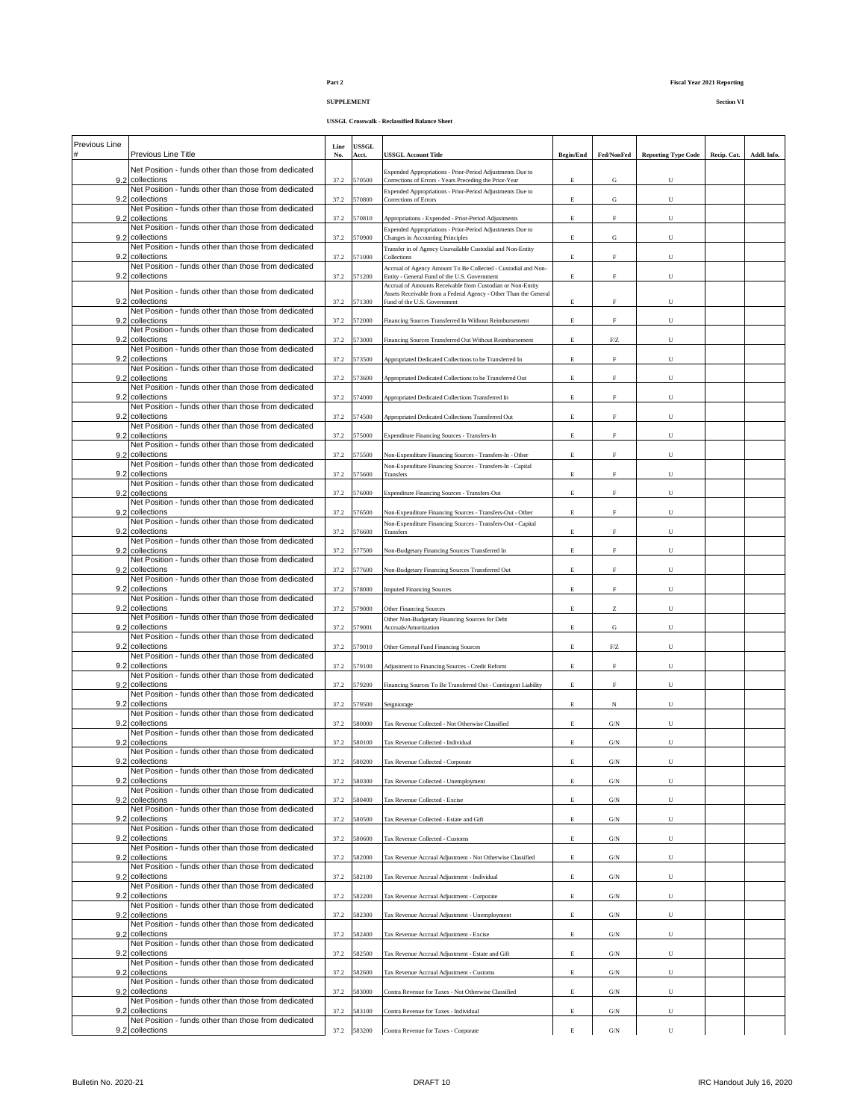**SUPPLEMENT Section VI**

**USSGL Crosswalk - Reclassified Balance Sheet**

| Previous Line |                                                                         | Line | <b>USSGL</b> |                                                                                                                                |                  |                                                       |                            |             |             |
|---------------|-------------------------------------------------------------------------|------|--------------|--------------------------------------------------------------------------------------------------------------------------------|------------------|-------------------------------------------------------|----------------------------|-------------|-------------|
|               | Previous Line Title                                                     | No.  | Acct.        | <b>USSGL Account Title</b>                                                                                                     | <b>Begin/End</b> | Fed/NonFed                                            | <b>Reporting Type Code</b> | Recip. Cat. | Addl. Info. |
| 9.2           | Net Position - funds other than those from dedicated<br>collections     | 37.2 | 570500       | Expended Appropriations - Prior-Period Adjustments Due to<br>Corrections of Errors - Years Preceding the Prior-Year            | $\mathbf E$      | G                                                     | U                          |             |             |
| 9.2           | Net Position - funds other than those from dedicated<br>collections     | 37.2 | 70800        | Expended Appropriations - Prior-Period Adjustments Due to<br>Corrections of Errors                                             | $\mathbf E$      | ${\bf G}$                                             | U                          |             |             |
| 9.2           | Net Position - funds other than those from dedicated<br>collections     | 37.2 | 70810        | Appropriations - Expended - Prior-Period Adjustments                                                                           | $\mathbf E$      | $\mathbf F$                                           | U                          |             |             |
| 9.2           | Net Position - funds other than those from dedicated<br>collections     | 37.2 | 570900       | Expended Appropriations - Prior-Period Adjustments Due to<br>Changes in Accounting Principles                                  | $\mathbf E$      | ${\bf G}$                                             | U                          |             |             |
| 9.2           | Net Position - funds other than those from dedicated<br>collections     | 37.2 | 571000       | Transfer in of Agency Unavailable Custodial and Non-Entity<br>Collections                                                      | $\mathbf E$      | $\mathbf F$                                           | U                          |             |             |
| 9.2           | Net Position - funds other than those from dedicated<br>collections     | 37.2 | 71200        | Accrual of Agency Amount To Be Collected - Custodial and Non-<br>Entity - General Fund of the U.S. Government                  | $\mathbf E$      | $\mathbf{F}$                                          | U                          |             |             |
|               | Net Position - funds other than those from dedicated                    |      |              | Accrual of Amounts Receivable from Custodian or Non-Entity<br>Assets Receivable from a Federal Agency - Other Than the General |                  |                                                       |                            |             |             |
| 9.2           | collections<br>Net Position - funds other than those from dedicated     | 37.2 | 571300       | Fund of the U.S. Government                                                                                                    | $\mathbf E$      | F                                                     | U                          |             |             |
| 9.2           | collections<br>Net Position - funds other than those from dedicated     | 37.2 | 72000        | Financing Sources Transferred In Without Reimbursement                                                                         | $\mathbf E$      | $\mathbf F$                                           | U                          |             |             |
| 9.2           | collections                                                             | 37.2 | 573000       | Financing Sources Transferred Out Without Reimbursement                                                                        | Е                | ${\rm F}/{\rm Z}$                                     | U                          |             |             |
| 9.2           | Net Position - funds other than those from dedicated<br>collections     | 37.2 | 573500       | Appropriated Dedicated Collections to be Transferred In                                                                        | $\mathbf E$      | $\mathbf F$                                           | U                          |             |             |
| 9.2           | Net Position - funds other than those from dedicated<br>collections     | 37.2 | 573600       | Appropriated Dedicated Collections to be Transferred Out                                                                       | Е                | $\mathbf F$                                           | U                          |             |             |
| 9.2           | Net Position - funds other than those from dedicated<br>collections     | 37.2 | 574000       | Appropriated Dedicated Collections Transferred In                                                                              | Е                | $\mathbf F$                                           | U                          |             |             |
| 9.2           | Net Position - funds other than those from dedicated<br>collections     | 37.2 | 574500       | Appropriated Dedicated Collections Transferred Out                                                                             | Е                | $\mathbf F$                                           | U                          |             |             |
| 9.2           | Net Position - funds other than those from dedicated<br>collections     | 37.2 | 575000       | Expenditure Financing Sources - Transfers-In                                                                                   | $\mathbf E$      | $\mathbf F$                                           | U                          |             |             |
| 9.2           | Net Position - funds other than those from dedicated<br>collections     | 37.2 | 575500       | Non-Expenditure Financing Sources - Transfers-In - Other                                                                       | Е                | $\mathbf F$                                           | U                          |             |             |
| 9.2           | Net Position - funds other than those from dedicated<br>collections     | 37.2 | 575600       | Non-Expenditure Financing Sources - Transfers-In - Capital<br>Transfers                                                        | Е                | F                                                     | U                          |             |             |
|               | Net Position - funds other than those from dedicated                    |      |              |                                                                                                                                |                  |                                                       |                            |             |             |
| 9.2           | collections<br>Net Position - funds other than those from dedicated     | 37.2 | 576000       | Expenditure Financing Sources - Transfers-Out                                                                                  | Е                | F                                                     | U                          |             |             |
| 9.2           | collections<br>Net Position - funds other than those from dedicated     | 37.2 | 576500       | Non-Expenditure Financing Sources - Transfers-Out - Other<br>Non-Expenditure Financing Sources - Transfers-Out - Capital       | E                | F                                                     | U                          |             |             |
| 9.2           | collections<br>Net Position - funds other than those from dedicated     | 37.2 | 76600        | Transfers                                                                                                                      | E                | F                                                     | U                          |             |             |
|               | 9.2 collections<br>Net Position - funds other than those from dedicated | 37.2 | 577500       | Non-Budgetary Financing Sources Transferred In                                                                                 | E                | F                                                     | U                          |             |             |
| 9.2           | collections<br>Net Position - funds other than those from dedicated     | 37.2 | 577600       | Non-Budgetary Financing Sources Transferred Out                                                                                | Е                | $\mathbf F$                                           | U                          |             |             |
| 9.2           | collections<br>Net Position - funds other than those from dedicated     | 37.2 | 578000       | <b>Imputed Financing Sources</b>                                                                                               | E                | F                                                     | U                          |             |             |
| 9.2           | collections<br>Net Position - funds other than those from dedicated     | 37.2 | 579000       | <b>Other Financing Sources</b>                                                                                                 | $\mathbf E$      | $\mathbf{Z}% ^{T}=\mathbf{Z}^{T}\times\mathbf{Z}^{T}$ | U                          |             |             |
| 9.2           | collections                                                             | 37.2 | 579001       | Other Non-Budgetary Financing Sources for Debt<br>Accruals/Amortization                                                        | $\mathbf E$      | G                                                     | U                          |             |             |
| 9.2           | Net Position - funds other than those from dedicated<br>collections     | 37.2 | 579010       | Other General Fund Financing Sources                                                                                           | $\mathbf E$      | ${\rm F}/{\rm Z}$                                     | U                          |             |             |
| 9.2           | Net Position - funds other than those from dedicated<br>collections     | 37.2 | 579100       | Adjustment to Financing Sources - Credit Reform                                                                                | $\mathbf E$      | $\mathbf F$                                           | U                          |             |             |
| 9.2           | Net Position - funds other than those from dedicated<br>collections     | 37.2 | 579200       | Financing Sources To Be Transferred Out - Contingent Liability                                                                 | E                | $\mathbf F$                                           | U                          |             |             |
| 9.2           | Net Position - funds other than those from dedicated<br>collections     | 37.2 | 579500       | Seigniorage                                                                                                                    | $\mathbf E$      | $_{\rm N}$                                            | U                          |             |             |
|               | Net Position - funds other than those from dedicated<br>9.2 collections | 37.2 | 580000       | Tax Revenue Collected - Not Otherwise Classified                                                                               | E                | $\mathrm{G/N}$                                        | U                          |             |             |
| 9.2           | Net Position - funds other than those from dedicated<br>collections     | 37.2 | 580100       | Tax Revenue Collected - Individual                                                                                             | E                | $\mathrm{G/N}$                                        | U                          |             |             |
|               | Net Position - funds other than those from dedicated<br>9.2 collections |      | 580200       | Tax Revenue Collected - Corporate                                                                                              | E                | $\mathrm{G/N}$                                        | U                          |             |             |
|               | Net Position - funds other than those from dedicated                    | 37.2 |              |                                                                                                                                |                  |                                                       |                            |             |             |
| 9.2           | collections<br>Net Position - funds other than those from dedicated     | 37.2 | 580300       | Tax Revenue Collected - Unemployment                                                                                           | $\mathbf E$      | $\mathrm{G/N}$                                        | U                          |             |             |
| 9.2           | collections<br>Net Position - funds other than those from dedicated     | 37.2 | 580400       | Tax Revenue Collected - Excise                                                                                                 | E                | $\mathrm{G/N}$                                        | U                          |             |             |
| 9.2           | collections<br>Net Position - funds other than those from dedicated     | 37.2 | 580500       | Tax Revenue Collected - Estate and Gift                                                                                        | $\mathbf E$      | G/N                                                   | U                          |             |             |
| 9.2           | collections<br>Net Position - funds other than those from dedicated     | 37.2 | 80600        | Tax Revenue Collected - Customs                                                                                                | Е                | $\mathrm{G/N}$                                        | U                          |             |             |
| 9.2           | collections<br>Net Position - funds other than those from dedicated     | 37.2 | 582000       | Tax Revenue Accrual Adjustment - Not Otherwise Classified                                                                      | $\mathbf E$      | $\mathrm{G/N}$                                        | U                          |             |             |
| 9.2           | collections<br>Net Position - funds other than those from dedicated     | 37.2 | 582100       | Tax Revenue Accrual Adjustment - Individual                                                                                    | Е                | $\mathrm{G/N}$                                        | U                          |             |             |
| 9.2           | collections<br>Net Position - funds other than those from dedicated     | 37.2 | 582200       | Tax Revenue Accrual Adjustment - Corporate                                                                                     | $\mathbf E$      | $\mathrm{G/N}$                                        | $_{\rm U}$                 |             |             |
|               | 9.2 collections                                                         | 37.2 | 582300       | Tax Revenue Accrual Adjustment - Unemployment                                                                                  | $\mathbf E$      | $\mathrm{G/N}$                                        | U                          |             |             |
| 9.2           | Net Position - funds other than those from dedicated<br>collections     | 37.2 | 582400       | Tax Revenue Accrual Adjustment - Excise                                                                                        | $\mathbf E$      | G/N                                                   | U                          |             |             |
| 9.2           | Net Position - funds other than those from dedicated<br>collections     | 37.2 | 582500       | Tax Revenue Accrual Adjustment - Estate and Gift                                                                               | E                | $\mathrm{G/N}$                                        | U                          |             |             |
| 9.2           | Net Position - funds other than those from dedicated<br>collections     | 37.2 | 582600       | Tax Revenue Accrual Adjustment - Customs                                                                                       | E                | $\mathrm{G/N}$                                        | U                          |             |             |
| 9.2           | Net Position - funds other than those from dedicated<br>collections     | 37.2 | 583000       | Contra Revenue for Taxes - Not Otherwise Classified                                                                            | E                | $\mathrm{G/N}$                                        | U                          |             |             |
| 9.2           | Net Position - funds other than those from dedicated<br>collections     | 37.2 | 583100       | Contra Revenue for Taxes - Individual                                                                                          | Е                | $\mathrm{G/N}$                                        | U                          |             |             |
|               | Net Position - funds other than those from dedicated                    |      |              |                                                                                                                                |                  |                                                       |                            |             |             |
|               | 9.2 collections                                                         |      | 37.2 583200  | Contra Revenue for Taxes - Corporate                                                                                           | Е                | $\mathrm{G/N}$                                        | U                          |             |             |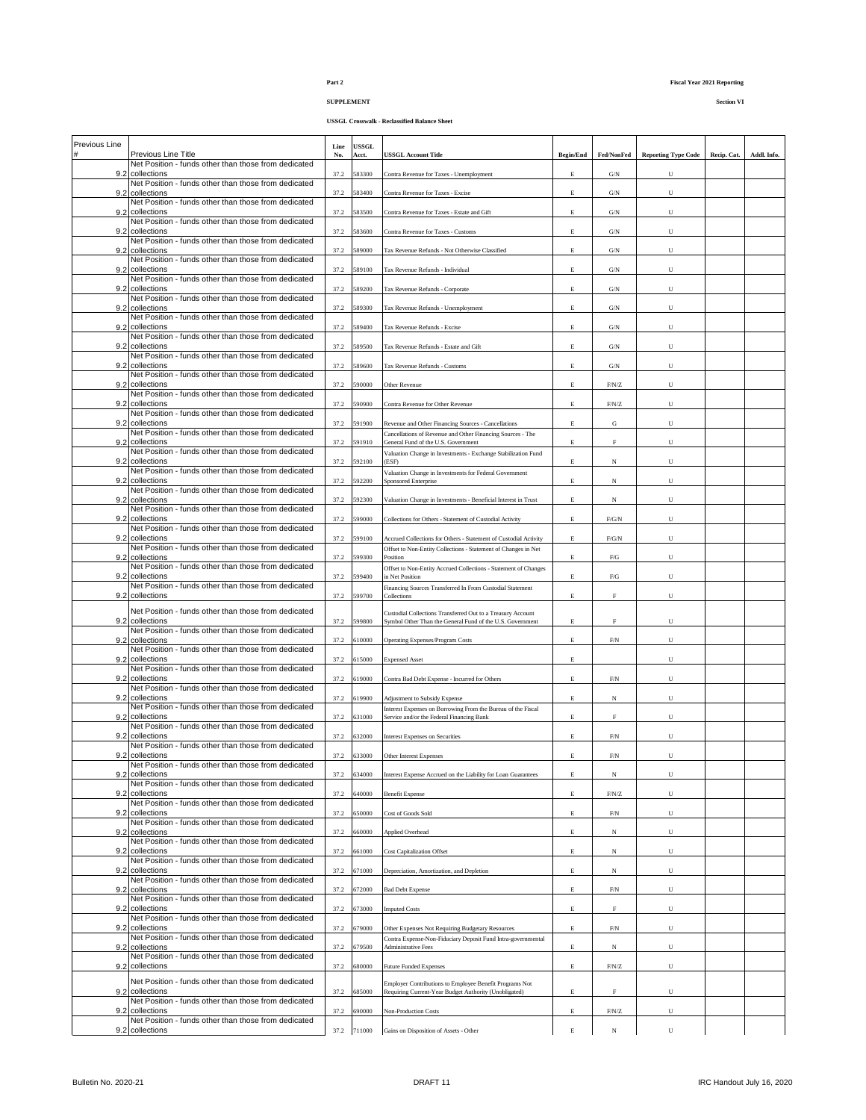# **SUPPLEMENT Section VI**

**USSGL Crosswalk - Reclassified Balance Sheet**

| Previous Line |                                                                             | Line | <b>USSGL</b> |                                                                                                                                    |                  |                |                            |             |             |
|---------------|-----------------------------------------------------------------------------|------|--------------|------------------------------------------------------------------------------------------------------------------------------------|------------------|----------------|----------------------------|-------------|-------------|
| #             | Previous Line Title<br>Net Position - funds other than those from dedicated | No.  | Acct.        | <b>USSGL Account Title</b>                                                                                                         | <b>Begin/End</b> | Fed/NonFed     | <b>Reporting Type Code</b> | Recip. Cat. | Addl. Info. |
|               | 9.2 collections<br>Net Position - funds other than those from dedicated     | 37.2 | 583300       | Contra Revenue for Taxes - Unemployment                                                                                            | Е                | G/N            | U                          |             |             |
| 9.2           | collections                                                                 | 37.2 | 583400       | Contra Revenue for Taxes - Excise                                                                                                  | Е                | $\mathrm{G/N}$ | U                          |             |             |
| 9.2           | Net Position - funds other than those from dedicated<br>collections         | 37.2 | 583500       | Contra Revenue for Taxes - Estate and Gift                                                                                         | Е                | $\mathrm{G/N}$ | U                          |             |             |
| 9.2           | Net Position - funds other than those from dedicated<br>collections         | 37.2 | 583600       | Contra Revenue for Taxes - Customs                                                                                                 | Е                | $\mathrm{G/N}$ | U                          |             |             |
| 9.2           | Net Position - funds other than those from dedicated<br>collections         | 37.2 | 589000       | Tax Revenue Refunds - Not Otherwise Classified                                                                                     | $\mathbf E$      | $\mathrm{G/N}$ | U                          |             |             |
|               | Net Position - funds other than those from dedicated                        |      |              |                                                                                                                                    |                  |                |                            |             |             |
| 9.2           | collections<br>Net Position - funds other than those from dedicated         | 37.2 | 589100       | Tax Revenue Refunds - Individual                                                                                                   | $\mathbf E$      | $\mathrm{G/N}$ | U                          |             |             |
| 9.2           | collections<br>Net Position - funds other than those from dedicated         | 37.2 | 589200       | Tax Revenue Refunds - Corporate                                                                                                    | E                | G/N            | U                          |             |             |
| 9.2           | collections<br>Net Position - funds other than those from dedicated         | 37.2 | 89300        | Tax Revenue Refunds - Unemployment                                                                                                 | E                | $\mathrm{G/N}$ | U                          |             |             |
| 9.2           | collections                                                                 | 37.2 | 589400       | Tax Revenue Refunds - Excise                                                                                                       | E                | $\mathrm{G/N}$ | U                          |             |             |
| 9.2           | Net Position - funds other than those from dedicated<br>collections         | 37.2 | 589500       | Tax Revenue Refunds - Estate and Gift                                                                                              | E                | $\mathrm{G/N}$ | U                          |             |             |
|               | Net Position - funds other than those from dedicated<br>9.2 collections     | 37.2 | 589600       | Tax Revenue Refunds - Customs                                                                                                      | E                | $\mathrm{G/N}$ | U                          |             |             |
| 9.2           | Net Position - funds other than those from dedicated                        | 37.2 | 90000        |                                                                                                                                    |                  |                |                            |             |             |
|               | collections<br>Net Position - funds other than those from dedicated         |      |              | Other Revenue                                                                                                                      | E                | $\rm F/N/Z$    | U                          |             |             |
| 9.2           | collections<br>Net Position - funds other than those from dedicated         | 37.2 | 590900       | Contra Revenue for Other Revenue                                                                                                   | E                | $\mbox{F/N/Z}$ | U                          |             |             |
| 9.2           | collections<br>Net Position - funds other than those from dedicated         | 37.2 | 591900       | Revenue and Other Financing Sources - Cancellations<br>Cancellations of Revenue and Other Financing Sources - The                  | $\mathbf E$      | G              | U                          |             |             |
|               | 9.2 collections                                                             | 37.2 | 591910       | General Fund of the U.S. Government                                                                                                | E                | $\mathbf F$    | U                          |             |             |
| 9.2           | Net Position - funds other than those from dedicated<br>collections         | 37.2 | 592100       | Valuation Change in Investments - Exchange Stabilization Fund<br>(ESF)                                                             | $\mathbf E$      | N              | U                          |             |             |
|               | Net Position - funds other than those from dedicated<br>9.2 collections     | 37.2 | 592200       | Valuation Change in Investments for Federal Government<br>Sponsored Enterprise                                                     | $\mathbf E$      | $_{\rm N}$     | U                          |             |             |
| 9.2           | Net Position - funds other than those from dedicated<br>collections         | 37.2 | 592300       | Valuation Change in Investments - Beneficial Interest in Trust                                                                     | E                | $_{\rm N}$     | U                          |             |             |
|               | Net Position - funds other than those from dedicated                        |      |              |                                                                                                                                    |                  |                |                            |             |             |
| 9.2           | collections<br>Net Position - funds other than those from dedicated         | 37.2 | 599000       | Collections for Others - Statement of Custodial Activity                                                                           | $\mathbf E$      | ${\rm F/G/N}$  | U                          |             |             |
| 9.2           | collections<br>Net Position - funds other than those from dedicated         | 37.2 | 99100        | Accrued Collections for Others - Statement of Custodial Activity<br>Offset to Non-Entity Collections - Statement of Changes in Net | $\mathbf E$      | ${\rm F/G/N}$  | U                          |             |             |
| 9.2           | collections<br>Net Position - funds other than those from dedicated         | 37.2 | 599300       | Position                                                                                                                           | $\mathbf E$      | ${\rm F/G}$    | U                          |             |             |
| 9.2           | collections                                                                 | 37.2 | 599400       | Offset to Non-Entity Accrued Collections - Statement of Changes<br>in Net Position                                                 | $\mathbf E$      | ${\rm F/G}$    | U                          |             |             |
| 9.2           | Net Position - funds other than those from dedicated<br>collections         | 37.2 | 99700        | Financing Sources Transferred In From Custodial Statement<br>Collections                                                           | $\mathbf E$      | $\mathbf F$    | U                          |             |             |
| 9.2           | Net Position - funds other than those from dedicated<br>collections         | 37.2 | 99800        | Custodial Collections Transferred Out to a Treasury Account<br>Symbol Other Than the General Fund of the U.S. Government           | $\mathbf E$      | $\mathbf F$    | U                          |             |             |
|               | Net Position - funds other than those from dedicated                        |      |              |                                                                                                                                    |                  |                | U                          |             |             |
| 9.2           | collections<br>Net Position - funds other than those from dedicated         | 37.2 | 610000       | <b>Operating Expenses/Program Costs</b>                                                                                            | $\mathbf E$      | ${\rm F/N}$    |                            |             |             |
|               | 9.2 collections<br>Net Position - funds other than those from dedicated     | 37.2 | 615000       | <b>Expensed Asset</b>                                                                                                              | E                |                | U                          |             |             |
| 9.2           | collections<br>Net Position - funds other than those from dedicated         | 37.2 | 619000       | Contra Bad Debt Expense - Incurred for Others                                                                                      | $\mathbf E$      | ${\rm F/N}$    | U                          |             |             |
| 9.2           | collections<br>Net Position - funds other than those from dedicated         | 37.2 | 619900       | Adjustment to Subsidy Expense                                                                                                      | E                | $_{\rm N}$     | U                          |             |             |
| 9.2           | collections                                                                 | 37.2 | 631000       | Interest Expenses on Borrowing From the Bureau of the Fiscal<br>Service and/or the Federal Financing Bank                          | Е                | $\mathbf F$    | U                          |             |             |
|               | Net Position - funds other than those from dedicated<br>collections         | 37.2 | 632000       | <b>Interest Expenses on Securities</b>                                                                                             | E                | ${\rm F/N}$    | U                          |             |             |
|               | Net Position - funds other than those from dedicated<br>9.2 collections     | 37.2 | 633000       | Other Interest Expenses                                                                                                            | E                | ${\rm F/N}$    | U                          |             |             |
| 9.2           | Net Position - funds other than those from dedicated                        |      | 634000       |                                                                                                                                    | E                | N              | U                          |             |             |
|               | collections<br>Net Position - funds other than those from dedicated         | 37.2 |              | Interest Expense Accrued on the Liability for Loan Guarantees                                                                      |                  |                |                            |             |             |
| 9.2           | collections<br>Net Position - funds other than those from dedicated         | 37.2 | 540000       | <b>Benefit Expense</b>                                                                                                             | $\mathbf E$      | $\mbox{F/N/Z}$ | U                          |             |             |
| 9.2           | collections<br>Net Position - funds other than those from dedicated         | 37.2 | 650000       | Cost of Goods Sold                                                                                                                 | Е                | ${\rm F/N}$    | U                          |             |             |
| 9.2           | collections<br>Net Position - funds other than those from dedicated         | 37.2 | 660000       | Applied Overhead                                                                                                                   | E                | $_{\rm N}$     | U                          |             |             |
| 9.2           | collections                                                                 | 37.2 | 661000       | <b>Cost Capitalization Offset</b>                                                                                                  | E                | N              | U                          |             |             |
|               | Net Position - funds other than those from dedicated<br>9.2 collections     | 37.2 | 671000       | Depreciation, Amortization, and Depletion                                                                                          | Е                | $_{\rm N}$     | U                          |             |             |
| 9.2           | Net Position - funds other than those from dedicated<br>collections         | 37.2 | 672000       | <b>Bad Debt Expense</b>                                                                                                            | Е                | ${\rm F/N}$    | U                          |             |             |
| 9.2           | Net Position - funds other than those from dedicated<br>collections         | 37.2 | 673000       | <b>Imputed Costs</b>                                                                                                               | E                | F              | U                          |             |             |
|               | Net Position - funds other than those from dedicated                        |      |              |                                                                                                                                    |                  |                |                            |             |             |
| 9.2           | collections<br>Net Position - funds other than those from dedicated         | 37.2 | 79000        | Other Expenses Not Requiring Budgetary Resources<br>Contra Expense-Non-Fiduciary Deposit Fund Intra-governmental                   | $\mathbf E$      | $\mbox{F/N}$   | U                          |             |             |
| 9.2           | collections<br>Net Position - funds other than those from dedicated         | 37.2 | 679500       | <b>Administrative Fees</b>                                                                                                         | E                | $_{\rm N}$     | U                          |             |             |
| 9.2           | collections                                                                 | 37.2 | 580000       | <b>Future Funded Expenses</b>                                                                                                      | $\mathbf E$      | $\rm F/N/Z$    | U                          |             |             |
| 9.2           | Net Position - funds other than those from dedicated<br>collections         | 37.2 | 685000       | Employer Contributions to Employee Benefit Programs Not<br>Requiring Current-Year Budget Authority (Unobligated)                   | E                | $\mathbf F$    | U                          |             |             |
| 9.2           | Net Position - funds other than those from dedicated<br>collections         | 37.2 | 690000       | <b>Non-Production Costs</b>                                                                                                        | $\mathbf E$      | $\rm F/N/Z$    | U                          |             |             |
|               | Net Position - funds other than those from dedicated                        |      | 37.2 711000  |                                                                                                                                    | $\mathbf E$      | $_{\rm N}$     | $_{\rm U}$                 |             |             |
|               | 9.2 collections                                                             |      |              | Gains on Disposition of Assets - Other                                                                                             |                  |                |                            |             |             |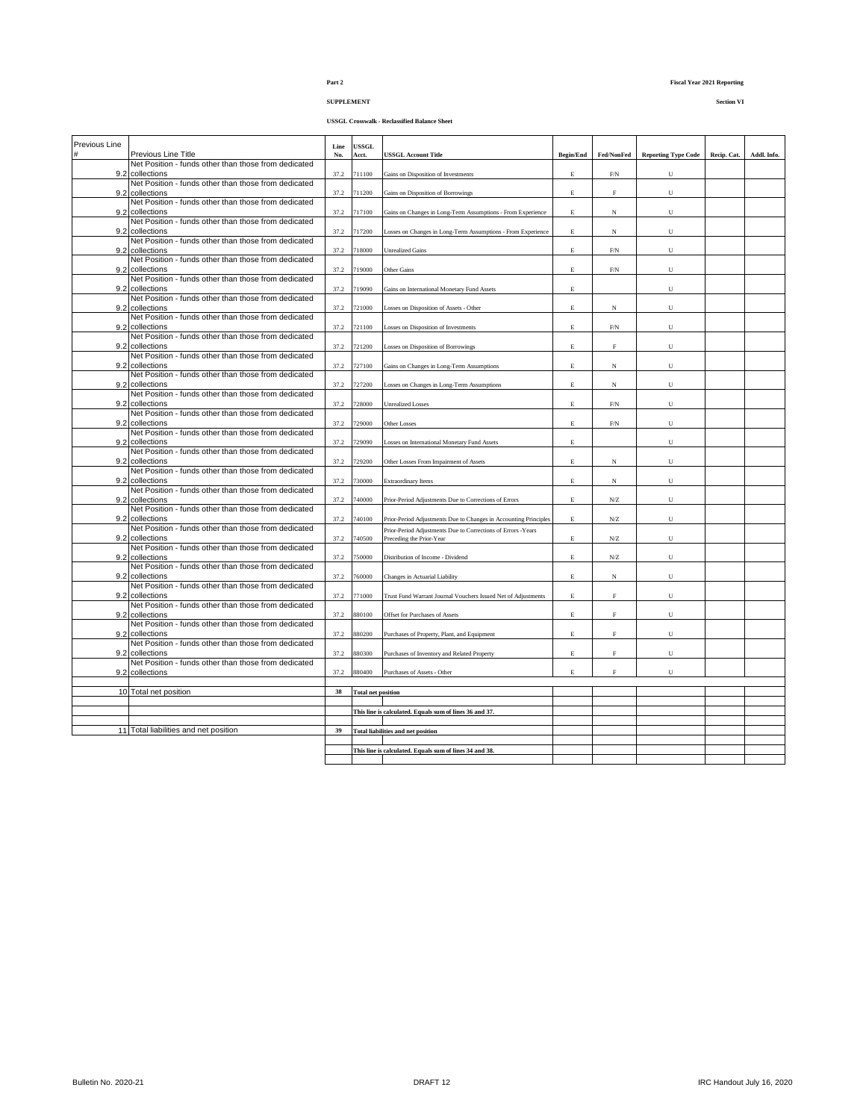## **SUPPLEMENT Section VI**

|  | <b>USSGL Crosswalk - Reclassified Balance Sheet</b> |  |
|--|-----------------------------------------------------|--|
|--|-----------------------------------------------------|--|

| Previous Line |                                                      | Line | <b>USSGL</b> |                                                                  |                  |                     |                            |             |             |
|---------------|------------------------------------------------------|------|--------------|------------------------------------------------------------------|------------------|---------------------|----------------------------|-------------|-------------|
| #             | Previous Line Title                                  | No.  | Acct.        | <b>USSGL Account Title</b>                                       | <b>Begin/End</b> | Fed/NonFed          | <b>Reporting Type Code</b> | Recip. Cat. | Addl. Info. |
|               | Net Position - funds other than those from dedicated |      |              |                                                                  |                  |                     |                            |             |             |
|               | 9.2 collections                                      | 37.2 | 711100       | Gains on Disposition of Investments                              | E                | ${\rm F/N}$         | U                          |             |             |
|               | Net Position - funds other than those from dedicated |      |              |                                                                  |                  |                     |                            |             |             |
| 9.2           | collections                                          | 37.2 | 711200       | Gains on Disposition of Borrowings                               | E                | $\rm F$             | U                          |             |             |
|               | Net Position - funds other than those from dedicated |      |              |                                                                  |                  |                     |                            |             |             |
|               | 9.2 collections                                      | 37.2 | 717100       | Gains on Changes in Long-Term Assumptions - From Experience      | E.               | N                   | U                          |             |             |
|               | Net Position - funds other than those from dedicated |      |              |                                                                  |                  |                     |                            |             |             |
| 9.2           | collections                                          | 37.2 | 717200       | Losses on Changes in Long-Term Assumptions - From Experience     | E                | $_{\rm N}$          | U                          |             |             |
|               | Net Position - funds other than those from dedicated |      |              |                                                                  |                  |                     |                            |             |             |
|               | 9.2 collections                                      | 37.2 | 718000       | <b>Unrealized Gains</b>                                          | $\mathbf E$      | ${\rm F/N}$         | U                          |             |             |
|               | Net Position - funds other than those from dedicated |      |              |                                                                  |                  |                     |                            |             |             |
| 9.2           | collections                                          | 37.2 | 719000       | Other Gains                                                      | Е                | ${\rm F/N}$         | U                          |             |             |
|               | Net Position - funds other than those from dedicated |      |              |                                                                  |                  |                     |                            |             |             |
|               | 9.2 collections                                      | 37.2 | 719090       | Gains on International Monetary Fund Assets                      | E                |                     | U                          |             |             |
|               | Net Position - funds other than those from dedicated |      |              |                                                                  |                  |                     |                            |             |             |
|               | 9.2 collections                                      | 37.2 | 721000       | Losses on Disposition of Assets - Other                          | E                | $_{\rm N}$          | U                          |             |             |
|               | Net Position - funds other than those from dedicated |      |              |                                                                  |                  |                     |                            |             |             |
|               | 9.2 collections                                      | 37.2 | 721100       | Losses on Disposition of Investments                             | E                | ${\rm F/N}$         | U                          |             |             |
|               | Net Position - funds other than those from dedicated |      |              |                                                                  |                  |                     |                            |             |             |
| 9.2           | collections                                          | 37.2 | 721200       | Losses on Disposition of Borrowings                              | E                | $\rm F$             | U                          |             |             |
|               | Net Position - funds other than those from dedicated |      |              |                                                                  |                  |                     |                            |             |             |
|               | 9.2 collections                                      | 37.2 | 727100       | Gains on Changes in Long-Term Assumptions                        | E                | $_{\rm N}$          | U                          |             |             |
|               | Net Position - funds other than those from dedicated |      |              |                                                                  |                  |                     |                            |             |             |
| 9.2           | collections                                          | 37.2 | 727200       | Losses on Changes in Long-Term Assumptions                       | E                | $_{\rm N}$          | U                          |             |             |
|               | Net Position - funds other than those from dedicated |      |              |                                                                  |                  |                     |                            |             |             |
|               | 9.2 collections                                      | 37.2 | 728000       | <b>Unrealized Losses</b>                                         | Е                | ${\rm F/N}$         | U                          |             |             |
|               | Net Position - funds other than those from dedicated |      |              |                                                                  |                  |                     |                            |             |             |
| 9.2           | collections                                          | 37.2 | 729000       | Other Losses                                                     | E                | ${\rm F/N}$         | U                          |             |             |
|               | Net Position - funds other than those from dedicated |      |              |                                                                  |                  |                     |                            |             |             |
|               | 9.2 collections                                      | 37.2 | 729090       | Losses on International Monetary Fund Assets                     | E                |                     | U                          |             |             |
|               | Net Position - funds other than those from dedicated |      |              |                                                                  |                  |                     |                            |             |             |
| 9.2           | collections                                          | 37.2 | 729200       | Other Losses From Impairment of Assets                           | E                | $_{\rm N}$          | U                          |             |             |
|               | Net Position - funds other than those from dedicated |      |              |                                                                  |                  |                     |                            |             |             |
|               | 9.2 collections                                      | 37.2 | 730000       | <b>Extraordinary Items</b>                                       | E                | $_{\rm N}$          | U                          |             |             |
|               | Net Position - funds other than those from dedicated |      |              |                                                                  |                  |                     |                            |             |             |
| 9.2           | collections                                          | 37.2 | 740000       | Prior-Period Adjustments Due to Corrections of Errors            | E                | ${\rm N} / {\rm Z}$ | U                          |             |             |
|               | Net Position - funds other than those from dedicated |      |              |                                                                  |                  |                     |                            |             |             |
|               | 9.2 collections                                      | 37.2 | 740100       | Prior-Period Adjustments Due to Changes in Accounting Principles | E                | ${\rm N}$           | U                          |             |             |
|               | Net Position - funds other than those from dedicated |      |              | Prior-Period Adjustments Due to Corrections of Errors -Years     |                  |                     |                            |             |             |
| 9.2           | collections                                          | 37.2 | 740500       | Preceding the Prior-Year                                         | E                | ${\rm N}$           | U                          |             |             |
|               | Net Position - funds other than those from dedicated |      |              |                                                                  |                  |                     |                            |             |             |
|               | 9.2 collections                                      | 37.2 | 750000       | Distribution of Income - Dividend                                | E                | ${\rm N} / {\rm Z}$ | U                          |             |             |
|               | Net Position - funds other than those from dedicated |      |              |                                                                  |                  |                     |                            |             |             |
| 9.2           | collections                                          | 37.2 | 760000       | Changes in Actuarial Liability                                   | E                | $_{\rm N}$          | U                          |             |             |
|               | Net Position - funds other than those from dedicated |      |              |                                                                  |                  |                     |                            |             |             |
|               | 9.2 collections                                      | 37.2 | 771000       | Trust Fund Warrant Journal Vouchers Issued Net of Adjustments    | E.               | F                   | U                          |             |             |
|               | Net Position - funds other than those from dedicated |      |              |                                                                  |                  |                     |                            |             |             |
| 9.2           | collections                                          | 37.2 | 880100       | Offset for Purchases of Assets                                   | E                | $\rm F$             | U                          |             |             |
|               | Net Position - funds other than those from dedicated |      |              |                                                                  |                  |                     |                            |             |             |
|               | 9.2 collections                                      | 37.2 | 880200       | Purchases of Property, Plant, and Equipment                      | $\mathbf E$      | $\mathbf F$         | $_{\rm U}$                 |             |             |
|               | Net Position - funds other than those from dedicated |      |              |                                                                  |                  |                     |                            |             |             |
| 9.2           | collections                                          | 37.2 | 880300       | Purchases of Inventory and Related Property                      | E                | $\mathbf F$         | U                          |             |             |
|               | Net Position - funds other than those from dedicated |      |              |                                                                  |                  |                     |                            |             |             |
|               | 9.2 collections                                      | 37.2 | 880400       | Purchases of Assets - Other                                      | E                | F                   | U                          |             |             |
|               |                                                      |      |              |                                                                  |                  |                     |                            |             |             |
|               | 10 Total net position                                | 38   |              | <b>Total net position</b>                                        |                  |                     |                            |             |             |
|               |                                                      |      |              |                                                                  |                  |                     |                            |             |             |
|               |                                                      |      |              | This line is calculated. Equals sum of lines 36 and 37.          |                  |                     |                            |             |             |
|               |                                                      |      |              |                                                                  |                  |                     |                            |             |             |
|               | 11 Total liabilities and net position                | 39   |              | <b>Total liabilities and net position</b>                        |                  |                     |                            |             |             |
|               |                                                      |      |              |                                                                  |                  |                     |                            |             |             |
|               |                                                      |      |              | This line is calculated. Equals sum of lines 34 and 38.          |                  |                     |                            |             |             |
|               |                                                      |      |              |                                                                  |                  |                     |                            |             |             |